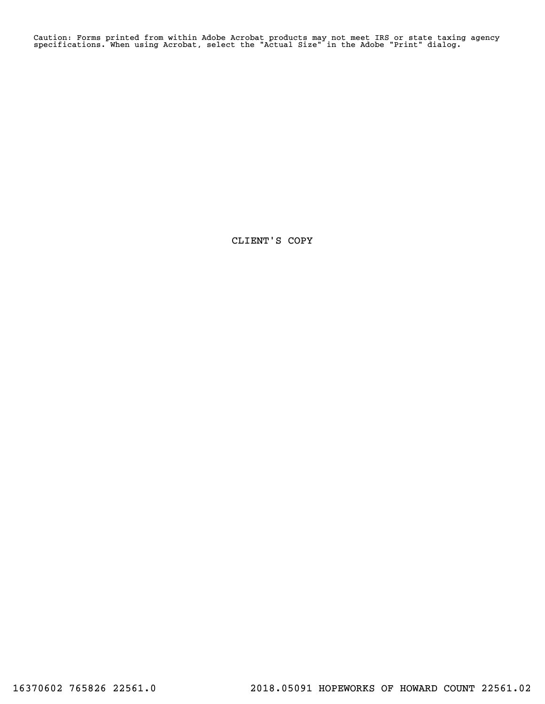Caution: Forms printed from within Adobe Acrobat products may not meet IRS or state taxing agency specifications. When using Acrobat, select the "Actual Size" in the Adobe "Print" dialog.

CLIENT'S COPY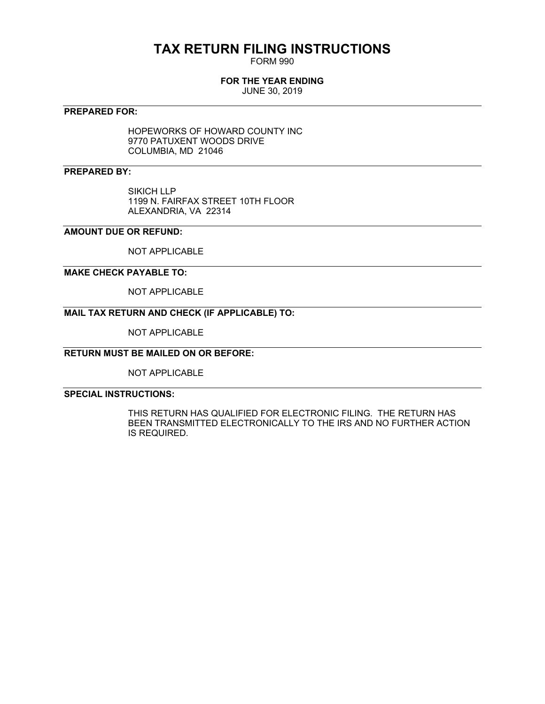# **TAX RETURN FILING INSTRUCTIONS**

FORM 990

# **FOR THE YEAR ENDING**

JUNE 30, 2019

## **PREPARED FOR:**

HOPEWORKS OF HOWARD COUNTY INC 9770 PATUXENT WOODS DRIVE COLUMBIA, MD 21046

# **PREPARED BY:**

SIKICH LLP 1199 N. FAIRFAX STREET 10TH FLOOR ALEXANDRIA, VA 22314

## **AMOUNT DUE OR REFUND:**

NOT APPLICABLE

### **MAKE CHECK PAYABLE TO:**

NOT APPLICABLE

# **MAIL TAX RETURN AND CHECK (IF APPLICABLE) TO:**

NOT APPLICABLE

# **RETURN MUST BE MAILED ON OR BEFORE:**

NOT APPLICABLE

# **SPECIAL INSTRUCTIONS:**

THIS RETURN HAS QUALIFIED FOR ELECTRONIC FILING. THE RETURN HAS BEEN TRANSMITTED ELECTRONICALLY TO THE IRS AND NO FURTHER ACTION IS REQUIRED.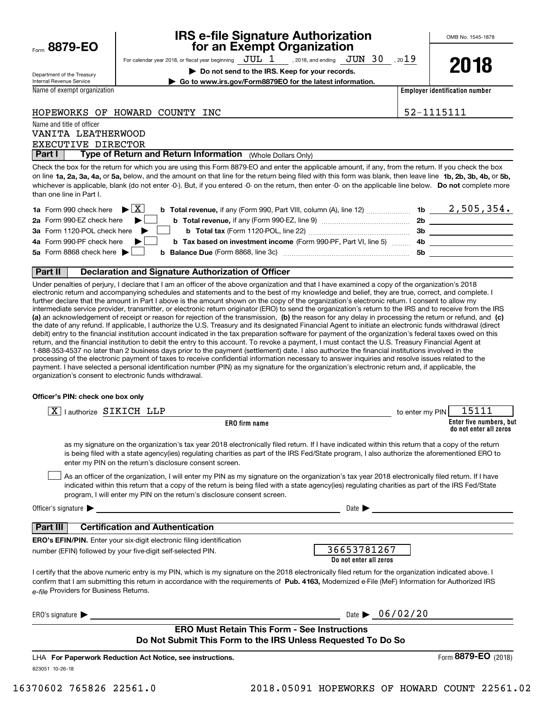Form**8879-EO**

# **IRS e-file Signature Authorization for an Exempt Organization**

For calendar year 2018, or fiscal year beginning  $\rm\,JUL~$   $1$   $\rm\,$  , 2018, and ending  $\rm\,JUN~$   $30$   $\rm\,$  , 20 $19$ 

**| Do not send to the IRS. Keep for your records.**

**2018**

Department of the Treasury Internal Revenue Service

Name of exempt organization

**| Go to www.irs.gov/Form8879EO for the latest information.**

**Employer identification number**

### HOPEWORKS OF HOWARD COUNTY INC  $\vert$  52-1115111

Name and title of officer

EXECUTIVE DIRECTOR VANITA LEATHERWOOD

 (Whole Dollars Only) **Part I Type of Return and Return Information** 

on line **1a, 2a, 3a, 4a,** or **5a,** below, and the amount on that line for the return being filed with this form was blank, then leave line **1b, 2b, 3b, 4b,** or **5b,** whichever is applicable, blank (do not enter -0-). But, if you entered -0- on the return, then enter -0- on the applicable line below. **Do not** complete more Check the box for the return for which you are using this Form 8879-EO and enter the applicable amount, if any, from the return. If you check the box than one line in Part I.

| <b>1a</b> Form 990 check here $\blacktriangleright$ $\boxed{\text{X}}$<br><b>b Total revenue,</b> if any (Form 990, Part VIII, column (A), line 12) | 1b  | 2,505,354. |
|-----------------------------------------------------------------------------------------------------------------------------------------------------|-----|------------|
| 2a Form 990-EZ check here $\blacktriangleright$<br><b>b</b> Total revenue, if any (Form 990-EZ, line 9) $\ldots$ $\ldots$ $\ldots$ $\ldots$         | 2b  |            |
| 3a Form 1120-POL check here $\blacktriangleright$                                                                                                   | Зb  |            |
| 4a Form 990-PF check here $\blacktriangleright$<br><b>b</b> Tax based on investment income (Form 990-PF, Part VI, line 5) 4b                        |     |            |
| 5a Form 8868 check here $\blacktriangleright$<br><b>b Balance Due</b> (Form 8868, line 3c) <b>Constanting Balance Due</b> (Form 8868, line 3c)      | .5b |            |
|                                                                                                                                                     |     |            |

#### **Part II Declaration and Signature Authorization of Officer**

**(a)** an acknowledgement of receipt or reason for rejection of the transmission, (b) the reason for any delay in processing the return or refund, and (c) Under penalties of perjury, I declare that I am an officer of the above organization and that I have examined a copy of the organization's 2018 electronic return and accompanying schedules and statements and to the best of my knowledge and belief, they are true, correct, and complete. I further declare that the amount in Part I above is the amount shown on the copy of the organization's electronic return. I consent to allow my intermediate service provider, transmitter, or electronic return originator (ERO) to send the organization's return to the IRS and to receive from the IRS the date of any refund. If applicable, I authorize the U.S. Treasury and its designated Financial Agent to initiate an electronic funds withdrawal (direct debit) entry to the financial institution account indicated in the tax preparation software for payment of the organization's federal taxes owed on this return, and the financial institution to debit the entry to this account. To revoke a payment, I must contact the U.S. Treasury Financial Agent at 1-888-353-4537 no later than 2 business days prior to the payment (settlement) date. I also authorize the financial institutions involved in the processing of the electronic payment of taxes to receive confidential information necessary to answer inquiries and resolve issues related to the payment. I have selected a personal identification number (PIN) as my signature for the organization's electronic return and, if applicable, the organization's consent to electronic funds withdrawal.

#### **Officer's PIN: check one box only**

| 15111<br>to enter my PIN                                                                                                                                                                                                                                                                                     |
|--------------------------------------------------------------------------------------------------------------------------------------------------------------------------------------------------------------------------------------------------------------------------------------------------------------|
| Enter five numbers, but<br>do not enter all zeros                                                                                                                                                                                                                                                            |
| as my signature on the organization's tax year 2018 electronically filed return. If I have indicated within this return that a copy of the return<br>is being filed with a state agency(ies) regulating charities as part of the IRS Fed/State program, I also authorize the aforementioned ERO to           |
| As an officer of the organization, I will enter my PIN as my signature on the organization's tax year 2018 electronically filed return. If I have<br>indicated within this return that a copy of the return is being filed with a state agency(ies) regulating charities as part of the IRS Fed/State        |
|                                                                                                                                                                                                                                                                                                              |
|                                                                                                                                                                                                                                                                                                              |
|                                                                                                                                                                                                                                                                                                              |
| 36653781267<br>Do not enter all zeros                                                                                                                                                                                                                                                                        |
| I certify that the above numeric entry is my PIN, which is my signature on the 2018 electronically filed return for the organization indicated above. I<br>confirm that I am submitting this return in accordance with the requirements of Pub. 4163, Modernized e-File (MeF) Information for Authorized IRS |
| Date $\triangleright$ 06/02/20                                                                                                                                                                                                                                                                               |
| Do Not Submit This Form to the IRS Unless Requested To Do So                                                                                                                                                                                                                                                 |
| Form 8879-EO<br>(2018)                                                                                                                                                                                                                                                                                       |
|                                                                                                                                                                                                                                                                                                              |
|                                                                                                                                                                                                                                                                                                              |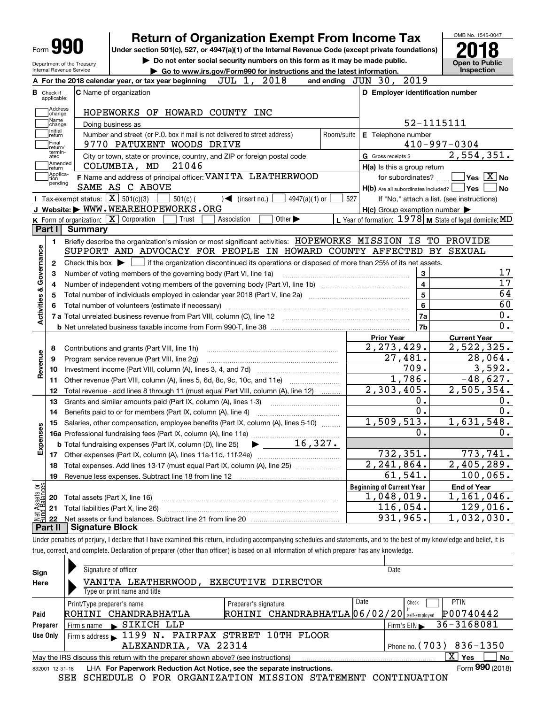|                                            |                                                   | <b>Return of Organization Exempt From Income Tax</b>                                                                                                                               |                         |                                                           | OMB No. 1545-0047                                                                                                        |
|--------------------------------------------|---------------------------------------------------|------------------------------------------------------------------------------------------------------------------------------------------------------------------------------------|-------------------------|-----------------------------------------------------------|--------------------------------------------------------------------------------------------------------------------------|
| Form YY                                    |                                                   | Under section 501(c), 527, or 4947(a)(1) of the Internal Revenue Code (except private foundations)<br>Do not enter social security numbers on this form as it may be made public.  |                         |                                                           | Open to Public                                                                                                           |
| Internal Revenue Service                   | Department of the Treasury                        | Go to www.irs.gov/Form990 for instructions and the latest information.                                                                                                             |                         |                                                           | Inspection                                                                                                               |
|                                            |                                                   | JUL 1, 2018<br>A For the 2018 calendar year, or tax year beginning                                                                                                                 |                         | and ending JUN 30, 2019                                   |                                                                                                                          |
| <b>B</b> Check if<br>applicable:           |                                                   | <b>C</b> Name of organization                                                                                                                                                      |                         | D Employer identification number                          |                                                                                                                          |
| Address                                    |                                                   | HOPEWORKS OF HOWARD COUNTY INC                                                                                                                                                     |                         |                                                           |                                                                                                                          |
| change<br>Name<br>change                   |                                                   | Doing business as                                                                                                                                                                  |                         |                                                           | 52-1115111                                                                                                               |
| Initial<br>return                          |                                                   | Number and street (or P.O. box if mail is not delivered to street address)                                                                                                         | Room/suite              | E Telephone number                                        |                                                                                                                          |
| Final<br>return/                           |                                                   | 9770 PATUXENT WOODS DRIVE                                                                                                                                                          |                         |                                                           | $410 - 997 - 0304$                                                                                                       |
| termin-<br>ated                            |                                                   | City or town, state or province, country, and ZIP or foreign postal code                                                                                                           |                         | G Gross receipts \$                                       | 2,554,351.                                                                                                               |
| Amended<br>return                          |                                                   | 21046<br>COLUMBIA, MD                                                                                                                                                              |                         | H(a) Is this a group return                               |                                                                                                                          |
| Applica-<br>tion<br>pending                |                                                   | F Name and address of principal officer: VANITA LEATHERWOOD                                                                                                                        |                         |                                                           | for subordinates? $\Box$ Yes $\boxed{X}$ No                                                                              |
|                                            |                                                   | SAME AS C ABOVE                                                                                                                                                                    |                         | $H(b)$ Are all subordinates included? $\Box$ Yes $\Box$   | No                                                                                                                       |
|                                            | Tax-exempt status: $\boxed{\mathbf{X}}$ 501(c)(3) | $4947(a)(1)$ or<br>$501(c)$ (<br>$\sqrt{\frac{1}{1}}$ (insert no.)                                                                                                                 | 527                     |                                                           | If "No," attach a list. (see instructions)                                                                               |
|                                            |                                                   | J Website: WWW.WEAREHOPEWORKS.ORG                                                                                                                                                  |                         | $H(c)$ Group exemption number $\blacktriangleright$       |                                                                                                                          |
| Part I                                     | <b>Summary</b>                                    | K Form of organization: X Corporation<br>Association<br>Other $\blacktriangleright$<br>Trust                                                                                       |                         | L Year of formation: $1978$ M State of legal domicile: MD |                                                                                                                          |
|                                            |                                                   |                                                                                                                                                                                    |                         |                                                           |                                                                                                                          |
| 1.                                         |                                                   | Briefly describe the organization's mission or most significant activities: HOPEWORKS MISSION IS TO PROVIDE<br>SUPPORT AND ADVOCACY FOR PEOPLE IN HOWARD COUNTY AFFECTED BY SEXUAL |                         |                                                           |                                                                                                                          |
|                                            |                                                   | Check this box $\blacktriangleright$ $\blacksquare$ if the organization discontinued its operations or disposed of more than 25% of its net assets.                                |                         |                                                           |                                                                                                                          |
| 2                                          |                                                   | Number of voting members of the governing body (Part VI, line 1a)                                                                                                                  |                         | 3                                                         | 17                                                                                                                       |
| Activities & Governance<br>3<br>4          |                                                   |                                                                                                                                                                                    | $\overline{\mathbf{4}}$ | $\overline{17}$                                           |                                                                                                                          |
| 5                                          |                                                   |                                                                                                                                                                                    | 5                       | 64                                                        |                                                                                                                          |
| 6                                          |                                                   |                                                                                                                                                                                    | 6                       | 60                                                        |                                                                                                                          |
|                                            |                                                   | 7 a Total unrelated business revenue from Part VIII, column (C), line 12                                                                                                           |                         |                                                           |                                                                                                                          |
|                                            |                                                   |                                                                                                                                                                                    |                         |                                                           | 0.                                                                                                                       |
|                                            |                                                   |                                                                                                                                                                                    |                         | 7a<br>7b                                                  | 0.                                                                                                                       |
|                                            |                                                   |                                                                                                                                                                                    |                         |                                                           |                                                                                                                          |
| 8                                          |                                                   | Contributions and grants (Part VIII, line 1h)                                                                                                                                      |                         | <b>Prior Year</b><br>2, 273, 429.                         | <b>Current Year</b><br>2,522,325.                                                                                        |
| 9                                          |                                                   | Program service revenue (Part VIII, line 2g)                                                                                                                                       |                         | 27,481.                                                   |                                                                                                                          |
| 10                                         |                                                   |                                                                                                                                                                                    |                         | 709.                                                      |                                                                                                                          |
| 11                                         |                                                   | Other revenue (Part VIII, column (A), lines 5, 6d, 8c, 9c, 10c, and 11e)                                                                                                           |                         | $\overline{1,786}$ .                                      |                                                                                                                          |
| 12                                         |                                                   | Total revenue - add lines 8 through 11 (must equal Part VIII, column (A), line 12)                                                                                                 |                         | $2,303,405$ .                                             |                                                                                                                          |
| 13                                         |                                                   | Grants and similar amounts paid (Part IX, column (A), lines 1-3)<br><u> 1986 - Januar Stein, martin a</u>                                                                          |                         | 0.                                                        | 0.                                                                                                                       |
| 14                                         |                                                   | Benefits paid to or for members (Part IX, column (A), line 4)                                                                                                                      |                         | 0.                                                        |                                                                                                                          |
| 15                                         |                                                   | Salaries, other compensation, employee benefits (Part IX, column (A), lines 5-10)                                                                                                  |                         | 1,509,513.                                                |                                                                                                                          |
|                                            |                                                   |                                                                                                                                                                                    |                         | 0.                                                        |                                                                                                                          |
|                                            |                                                   | 16,327.<br><b>b</b> Total fundraising expenses (Part IX, column (D), line 25)                                                                                                      |                         |                                                           |                                                                                                                          |
| 17                                         |                                                   | Other expenses (Part IX, column (A), lines 11a-11d, 11f-24e)                                                                                                                       |                         | 732,351.                                                  |                                                                                                                          |
| 18                                         |                                                   | Total expenses. Add lines 13-17 (must equal Part IX, column (A), line 25)                                                                                                          |                         | $\overline{2,241},864.$                                   |                                                                                                                          |
| 19                                         |                                                   | Revenue less expenses. Subtract line 18 from line 12                                                                                                                               |                         | 61, 541.                                                  |                                                                                                                          |
|                                            |                                                   |                                                                                                                                                                                    |                         | <b>Beginning of Current Year</b>                          | 0.<br><b>End of Year</b>                                                                                                 |
| Revenue<br>ŵ<br>Expense<br>20              | Total assets (Part X, line 16)                    |                                                                                                                                                                                    |                         | 1,048,019.                                                | 28,064.<br>3,592.<br>$-48,627.$<br>2,505,354.<br>1,631,548.<br>$0$ .<br>773,741.<br>2,405,289.<br>100,065.<br>1,161,046. |
| Net Assets or<br>Eund Balances<br>21<br>22 |                                                   | Total liabilities (Part X, line 26)                                                                                                                                                |                         | 116,054.<br>931,965.                                      | 129,016.<br>1,032,030.                                                                                                   |

Under penalties of perjury, I declare that I have examined this return, including accompanying schedules and statements, and to the best of my knowledge and belief, it is true, correct, and complete. Declaration of preparer (other than officer) is based on all information of which preparer has any knowledge.

| Sign            | Signature of officer                                                              | Date                                           |
|-----------------|-----------------------------------------------------------------------------------|------------------------------------------------|
| Here            | VANITA LEATHERWOOD,<br>EXECUTIVE DIRECTOR                                         |                                                |
|                 | Type or print name and title                                                      |                                                |
|                 | Date<br>Preparer's signature<br>Print/Type preparer's name                        | <b>PTIN</b><br>Check                           |
| Paid            | ROHINI CHANDRABHATLA 06/02/20<br>CHANDRABHATLA<br>ROHINI                          | P00740442<br>self-employed                     |
| Preparer        | $\blacktriangleright$ SIKICH LLP<br>Firm's name                                   | 36-3168081<br>Firm's $EIN \blacktriangleright$ |
| Use Only        | Firm's address 1199 N. FAIRFAX STREET 10TH FLOOR                                  |                                                |
|                 | ALEXANDRIA, VA 22314                                                              | Phone no. $(703)$ 836-1350                     |
|                 | May the IRS discuss this return with the preparer shown above? (see instructions) | $X \mid Y$ es<br>No                            |
| 832001 12-31-18 | LHA For Paperwork Reduction Act Notice, see the separate instructions.            | Form 990 (2018)                                |

SEE SCHEDULE O FOR ORGANIZATION MISSION STATEMENT CONTINUATION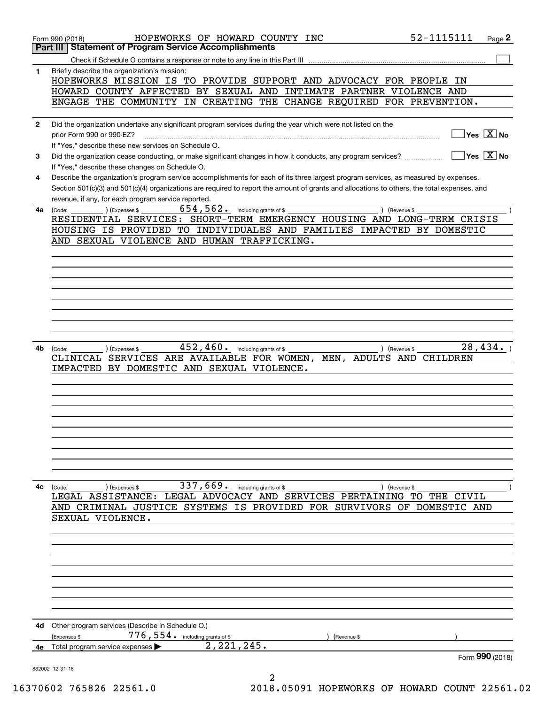|              | 52-1115111<br>HOPEWORKS OF HOWARD COUNTY INC<br>Page 2<br>Form 990 (2018)                                                                    |
|--------------|----------------------------------------------------------------------------------------------------------------------------------------------|
|              | <b>Statement of Program Service Accomplishments</b><br>Part III                                                                              |
|              |                                                                                                                                              |
| 1            | Briefly describe the organization's mission:<br>HOPEWORKS MISSION IS TO PROVIDE SUPPORT AND ADVOCACY FOR PEOPLE IN                           |
|              | HOWARD COUNTY AFFECTED BY SEXUAL AND INTIMATE PARTNER VIOLENCE AND                                                                           |
|              | ENGAGE THE COMMUNITY IN CREATING THE CHANGE REQUIRED FOR PREVENTION.                                                                         |
| $\mathbf{2}$ | Did the organization undertake any significant program services during the year which were not listed on the                                 |
|              | $Yes \sqrt{X}$ No<br>prior Form 990 or 990-EZ?<br>If "Yes," describe these new services on Schedule O.                                       |
| 3            | $Yes$ $X$ No<br>Did the organization cease conducting, or make significant changes in how it conducts, any program services?                 |
|              | If "Yes," describe these changes on Schedule O.                                                                                              |
| 4            | Describe the organization's program service accomplishments for each of its three largest program services, as measured by expenses.         |
|              | Section 501(c)(3) and 501(c)(4) organizations are required to report the amount of grants and allocations to others, the total expenses, and |
|              | revenue, if any, for each program service reported.                                                                                          |
| 4a           | $654, 562$ . including grants of \$<br>(Code:<br>) (Expenses \$<br>) (Revenue \$                                                             |
|              | RESIDENTIAL SERVICES: SHORT-TERM EMERGENCY HOUSING AND LONG-TERM CRISIS                                                                      |
|              | HOUSING IS PROVIDED TO INDIVIDUALES AND FAMILIES IMPACTED BY DOMESTIC                                                                        |
|              | AND SEXUAL VIOLENCE AND HUMAN TRAFFICKING.                                                                                                   |
|              |                                                                                                                                              |
|              |                                                                                                                                              |
|              |                                                                                                                                              |
|              |                                                                                                                                              |
|              |                                                                                                                                              |
|              |                                                                                                                                              |
|              |                                                                                                                                              |
|              |                                                                                                                                              |
| 4b           | 28,434.<br>452,460.<br>including grants of \$<br>(Expenses \$<br>(Code:<br>) (Revenue \$                                                     |
|              | ADULTS AND CHILDREN<br>CLINICAL SERVICES ARE AVAILABLE FOR WOMEN,<br>MEN,                                                                    |
|              | BY DOMESTIC AND SEXUAL VIOLENCE.<br>IMPACTED                                                                                                 |
|              |                                                                                                                                              |
|              |                                                                                                                                              |
|              |                                                                                                                                              |
|              |                                                                                                                                              |
|              |                                                                                                                                              |
|              |                                                                                                                                              |
|              |                                                                                                                                              |
|              |                                                                                                                                              |
|              |                                                                                                                                              |
| 4c           | 337,669. including grants of \$<br>(Code:<br>) (Expenses \$<br>) (Revenue \$                                                                 |
|              | LEGAL ASSISTANCE: LEGAL ADVOCACY AND SERVICES PERTAINING TO THE CIVIL                                                                        |
|              | AND CRIMINAL JUSTICE SYSTEMS IS PROVIDED FOR SURVIVORS OF DOMESTIC AND                                                                       |
|              | SEXUAL VIOLENCE.                                                                                                                             |
|              |                                                                                                                                              |
|              |                                                                                                                                              |
|              |                                                                                                                                              |
|              |                                                                                                                                              |
|              |                                                                                                                                              |
|              |                                                                                                                                              |
|              |                                                                                                                                              |
|              |                                                                                                                                              |
|              |                                                                                                                                              |
| 4d           | Other program services (Describe in Schedule O.)<br>$776$ , $554$ $\cdot$ including grants of \$                                             |
|              | (Expenses \$<br>(Revenue \$<br>2, 221, 245.<br>Total program service expenses                                                                |
| 4е           | Form 990 (2018)                                                                                                                              |
|              | 832002 12-31-18                                                                                                                              |
|              |                                                                                                                                              |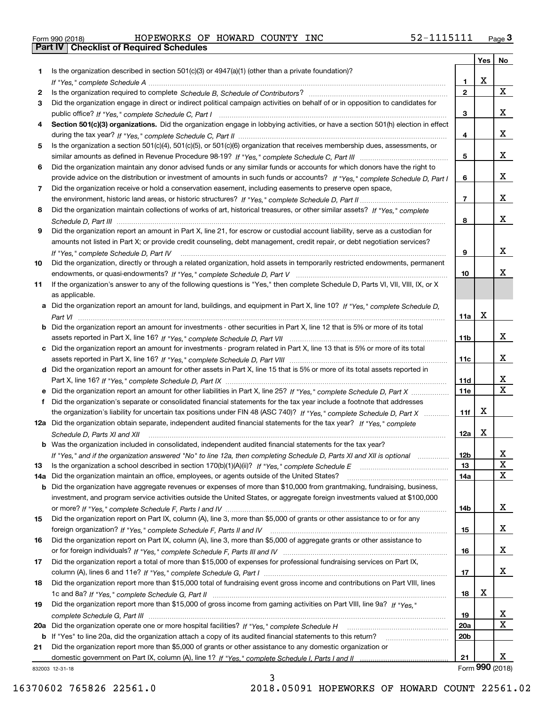| Form 990 (2018) |  |  |
|-----------------|--|--|

Form 990 (2018) Page **3Part IV Checklist of Required Schedules** HOPEWORKS OF HOWARD COUNTY INC 52-1115111

|           |                                                                                                                                                                                                  |                 | Yes | No                           |
|-----------|--------------------------------------------------------------------------------------------------------------------------------------------------------------------------------------------------|-----------------|-----|------------------------------|
| 1         | Is the organization described in section $501(c)(3)$ or $4947(a)(1)$ (other than a private foundation)?                                                                                          |                 |     |                              |
|           |                                                                                                                                                                                                  | 1.              | X   |                              |
| 2         |                                                                                                                                                                                                  | $\mathbf{2}$    |     | X                            |
| 3         | Did the organization engage in direct or indirect political campaign activities on behalf of or in opposition to candidates for                                                                  |                 |     |                              |
|           |                                                                                                                                                                                                  | 3               |     | x                            |
| 4         | Section 501(c)(3) organizations. Did the organization engage in lobbying activities, or have a section 501(h) election in effect                                                                 | 4               |     | x                            |
| 5         | Is the organization a section 501(c)(4), 501(c)(5), or 501(c)(6) organization that receives membership dues, assessments, or                                                                     |                 |     |                              |
|           |                                                                                                                                                                                                  | 5               |     | x                            |
| 6         | Did the organization maintain any donor advised funds or any similar funds or accounts for which donors have the right to                                                                        |                 |     |                              |
|           | provide advice on the distribution or investment of amounts in such funds or accounts? If "Yes," complete Schedule D, Part I                                                                     | 6               |     | x                            |
| 7         | Did the organization receive or hold a conservation easement, including easements to preserve open space,                                                                                        |                 |     |                              |
|           |                                                                                                                                                                                                  | $\overline{7}$  |     | x                            |
| 8         | Did the organization maintain collections of works of art, historical treasures, or other similar assets? If "Yes," complete                                                                     |                 |     |                              |
|           |                                                                                                                                                                                                  | 8               |     | x                            |
| 9         | Did the organization report an amount in Part X, line 21, for escrow or custodial account liability, serve as a custodian for                                                                    |                 |     |                              |
|           | amounts not listed in Part X; or provide credit counseling, debt management, credit repair, or debt negotiation services?                                                                        |                 |     |                              |
|           |                                                                                                                                                                                                  | 9               |     | x                            |
| 10        | Did the organization, directly or through a related organization, hold assets in temporarily restricted endowments, permanent                                                                    |                 |     |                              |
|           |                                                                                                                                                                                                  | 10              |     | x                            |
| 11        | If the organization's answer to any of the following questions is "Yes," then complete Schedule D, Parts VI, VII, VIII, IX, or X                                                                 |                 |     |                              |
|           | as applicable.                                                                                                                                                                                   |                 |     |                              |
|           | a Did the organization report an amount for land, buildings, and equipment in Part X, line 10? If "Yes." complete Schedule D.                                                                    |                 |     |                              |
|           |                                                                                                                                                                                                  | 11a             | х   |                              |
|           | <b>b</b> Did the organization report an amount for investments - other securities in Part X, line 12 that is 5% or more of its total                                                             |                 |     |                              |
|           |                                                                                                                                                                                                  | 11b             |     | x                            |
|           | c Did the organization report an amount for investments - program related in Part X, line 13 that is 5% or more of its total                                                                     |                 |     |                              |
|           |                                                                                                                                                                                                  | 11c             |     | x                            |
|           | d Did the organization report an amount for other assets in Part X, line 15 that is 5% or more of its total assets reported in                                                                   |                 |     |                              |
|           |                                                                                                                                                                                                  | 11d             |     | X.                           |
|           |                                                                                                                                                                                                  | <b>11e</b>      |     | $\overline{\mathtt{x}}$      |
| f         | Did the organization's separate or consolidated financial statements for the tax year include a footnote that addresses                                                                          |                 |     |                              |
|           | the organization's liability for uncertain tax positions under FIN 48 (ASC 740)? If "Yes," complete Schedule D, Part X                                                                           | 11f             | X   |                              |
|           | 12a Did the organization obtain separate, independent audited financial statements for the tax year? If "Yes," complete                                                                          |                 |     |                              |
|           | Schedule D, Parts XI and XII                                                                                                                                                                     | 12a             | X   |                              |
|           | <b>b</b> Was the organization included in consolidated, independent audited financial statements for the tax year?                                                                               |                 |     |                              |
|           | If "Yes," and if the organization answered "No" to line 12a, then completing Schedule D, Parts XI and XII is optional                                                                            | 12 <sub>b</sub> |     | $\overline{\mathbf{x}}$<br>x |
| 13<br>14a | Is the organization a school described in section 170(b)(1)(A)(ii)? If "Yes," complete Schedule E<br>Did the organization maintain an office, employees, or agents outside of the United States? | 13<br>14a       |     | X                            |
| b         | Did the organization have aggregate revenues or expenses of more than \$10,000 from grantmaking, fundraising, business,                                                                          |                 |     |                              |
|           | investment, and program service activities outside the United States, or aggregate foreign investments valued at \$100,000                                                                       |                 |     |                              |
|           |                                                                                                                                                                                                  | 14b             |     | X                            |
| 15        | Did the organization report on Part IX, column (A), line 3, more than \$5,000 of grants or other assistance to or for any                                                                        |                 |     |                              |
|           |                                                                                                                                                                                                  | 15              |     | X,                           |
| 16        | Did the organization report on Part IX, column (A), line 3, more than \$5,000 of aggregate grants or other assistance to                                                                         |                 |     |                              |
|           |                                                                                                                                                                                                  | 16              |     | X,                           |
| 17        | Did the organization report a total of more than \$15,000 of expenses for professional fundraising services on Part IX,                                                                          |                 |     |                              |
|           |                                                                                                                                                                                                  | 17              |     | X                            |
| 18        | Did the organization report more than \$15,000 total of fundraising event gross income and contributions on Part VIII, lines                                                                     |                 |     |                              |
|           |                                                                                                                                                                                                  | 18              | x   |                              |
| 19        | Did the organization report more than \$15,000 of gross income from gaming activities on Part VIII, line 9a? If "Yes."                                                                           |                 |     |                              |
|           |                                                                                                                                                                                                  | 19              |     | X                            |
| 20a       | Did the organization operate one or more hospital facilities? If "Yes," complete Schedule H                                                                                                      | <b>20a</b>      |     | $\mathbf{X}$                 |
|           | b If "Yes" to line 20a, did the organization attach a copy of its audited financial statements to this return?                                                                                   | 20 <sub>b</sub> |     |                              |
| 21        | Did the organization report more than \$5,000 of grants or other assistance to any domestic organization or                                                                                      |                 |     |                              |
|           |                                                                                                                                                                                                  | 21              |     | x                            |
|           | 832003 12-31-18                                                                                                                                                                                  |                 |     | Form 990 (2018)              |

832003 12-31-18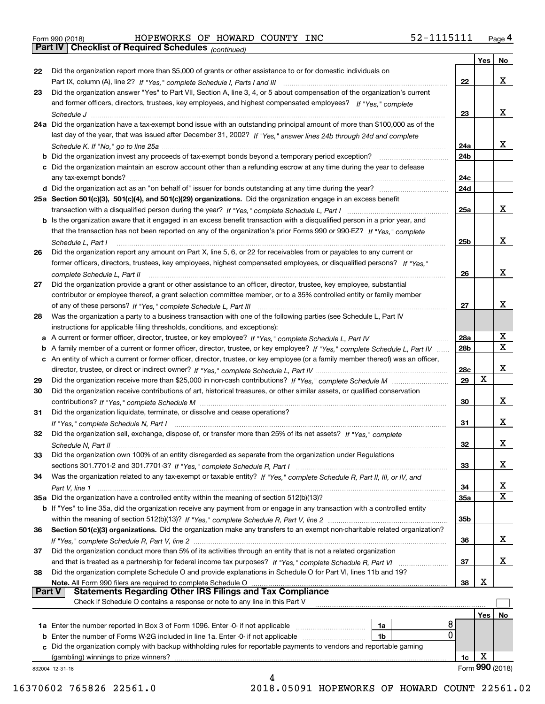Form 990 (2018) Page **4Part IV Checklist of Required Schedules** HOPEWORKS OF HOWARD COUNTY INC 52-1115111

*(continued)*

|          |                                                                                                                                   |                 | Yes | No              |
|----------|-----------------------------------------------------------------------------------------------------------------------------------|-----------------|-----|-----------------|
| 22       | Did the organization report more than \$5,000 of grants or other assistance to or for domestic individuals on                     |                 |     |                 |
|          |                                                                                                                                   | 22              |     | x               |
| 23       | Did the organization answer "Yes" to Part VII, Section A, line 3, 4, or 5 about compensation of the organization's current        |                 |     |                 |
|          | and former officers, directors, trustees, key employees, and highest compensated employees? If "Yes," complete                    |                 |     |                 |
|          |                                                                                                                                   | 23              |     | x               |
|          | 24a Did the organization have a tax-exempt bond issue with an outstanding principal amount of more than \$100,000 as of the       |                 |     |                 |
|          | last day of the year, that was issued after December 31, 2002? If "Yes," answer lines 24b through 24d and complete                |                 |     |                 |
|          |                                                                                                                                   |                 |     | x               |
|          |                                                                                                                                   | 24a             |     |                 |
|          | b Did the organization invest any proceeds of tax-exempt bonds beyond a temporary period exception?                               | 24 <sub>b</sub> |     |                 |
|          | c Did the organization maintain an escrow account other than a refunding escrow at any time during the year to defease            |                 |     |                 |
|          | any tax-exempt bonds?                                                                                                             | 24c             |     |                 |
|          | d Did the organization act as an "on behalf of" issuer for bonds outstanding at any time during the year?                         | 24d             |     |                 |
|          | 25a Section 501(c)(3), 501(c)(4), and 501(c)(29) organizations. Did the organization engage in an excess benefit                  |                 |     |                 |
|          |                                                                                                                                   | 25a             |     | x               |
|          | b Is the organization aware that it engaged in an excess benefit transaction with a disqualified person in a prior year, and      |                 |     |                 |
|          | that the transaction has not been reported on any of the organization's prior Forms 990 or 990-EZ? If "Yes." complete             |                 |     |                 |
|          | Schedule L. Part I                                                                                                                | 25b             |     | х               |
| 26       | Did the organization report any amount on Part X, line 5, 6, or 22 for receivables from or payables to any current or             |                 |     |                 |
|          | former officers, directors, trustees, key employees, highest compensated employees, or disqualified persons? If "Yes."            |                 |     |                 |
|          |                                                                                                                                   | 26              |     | х               |
| 27       | complete Schedule L, Part II                                                                                                      |                 |     |                 |
|          | Did the organization provide a grant or other assistance to an officer, director, trustee, key employee, substantial              |                 |     |                 |
|          | contributor or employee thereof, a grant selection committee member, or to a 35% controlled entity or family member               |                 |     |                 |
|          |                                                                                                                                   | 27              |     | х               |
| 28       | Was the organization a party to a business transaction with one of the following parties (see Schedule L, Part IV                 |                 |     |                 |
|          | instructions for applicable filing thresholds, conditions, and exceptions):                                                       |                 |     |                 |
|          | a A current or former officer, director, trustee, or key employee? If "Yes," complete Schedule L, Part IV                         | 28a             |     | х               |
|          | b A family member of a current or former officer, director, trustee, or key employee? If "Yes," complete Schedule L, Part IV      | 28b             |     | X               |
|          | c An entity of which a current or former officer, director, trustee, or key employee (or a family member thereof) was an officer, |                 |     |                 |
|          |                                                                                                                                   | 28c             |     | х               |
| 29       |                                                                                                                                   | 29              | Χ   |                 |
| 30       | Did the organization receive contributions of art, historical treasures, or other similar assets, or qualified conservation       |                 |     |                 |
|          |                                                                                                                                   | 30              |     | x               |
| 31       | Did the organization liquidate, terminate, or dissolve and cease operations?                                                      |                 |     |                 |
|          |                                                                                                                                   | 31              |     | x               |
|          | Did the organization sell, exchange, dispose of, or transfer more than 25% of its net assets? If "Yes," complete                  |                 |     |                 |
| 32       |                                                                                                                                   |                 |     | х               |
|          | Schedule N, Part II (1996) (1996) (1997) (1997) (1998) (1998) (1998) (1998) (1998) (1998) (1998) (1999) (1999)                    | 32              |     |                 |
| 33       | Did the organization own 100% of an entity disregarded as separate from the organization under Regulations                        |                 |     |                 |
|          |                                                                                                                                   | 33              |     | х               |
| 34       | Was the organization related to any tax-exempt or taxable entity? If "Yes," complete Schedule R, Part II, III, or IV, and         |                 |     |                 |
|          |                                                                                                                                   | 34              |     | X               |
|          | 35a Did the organization have a controlled entity within the meaning of section 512(b)(13)?                                       | 35a             |     | X               |
|          | b If "Yes" to line 35a, did the organization receive any payment from or engage in any transaction with a controlled entity       |                 |     |                 |
|          |                                                                                                                                   | 35b             |     |                 |
| 36       | Section 501(c)(3) organizations. Did the organization make any transfers to an exempt non-charitable related organization?        |                 |     |                 |
|          |                                                                                                                                   | 36              |     | x               |
| 37       | Did the organization conduct more than 5% of its activities through an entity that is not a related organization                  |                 |     |                 |
|          | and that is treated as a partnership for federal income tax purposes? If "Yes," complete Schedule R, Part VI                      | 37              |     | x               |
| 38       | Did the organization complete Schedule O and provide explanations in Schedule O for Part VI, lines 11b and 19?                    |                 |     |                 |
|          |                                                                                                                                   | 38              | х   |                 |
| ∣ Part V | Note. All Form 990 filers are required to complete Schedule O<br><b>Statements Regarding Other IRS Filings and Tax Compliance</b> |                 |     |                 |
|          | Check if Schedule O contains a response or note to any line in this Part V                                                        |                 |     |                 |
|          |                                                                                                                                   |                 |     |                 |
|          |                                                                                                                                   |                 | Yes | No.             |
|          | 8<br>1a Enter the number reported in Box 3 of Form 1096. Enter -0- if not applicable<br>1a                                        |                 |     |                 |
|          | 0<br><b>b</b> Enter the number of Forms W-2G included in line 1a. Enter -0- if not applicable<br>1b                               |                 |     |                 |
|          | Did the organization comply with backup withholding rules for reportable payments to vendors and reportable gaming                |                 |     |                 |
|          | (gambling) winnings to prize winners?                                                                                             | 1c              | х   |                 |
|          | 832004 12-31-18                                                                                                                   |                 |     | Form 990 (2018) |
|          |                                                                                                                                   |                 |     |                 |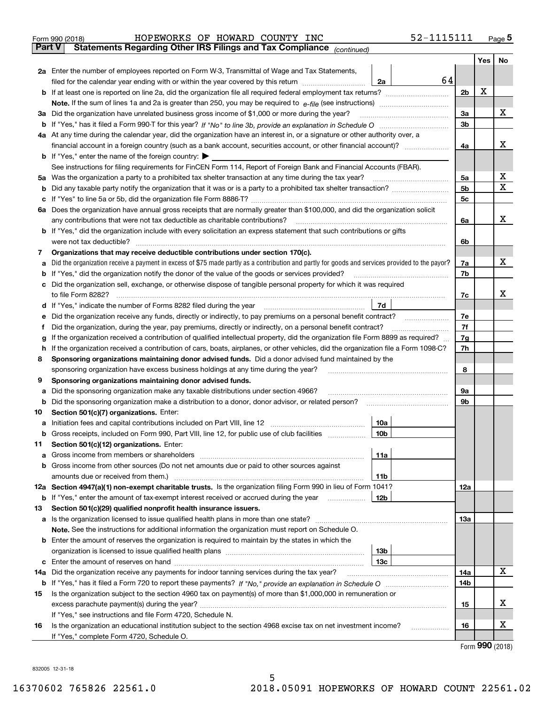|     | HOPEWORKS OF HOWARD COUNTY INC<br>Form 990 (2018)                                                                                                                   |                 | 52-1115111 |                |     | Page $5$ |
|-----|---------------------------------------------------------------------------------------------------------------------------------------------------------------------|-----------------|------------|----------------|-----|----------|
|     | <b>Part V</b><br>Statements Regarding Other IRS Filings and Tax Compliance (continued)                                                                              |                 |            |                |     |          |
|     |                                                                                                                                                                     |                 |            |                | Yes | No       |
|     | 2a Enter the number of employees reported on Form W-3, Transmittal of Wage and Tax Statements,                                                                      |                 |            |                |     |          |
|     | filed for the calendar year ending with or within the year covered by this return                                                                                   | 2a              | 64         |                |     |          |
|     |                                                                                                                                                                     |                 |            | 2b             | х   |          |
|     |                                                                                                                                                                     |                 |            |                |     |          |
| За  | Did the organization have unrelated business gross income of \$1,000 or more during the year?                                                                       |                 |            | 3a             |     | x        |
|     |                                                                                                                                                                     |                 |            | 3 <sub>b</sub> |     |          |
|     | 4a At any time during the calendar year, did the organization have an interest in, or a signature or other authority over, a                                        |                 |            |                |     |          |
|     |                                                                                                                                                                     |                 |            | 4a             |     | х        |
|     | <b>b</b> If "Yes," enter the name of the foreign country: $\blacktriangleright$                                                                                     |                 |            |                |     |          |
|     | See instructions for filing requirements for FinCEN Form 114, Report of Foreign Bank and Financial Accounts (FBAR).                                                 |                 |            |                |     |          |
| 5a  | Was the organization a party to a prohibited tax shelter transaction at any time during the tax year?                                                               |                 |            | 5а             |     | х        |
| b   |                                                                                                                                                                     |                 |            | 5 <sub>b</sub> |     | X        |
| с   |                                                                                                                                                                     |                 |            | 5c             |     |          |
|     | 6a Does the organization have annual gross receipts that are normally greater than \$100,000, and did the organization solicit                                      |                 |            |                |     |          |
|     | any contributions that were not tax deductible as charitable contributions?                                                                                         |                 |            | 6a             |     | x        |
|     | <b>b</b> If "Yes," did the organization include with every solicitation an express statement that such contributions or gifts                                       |                 |            |                |     |          |
|     | were not tax deductible?                                                                                                                                            |                 |            | 6b             |     |          |
| 7   | Organizations that may receive deductible contributions under section 170(c).                                                                                       |                 |            |                |     |          |
| а   | Did the organization receive a payment in excess of \$75 made partly as a contribution and partly for goods and services provided to the payor?                     |                 |            | 7a             |     | х        |
| b   | If "Yes," did the organization notify the donor of the value of the goods or services provided?                                                                     |                 |            | 7b             |     |          |
| с   | Did the organization sell, exchange, or otherwise dispose of tangible personal property for which it was required                                                   |                 |            |                |     |          |
|     |                                                                                                                                                                     |                 |            | 7c             |     | x        |
|     |                                                                                                                                                                     | 7d              |            |                |     |          |
| е   |                                                                                                                                                                     |                 |            | 7e             |     |          |
| f   | Did the organization, during the year, pay premiums, directly or indirectly, on a personal benefit contract?                                                        |                 |            | 7f             |     |          |
| g   | If the organization received a contribution of qualified intellectual property, did the organization file Form 8899 as required?                                    |                 |            | 7g             |     |          |
| h   | If the organization received a contribution of cars, boats, airplanes, or other vehicles, did the organization file a Form 1098-C?                                  |                 |            | 7h             |     |          |
| 8   | Sponsoring organizations maintaining donor advised funds. Did a donor advised fund maintained by the                                                                |                 |            |                |     |          |
|     | sponsoring organization have excess business holdings at any time during the year?                                                                                  |                 |            | 8              |     |          |
| 9   | Sponsoring organizations maintaining donor advised funds.                                                                                                           |                 |            |                |     |          |
| а   | Did the sponsoring organization make any taxable distributions under section 4966?                                                                                  |                 |            | 9а             |     |          |
| b   | Did the sponsoring organization make a distribution to a donor, donor advisor, or related person?                                                                   |                 |            | 9b             |     |          |
| 10  | Section 501(c)(7) organizations. Enter:                                                                                                                             |                 |            |                |     |          |
|     | a Initiation fees and capital contributions included on Part VIII, line 12 [111] [11] [11] Initiation fees and capital contributions included on Part VIII, line 12 | 10a             |            |                |     |          |
|     | Gross receipts, included on Form 990, Part VIII, line 12, for public use of club facilities                                                                         | 10b             |            |                |     |          |
| 11  | Section 501(c)(12) organizations. Enter:                                                                                                                            |                 |            |                |     |          |
| a   | Gross income from members or shareholders                                                                                                                           | 11a             |            |                |     |          |
| b   | Gross income from other sources (Do not net amounts due or paid to other sources against                                                                            |                 |            |                |     |          |
|     |                                                                                                                                                                     | 11b             |            |                |     |          |
|     | 12a Section 4947(a)(1) non-exempt charitable trusts. Is the organization filing Form 990 in lieu of Form 1041?                                                      |                 |            | 12a            |     |          |
|     | <b>b</b> If "Yes," enter the amount of tax-exempt interest received or accrued during the year                                                                      | 12 <sub>b</sub> |            |                |     |          |
| 13  | Section 501(c)(29) qualified nonprofit health insurance issuers.                                                                                                    |                 |            |                |     |          |
|     | a Is the organization licensed to issue qualified health plans in more than one state?                                                                              |                 |            | 13a            |     |          |
|     | Note. See the instructions for additional information the organization must report on Schedule O.                                                                   |                 |            |                |     |          |
| b   | Enter the amount of reserves the organization is required to maintain by the states in which the                                                                    |                 |            |                |     |          |
|     |                                                                                                                                                                     | 13 <sub>b</sub> |            |                |     |          |
|     |                                                                                                                                                                     | 13 <sub>c</sub> |            |                |     |          |
| 14a | Did the organization receive any payments for indoor tanning services during the tax year?                                                                          |                 |            | 14a            |     | x        |
|     |                                                                                                                                                                     |                 |            | 14b            |     |          |
| 15  | Is the organization subject to the section 4960 tax on payment(s) of more than \$1,000,000 in remuneration or                                                       |                 |            |                |     |          |
|     |                                                                                                                                                                     |                 |            | 15             |     | х        |
|     | If "Yes," see instructions and file Form 4720, Schedule N.                                                                                                          |                 |            |                |     |          |
| 16  | Is the organization an educational institution subject to the section 4968 excise tax on net investment income?                                                     |                 |            | 16             |     | х        |
|     | If "Yes," complete Form 4720, Schedule O.                                                                                                                           |                 |            |                |     |          |
|     |                                                                                                                                                                     |                 |            |                |     | QQQ      |

Form (2018) **990**

832005 12-31-18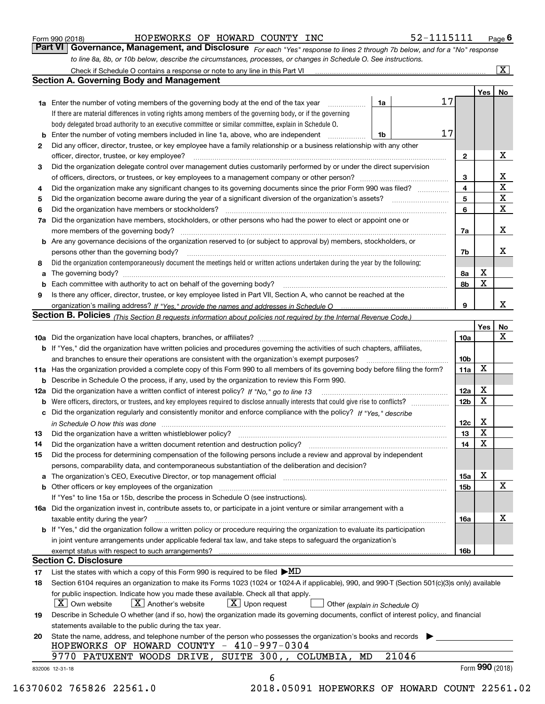|  | Form 990 (2018) |
|--|-----------------|
|  |                 |

HOPEWORKS OF HOWARD COUNTY INC 52-1115111

*For each "Yes" response to lines 2 through 7b below, and for a "No" response to line 8a, 8b, or 10b below, describe the circumstances, processes, or changes in Schedule O. See instructions.* Form 990 (2018) **Form 990 (2018) Example 1 100 Form 990 (2018)** Page 6<br>**Part VI Governance, Management, and Disclosure** For each "Yes" response to lines 2 through 7b below, and for a "No" response

|    |                                                                                                                                                                                                                                |       |                        | Yes   No          |                         |
|----|--------------------------------------------------------------------------------------------------------------------------------------------------------------------------------------------------------------------------------|-------|------------------------|-------------------|-------------------------|
|    | 1a<br><b>1a</b> Enter the number of voting members of the governing body at the end of the tax year <i>manumum</i>                                                                                                             | 17    |                        |                   |                         |
|    | If there are material differences in voting rights among members of the governing body, or if the governing                                                                                                                    |       |                        |                   |                         |
|    | body delegated broad authority to an executive committee or similar committee, explain in Schedule O.                                                                                                                          |       |                        |                   |                         |
|    | <b>b</b> Enter the number of voting members included in line 1a, above, who are independent <i>manument</i><br>1b                                                                                                              | 17    |                        |                   |                         |
| 2  | Did any officer, director, trustee, or key employee have a family relationship or a business relationship with any other                                                                                                       |       |                        |                   |                         |
|    | officer, director, trustee, or key employee?                                                                                                                                                                                   |       | $\mathbf{2}$           |                   | Х                       |
| з  | Did the organization delegate control over management duties customarily performed by or under the direct supervision                                                                                                          |       |                        |                   |                         |
|    |                                                                                                                                                                                                                                |       | 3                      |                   | $\overline{\mathbf{X}}$ |
| 4  | Did the organization make any significant changes to its governing documents since the prior Form 990 was filed?                                                                                                               |       | $\overline{4}$         |                   | $\overline{\mathbf{x}}$ |
| 5  |                                                                                                                                                                                                                                |       | 5                      |                   | $\overline{\mathbf{x}}$ |
| 6  |                                                                                                                                                                                                                                |       | 6                      |                   | $\overline{\mathbf{x}}$ |
|    | 7a Did the organization have members, stockholders, or other persons who had the power to elect or appoint one or                                                                                                              |       |                        |                   |                         |
|    |                                                                                                                                                                                                                                |       | 7a                     |                   | х                       |
|    | <b>b</b> Are any governance decisions of the organization reserved to (or subject to approval by) members, stockholders, or                                                                                                    |       |                        |                   |                         |
|    | persons other than the governing body?                                                                                                                                                                                         |       | 7b                     |                   | х                       |
| 8  | Did the organization contemporaneously document the meetings held or written actions undertaken during the year by the following:                                                                                              |       |                        |                   |                         |
|    |                                                                                                                                                                                                                                |       | 8а                     | $\mathbf X$       |                         |
|    |                                                                                                                                                                                                                                |       | 8b                     | $\mathbf X$       |                         |
| 9  | Is there any officer, director, trustee, or key employee listed in Part VII, Section A, who cannot be reached at the                                                                                                           |       |                        |                   |                         |
|    |                                                                                                                                                                                                                                |       | 9                      |                   | X                       |
|    | Section B. Policies (This Section B requests information about policies not required by the Internal Revenue Code.)                                                                                                            |       |                        |                   |                         |
|    |                                                                                                                                                                                                                                |       |                        | Yes $ $           | No                      |
|    |                                                                                                                                                                                                                                |       | 10a                    |                   | X                       |
|    | b If "Yes," did the organization have written policies and procedures governing the activities of such chapters, affiliates,                                                                                                   |       |                        |                   |                         |
|    |                                                                                                                                                                                                                                |       |                        |                   |                         |
|    |                                                                                                                                                                                                                                |       | 10 <sub>b</sub><br>11a | X                 |                         |
|    | 11a Has the organization provided a complete copy of this Form 990 to all members of its governing body before filing the form?                                                                                                |       |                        |                   |                         |
|    | <b>b</b> Describe in Schedule O the process, if any, used by the organization to review this Form 990.                                                                                                                         |       |                        |                   |                         |
|    |                                                                                                                                                                                                                                |       | 12a                    | х<br>$\mathbf X$  |                         |
|    |                                                                                                                                                                                                                                |       | 12 <sub>b</sub>        |                   |                         |
|    | c Did the organization regularly and consistently monitor and enforce compliance with the policy? If "Yes." describe                                                                                                           |       |                        |                   |                         |
|    | in Schedule O how this was done with the control of the control of the control of the control of the control o                                                                                                                 |       | 12c                    | Х                 |                         |
| 13 |                                                                                                                                                                                                                                |       | 13                     | $\mathbf X$       |                         |
| 14 | Did the organization have a written document retention and destruction policy?<br>The organization have a written document retention and destruction policy?                                                                   |       | 14                     | $\mathbf X$       |                         |
| 15 | Did the process for determining compensation of the following persons include a review and approval by independent                                                                                                             |       |                        |                   |                         |
|    | persons, comparability data, and contemporaneous substantiation of the deliberation and decision?                                                                                                                              |       |                        |                   |                         |
|    | a The organization's CEO, Executive Director, or top management official [11] [12] The organization's CEO, Executive Director, or top management official [12] [12] [12] [12] The organization's CEO, Executive Director, or t |       | 15a                    | Х                 |                         |
|    | b Other officers or key employees of the organization manufactured content to content of the organization manufactured content of the organization manufactured content of the organization manufactured content of the organi |       | 15 <sub>b</sub>        |                   | X                       |
|    | If "Yes" to line 15a or 15b, describe the process in Schedule O (see instructions).                                                                                                                                            |       |                        |                   |                         |
|    | 16a Did the organization invest in, contribute assets to, or participate in a joint venture or similar arrangement with a                                                                                                      |       |                        |                   |                         |
|    | taxable entity during the year?                                                                                                                                                                                                |       | 16a                    |                   | X                       |
|    | b If "Yes," did the organization follow a written policy or procedure requiring the organization to evaluate its participation                                                                                                 |       |                        |                   |                         |
|    | in joint venture arrangements under applicable federal tax law, and take steps to safeguard the organization's                                                                                                                 |       |                        |                   |                         |
|    |                                                                                                                                                                                                                                |       | 16b                    |                   |                         |
|    | <b>Section C. Disclosure</b>                                                                                                                                                                                                   |       |                        |                   |                         |
| 17 | List the states with which a copy of this Form 990 is required to be filed $\blacktriangleright \text{MD}$                                                                                                                     |       |                        |                   |                         |
| 18 | Section 6104 requires an organization to make its Forms 1023 (1024 or 1024-A if applicable), 990, and 990-T (Section 501(c)(3)s only) available                                                                                |       |                        |                   |                         |
|    | for public inspection. Indicate how you made these available. Check all that apply.                                                                                                                                            |       |                        |                   |                         |
|    | $\vert X \vert$ Own website<br>$\lfloor$ X $\rfloor$ Another's website<br>$X$ Upon request<br>Other (explain in Schedule O)                                                                                                    |       |                        |                   |                         |
| 19 | Describe in Schedule O whether (and if so, how) the organization made its governing documents, conflict of interest policy, and financial                                                                                      |       |                        |                   |                         |
|    | statements available to the public during the tax year.                                                                                                                                                                        |       |                        |                   |                         |
| 20 | State the name, address, and telephone number of the person who possesses the organization's books and records                                                                                                                 |       |                        |                   |                         |
|    | HOPEWORKS OF HOWARD COUNTY - 410-997-0304                                                                                                                                                                                      |       |                        |                   |                         |
|    | 9770 PATUXENT WOODS DRIVE, SUITE 300,, COLUMBIA,<br>MD                                                                                                                                                                         | 21046 |                        |                   |                         |
|    | 832006 12-31-18                                                                                                                                                                                                                |       |                        | Form $990$ (2018) |                         |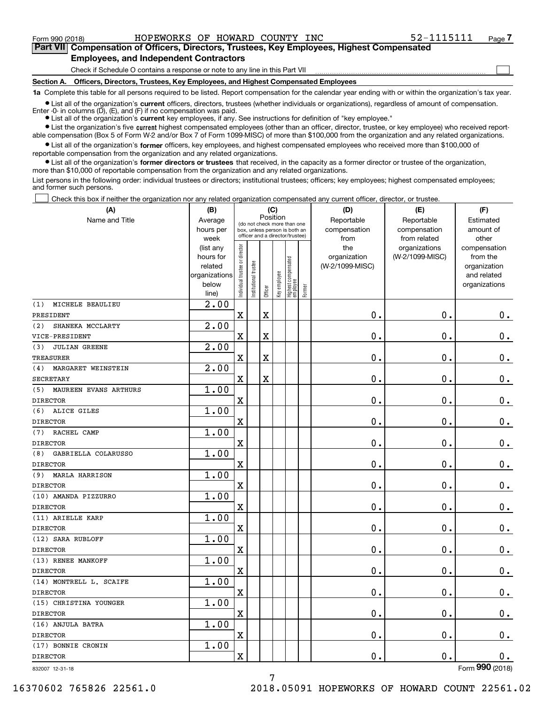$\mathcal{L}^{\text{max}}$ 

# **7Part VII Compensation of Officers, Directors, Trustees, Key Employees, Highest Compensated Employees, and Independent Contractors**

Check if Schedule O contains a response or note to any line in this Part VII

**Section A. Officers, Directors, Trustees, Key Employees, and Highest Compensated Employees**

**1a**  Complete this table for all persons required to be listed. Report compensation for the calendar year ending with or within the organization's tax year.

**•** List all of the organization's current officers, directors, trustees (whether individuals or organizations), regardless of amount of compensation. Enter -0- in columns  $(D)$ ,  $(E)$ , and  $(F)$  if no compensation was paid.

● List all of the organization's **current** key employees, if any. See instructions for definition of "key employee."

**•** List the organization's five current highest compensated employees (other than an officer, director, trustee, or key employee) who received reportable compensation (Box 5 of Form W-2 and/or Box 7 of Form 1099-MISC) of more than \$100,000 from the organization and any related organizations.

 $\bullet$  List all of the organization's **former** officers, key employees, and highest compensated employees who received more than \$100,000 of reportable compensation from the organization and any related organizations.

**•** List all of the organization's former directors or trustees that received, in the capacity as a former director or trustee of the organization, more than \$10,000 of reportable compensation from the organization and any related organizations.

List persons in the following order: individual trustees or directors; institutional trustees; officers; key employees; highest compensated employees; and former such persons.

Check this box if neither the organization nor any related organization compensated any current officer, director, or trustee.  $\mathcal{L}^{\text{max}}$ 

| (A)                          | (B)            | (C)                            |                       |             |              |                                  |        | (D)             | (E)             | (F)             |
|------------------------------|----------------|--------------------------------|-----------------------|-------------|--------------|----------------------------------|--------|-----------------|-----------------|-----------------|
| Name and Title               | Average        |                                |                       | Position    |              | (do not check more than one      |        | Reportable      | Reportable      | Estimated       |
|                              | hours per      |                                |                       |             |              | box, unless person is both an    |        | compensation    | compensation    | amount of       |
|                              | week           |                                |                       |             |              | officer and a director/trustee)  |        | from            | from related    | other           |
|                              | (list any      |                                |                       |             |              |                                  |        | the             | organizations   | compensation    |
|                              | hours for      |                                |                       |             |              |                                  |        | organization    | (W-2/1099-MISC) | from the        |
|                              | related        |                                |                       |             |              |                                  |        | (W-2/1099-MISC) |                 | organization    |
|                              | organizations  |                                |                       |             |              |                                  |        |                 |                 | and related     |
|                              | below<br>line) | Individual trustee or director | Institutional trustee | Officer     | Key employee | Highest compensated<br> employee | Former |                 |                 | organizations   |
| MICHELE BEAULIEU<br>(1)      | 2.00           |                                |                       |             |              |                                  |        |                 |                 |                 |
| PRESIDENT                    |                | $\overline{\mathbf{X}}$        |                       | $\mathbf X$ |              |                                  |        | 0.              | 0.              | 0.              |
| SHANEKA MCCLARTY<br>(2)      | 2.00           |                                |                       |             |              |                                  |        |                 |                 |                 |
| VICE-PRESIDENT               |                | $\overline{\mathbf{X}}$        |                       | $\mathbf X$ |              |                                  |        | 0.              | 0.              | $\mathbf 0$ .   |
| <b>JULIAN GREENE</b><br>(3)  | 2.00           |                                |                       |             |              |                                  |        |                 |                 |                 |
| <b>TREASURER</b>             |                | $\overline{\mathbf{X}}$        |                       | $\mathbf X$ |              |                                  |        | 0.              | 0.              | $\mathbf 0$ .   |
| MARGARET WEINSTEIN<br>(4)    | 2.00           |                                |                       |             |              |                                  |        |                 |                 |                 |
| <b>SECRETARY</b>             |                | $\overline{\mathbf{X}}$        |                       | $\mathbf X$ |              |                                  |        | 0.              | 0.              | $\mathbf 0$ .   |
| MAUREEN EVANS ARTHURS<br>(5) | 1.00           |                                |                       |             |              |                                  |        |                 |                 |                 |
| <b>DIRECTOR</b>              |                | X                              |                       |             |              |                                  |        | 0.              | 0.              | $\mathbf 0$ .   |
| ALICE GILES<br>(6)           | 1.00           |                                |                       |             |              |                                  |        |                 |                 |                 |
| <b>DIRECTOR</b>              |                | X                              |                       |             |              |                                  |        | 0.              | 0.              | $\mathbf 0$ .   |
| RACHEL CAMP<br>(7)           | 1.00           |                                |                       |             |              |                                  |        |                 |                 |                 |
| <b>DIRECTOR</b>              |                | X                              |                       |             |              |                                  |        | 0.              | 0.              | $\mathbf 0$ .   |
| GABRIELLA COLARUSSO<br>(8)   | 1.00           |                                |                       |             |              |                                  |        |                 |                 |                 |
| <b>DIRECTOR</b>              |                | X                              |                       |             |              |                                  |        | 0.              | 0.              | $\mathbf 0$ .   |
| <b>MARLA HARRISON</b><br>(9) | 1.00           |                                |                       |             |              |                                  |        |                 |                 |                 |
| <b>DIRECTOR</b>              |                | X                              |                       |             |              |                                  |        | 0.              | 0.              | $\mathbf 0$ .   |
| (10) AMANDA PIZZURRO         | 1.00           |                                |                       |             |              |                                  |        |                 |                 |                 |
| <b>DIRECTOR</b>              |                | X                              |                       |             |              |                                  |        | 0.              | 0.              | $\mathbf 0$ .   |
| (11) ARIELLE KARP            | 1.00           |                                |                       |             |              |                                  |        |                 |                 |                 |
| <b>DIRECTOR</b>              |                | X                              |                       |             |              |                                  |        | 0.              | 0.              | $\mathbf 0$ .   |
| (12) SARA RUBLOFF            | 1.00           |                                |                       |             |              |                                  |        |                 |                 |                 |
| <b>DIRECTOR</b>              |                | X                              |                       |             |              |                                  |        | 0.              | 0.              | $\mathbf 0$ .   |
| (13) RENEE MANKOFF           | 1.00           |                                |                       |             |              |                                  |        |                 |                 |                 |
| <b>DIRECTOR</b>              |                | X                              |                       |             |              |                                  |        | 0.              | 0.              | 0.              |
| (14) MONTRELL L. SCAIFE      | 1.00           |                                |                       |             |              |                                  |        |                 |                 |                 |
| <b>DIRECTOR</b>              |                | $\mathbf X$                    |                       |             |              |                                  |        | 0.              | 0.              | 0.              |
| (15) CHRISTINA YOUNGER       | 1.00           |                                |                       |             |              |                                  |        |                 |                 |                 |
| <b>DIRECTOR</b>              |                | $\mathbf X$                    |                       |             |              |                                  |        | $0$ .           | $\mathbf 0$ .   | 0.              |
| (16) ANJULA BATRA            | 1.00           |                                |                       |             |              |                                  |        |                 |                 |                 |
| DIRECTOR                     |                | $\mathbf X$                    |                       |             |              |                                  |        | 0.              | $\mathbf 0$ .   | 0.              |
| (17) BONNIE CRONIN           | 1.00           |                                |                       |             |              |                                  |        |                 |                 |                 |
| DIRECTOR                     |                | $\mathbf X$                    |                       |             |              |                                  |        | $\mathbf 0$ .   | $\mathbf 0$ .   | 0.              |
| 832007 12-31-18              |                |                                |                       |             |              |                                  |        |                 |                 | Form 990 (2018) |

832007 12-31-18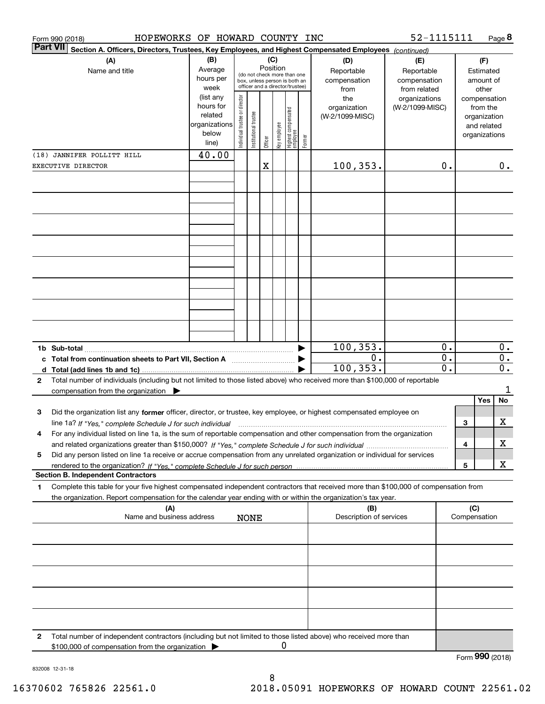|    | HOPEWORKS OF HOWARD COUNTY INC<br>Form 990 (2018)                                                                                               |               |                                |                       |          |              |                                                              |        |                         | 52-1115111      |                  |     |                  | Page 8           |
|----|-------------------------------------------------------------------------------------------------------------------------------------------------|---------------|--------------------------------|-----------------------|----------|--------------|--------------------------------------------------------------|--------|-------------------------|-----------------|------------------|-----|------------------|------------------|
|    | <b>Part VII</b><br>Section A. Officers, Directors, Trustees, Key Employees, and Highest Compensated Employees (continued)                       |               |                                |                       |          |              |                                                              |        |                         |                 |                  |     |                  |                  |
|    | (A)                                                                                                                                             | (B)           |                                |                       |          | (C)          |                                                              |        | (D)                     | (E)             |                  |     | (F)              |                  |
|    | Name and title                                                                                                                                  | Average       |                                |                       | Position |              |                                                              |        | Reportable              | Reportable      |                  |     | Estimated        |                  |
|    |                                                                                                                                                 | hours per     |                                |                       |          |              | (do not check more than one<br>box, unless person is both an |        | compensation            | compensation    |                  |     | amount of        |                  |
|    |                                                                                                                                                 | week          |                                |                       |          |              | officer and a director/trustee)                              |        | from                    | from related    |                  |     | other            |                  |
|    |                                                                                                                                                 | (list any     |                                |                       |          |              |                                                              |        | the                     | organizations   |                  |     | compensation     |                  |
|    |                                                                                                                                                 | hours for     |                                |                       |          |              |                                                              |        | organization            | (W-2/1099-MISC) |                  |     | from the         |                  |
|    |                                                                                                                                                 | related       |                                |                       |          |              |                                                              |        | (W-2/1099-MISC)         |                 |                  |     | organization     |                  |
|    |                                                                                                                                                 | organizations |                                |                       |          |              |                                                              |        |                         |                 |                  |     | and related      |                  |
|    |                                                                                                                                                 | below         | Individual trustee or director | Institutional trustee |          | key employee |                                                              |        |                         |                 |                  |     | organizations    |                  |
|    |                                                                                                                                                 | line)         |                                |                       | Officer  |              | Highest compensated<br> employee                             | Former |                         |                 |                  |     |                  |                  |
|    | (18) JANNIFER POLLITT HILL                                                                                                                      | 40.00         |                                |                       |          |              |                                                              |        |                         |                 |                  |     |                  |                  |
|    | EXECUTIVE DIRECTOR                                                                                                                              |               |                                |                       | X        |              |                                                              |        | 100, 353.               |                 | 0.               |     |                  | 0.               |
|    |                                                                                                                                                 |               |                                |                       |          |              |                                                              |        |                         |                 |                  |     |                  |                  |
|    |                                                                                                                                                 |               |                                |                       |          |              |                                                              |        |                         |                 |                  |     |                  |                  |
|    |                                                                                                                                                 |               |                                |                       |          |              |                                                              |        |                         |                 |                  |     |                  |                  |
|    |                                                                                                                                                 |               |                                |                       |          |              |                                                              |        |                         |                 |                  |     |                  |                  |
|    |                                                                                                                                                 |               |                                |                       |          |              |                                                              |        |                         |                 |                  |     |                  |                  |
|    |                                                                                                                                                 |               |                                |                       |          |              |                                                              |        |                         |                 |                  |     |                  |                  |
|    |                                                                                                                                                 |               |                                |                       |          |              |                                                              |        |                         |                 |                  |     |                  |                  |
|    |                                                                                                                                                 |               |                                |                       |          |              |                                                              |        |                         |                 |                  |     |                  |                  |
|    |                                                                                                                                                 |               |                                |                       |          |              |                                                              |        |                         |                 |                  |     |                  |                  |
|    |                                                                                                                                                 |               |                                |                       |          |              |                                                              |        |                         |                 |                  |     |                  |                  |
|    |                                                                                                                                                 |               |                                |                       |          |              |                                                              |        |                         |                 |                  |     |                  |                  |
|    |                                                                                                                                                 |               |                                |                       |          |              |                                                              |        |                         |                 |                  |     |                  |                  |
|    |                                                                                                                                                 |               |                                |                       |          |              |                                                              |        |                         |                 |                  |     |                  |                  |
|    |                                                                                                                                                 |               |                                |                       |          |              |                                                              |        |                         |                 |                  |     |                  |                  |
|    |                                                                                                                                                 |               |                                |                       |          |              |                                                              |        |                         |                 |                  |     |                  |                  |
|    |                                                                                                                                                 |               |                                |                       |          |              |                                                              |        |                         |                 |                  |     |                  |                  |
|    |                                                                                                                                                 |               |                                |                       |          |              |                                                              |        |                         |                 |                  |     |                  |                  |
|    |                                                                                                                                                 |               |                                |                       |          |              |                                                              |        | 100, 353.               |                 | 0.               |     |                  | $\overline{0}$ . |
|    | c Total from continuation sheets to Part VII, Section A manufactured by                                                                         |               |                                |                       |          |              |                                                              |        | 0.                      |                 | $\overline{0}$ . |     |                  | $\overline{0}$ . |
|    |                                                                                                                                                 |               |                                |                       |          |              |                                                              |        | 100, 353.               |                 | $\overline{0}$ . |     |                  | $\overline{0}$ . |
| 2  | Total number of individuals (including but not limited to those listed above) who received more than \$100,000 of reportable                    |               |                                |                       |          |              |                                                              |        |                         |                 |                  |     |                  |                  |
|    | compensation from the organization $\blacktriangleright$                                                                                        |               |                                |                       |          |              |                                                              |        |                         |                 |                  |     |                  | 1                |
|    |                                                                                                                                                 |               |                                |                       |          |              |                                                              |        |                         |                 |                  |     | Yes              | No               |
|    |                                                                                                                                                 |               |                                |                       |          |              |                                                              |        |                         |                 |                  |     |                  |                  |
| 3  | Did the organization list any former officer, director, or trustee, key employee, or highest compensated employee on                            |               |                                |                       |          |              |                                                              |        |                         |                 |                  |     |                  | X                |
|    | line 1a? If "Yes," complete Schedule J for such individual manufactured contained and the 1a? If "Yes," complete Schedule J for such individual |               |                                |                       |          |              |                                                              |        |                         |                 |                  | 3   |                  |                  |
|    | For any individual listed on line 1a, is the sum of reportable compensation and other compensation from the organization                        |               |                                |                       |          |              |                                                              |        |                         |                 |                  |     |                  |                  |
|    |                                                                                                                                                 |               |                                |                       |          |              |                                                              |        |                         |                 |                  | 4   |                  | х                |
| 5  | Did any person listed on line 1a receive or accrue compensation from any unrelated organization or individual for services                      |               |                                |                       |          |              |                                                              |        |                         |                 |                  |     |                  |                  |
|    |                                                                                                                                                 |               |                                |                       |          |              |                                                              |        |                         |                 |                  | 5   |                  | х                |
|    | <b>Section B. Independent Contractors</b>                                                                                                       |               |                                |                       |          |              |                                                              |        |                         |                 |                  |     |                  |                  |
| 1. | Complete this table for your five highest compensated independent contractors that received more than \$100,000 of compensation from            |               |                                |                       |          |              |                                                              |        |                         |                 |                  |     |                  |                  |
|    | the organization. Report compensation for the calendar year ending with or within the organization's tax year.                                  |               |                                |                       |          |              |                                                              |        |                         |                 |                  |     |                  |                  |
|    | (A)                                                                                                                                             |               |                                |                       |          |              |                                                              |        | (B)                     |                 |                  | (C) |                  |                  |
|    | Name and business address                                                                                                                       |               |                                | <b>NONE</b>           |          |              |                                                              |        | Description of services |                 |                  |     | Compensation     |                  |
|    |                                                                                                                                                 |               |                                |                       |          |              |                                                              |        |                         |                 |                  |     |                  |                  |
|    |                                                                                                                                                 |               |                                |                       |          |              |                                                              |        |                         |                 |                  |     |                  |                  |
|    |                                                                                                                                                 |               |                                |                       |          |              |                                                              |        |                         |                 |                  |     |                  |                  |
|    |                                                                                                                                                 |               |                                |                       |          |              |                                                              |        |                         |                 |                  |     |                  |                  |
|    |                                                                                                                                                 |               |                                |                       |          |              |                                                              |        |                         |                 |                  |     |                  |                  |
|    |                                                                                                                                                 |               |                                |                       |          |              |                                                              |        |                         |                 |                  |     |                  |                  |
|    |                                                                                                                                                 |               |                                |                       |          |              |                                                              |        |                         |                 |                  |     |                  |                  |
|    |                                                                                                                                                 |               |                                |                       |          |              |                                                              |        |                         |                 |                  |     |                  |                  |
|    |                                                                                                                                                 |               |                                |                       |          |              |                                                              |        |                         |                 |                  |     |                  |                  |
|    |                                                                                                                                                 |               |                                |                       |          |              |                                                              |        |                         |                 |                  |     |                  |                  |
|    |                                                                                                                                                 |               |                                |                       |          |              |                                                              |        |                         |                 |                  |     |                  |                  |
| 2  | Total number of independent contractors (including but not limited to those listed above) who received more than                                |               |                                |                       |          |              |                                                              |        |                         |                 |                  |     |                  |                  |
|    | \$100,000 of compensation from the organization                                                                                                 |               |                                |                       |          |              | 0                                                            |        |                         |                 |                  |     | $000 \times 100$ |                  |

Form (2018) **990**

832008 12-31-18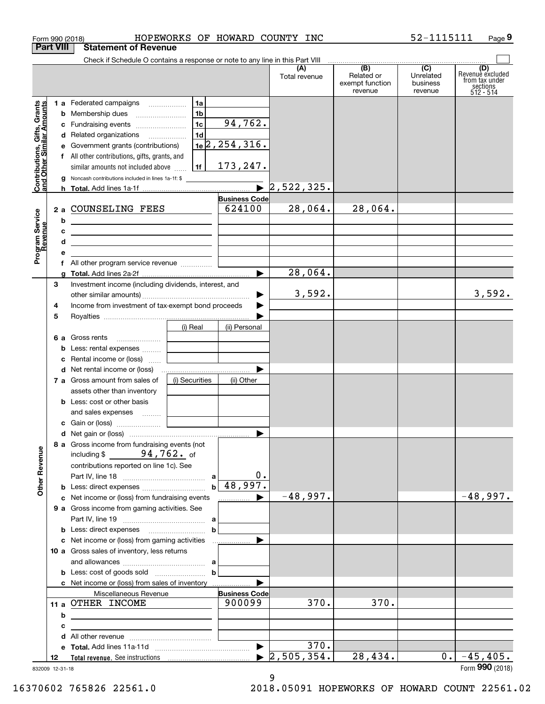| Form 990 (2018)                                           | HOPEWORKS OF HOWARD COUNTY INC                                                                                                                      |                                        |                                  |                                                                                                                           | 52-1115111            | Page 9                                    |
|-----------------------------------------------------------|-----------------------------------------------------------------------------------------------------------------------------------------------------|----------------------------------------|----------------------------------|---------------------------------------------------------------------------------------------------------------------------|-----------------------|-------------------------------------------|
| <b>Part VIII</b>                                          | <b>Statement of Revenue</b>                                                                                                                         |                                        |                                  |                                                                                                                           |                       |                                           |
|                                                           | Check if Schedule O contains a response or note to any line in this Part VIII                                                                       |                                        | (A)<br>Total revenue             | $\begin{array}{c c c c c c} \hline \textbf{(B)} & \textbf{(C)} & \textbf{c} \end{array}$<br>Related or<br>exempt function | Unrelated<br>business | (D)<br>Revenue excluded<br>from tax under |
|                                                           | 1 a Federated campaigns<br>1a                                                                                                                       |                                        |                                  | revenue                                                                                                                   | revenue               | sections<br>512 - 514                     |
|                                                           | 1 <sub>b</sub><br>b<br>1c<br>Fundraising events<br>c                                                                                                | 94,762.                                |                                  |                                                                                                                           |                       |                                           |
|                                                           | 1 <sub>d</sub><br>d Related organizations                                                                                                           |                                        |                                  |                                                                                                                           |                       |                                           |
|                                                           | Government grants (contributions)<br>е<br>f All other contributions, gifts, grants, and                                                             | $1e$ 2, 254, 316.                      |                                  |                                                                                                                           |                       |                                           |
| Contributions, Gifts, Grants<br>and Other Similar Amounts | 1f<br>similar amounts not included above                                                                                                            | 173,247.                               |                                  |                                                                                                                           |                       |                                           |
|                                                           | Noncash contributions included in lines 1a-1f: \$<br>g                                                                                              |                                        |                                  |                                                                                                                           |                       |                                           |
|                                                           |                                                                                                                                                     | $\blacksquare$<br><b>Business Code</b> | 2,522,325.                       |                                                                                                                           |                       |                                           |
|                                                           | 2 a COUNSELING FEES                                                                                                                                 | 624100                                 | 28,064.                          | 28,064.                                                                                                                   |                       |                                           |
|                                                           | b<br><u> 1989 - Johann Barn, fransk politik amerikansk politik (</u>                                                                                |                                        |                                  |                                                                                                                           |                       |                                           |
| Program Service<br>Revenue                                | с<br><u> 1989 - Johann Harry Harry Harry Harry Harry Harry Harry Harry Harry Harry Harry Harry Harry Harry Harry Harry</u><br>d                     |                                        |                                  |                                                                                                                           |                       |                                           |
|                                                           | <u> 1989 - Johann Barn, mars et al. (b. 1989)</u><br>е<br>the control of the control of the control of the control of the control of the control of |                                        |                                  |                                                                                                                           |                       |                                           |
|                                                           | f All other program service revenue                                                                                                                 |                                        |                                  |                                                                                                                           |                       |                                           |
| 3                                                         | g<br>Investment income (including dividends, interest, and                                                                                          |                                        | 28,064.                          |                                                                                                                           |                       |                                           |
|                                                           |                                                                                                                                                     |                                        | 3,592.                           |                                                                                                                           |                       | 3,592.                                    |
| 4                                                         | Income from investment of tax-exempt bond proceeds                                                                                                  |                                        |                                  |                                                                                                                           |                       |                                           |
| 5                                                         | (i) Real                                                                                                                                            | (ii) Personal                          |                                  |                                                                                                                           |                       |                                           |
|                                                           | 6 a Gross rents                                                                                                                                     |                                        |                                  |                                                                                                                           |                       |                                           |
|                                                           | Less: rental expenses<br>b<br>the control of the control of the control of                                                                          |                                        |                                  |                                                                                                                           |                       |                                           |
|                                                           | Rental income or (loss)<br>c<br>and the control of the control of                                                                                   |                                        |                                  |                                                                                                                           |                       |                                           |
|                                                           | 7 a Gross amount from sales of<br>(i) Securities                                                                                                    | (ii) Other                             |                                  |                                                                                                                           |                       |                                           |
|                                                           | assets other than inventory                                                                                                                         |                                        |                                  |                                                                                                                           |                       |                                           |
|                                                           | <b>b</b> Less: cost or other basis                                                                                                                  |                                        |                                  |                                                                                                                           |                       |                                           |
|                                                           | and sales expenses                                                                                                                                  |                                        |                                  |                                                                                                                           |                       |                                           |
|                                                           |                                                                                                                                                     |                                        |                                  |                                                                                                                           |                       |                                           |
| <b>Other Revenue</b>                                      | 8 a Gross income from fundraising events (not<br>including $$94,762.$ of                                                                            |                                        |                                  |                                                                                                                           |                       |                                           |
|                                                           | contributions reported on line 1c). See                                                                                                             |                                        |                                  |                                                                                                                           |                       |                                           |
|                                                           |                                                                                                                                                     | $0$ .<br>$b \mid 48,997.$              |                                  |                                                                                                                           |                       |                                           |
|                                                           | c Net income or (loss) from fundraising events                                                                                                      | ▶<br>.                                 | $-48,997.$                       |                                                                                                                           |                       | $-48,997.$                                |
|                                                           | 9 a Gross income from gaming activities. See                                                                                                        |                                        |                                  |                                                                                                                           |                       |                                           |
|                                                           |                                                                                                                                                     |                                        |                                  |                                                                                                                           |                       |                                           |
|                                                           | $\mathbf b$                                                                                                                                         |                                        |                                  |                                                                                                                           |                       |                                           |
|                                                           | 10 a Gross sales of inventory, less returns                                                                                                         |                                        |                                  |                                                                                                                           |                       |                                           |
|                                                           |                                                                                                                                                     |                                        |                                  |                                                                                                                           |                       |                                           |
|                                                           | b                                                                                                                                                   |                                        |                                  |                                                                                                                           |                       |                                           |
|                                                           | c Net income or (loss) from sales of inventory<br>Miscellaneous Revenue                                                                             | <b>Business Code</b>                   |                                  |                                                                                                                           |                       |                                           |
|                                                           | 11 a OTHER INCOME                                                                                                                                   | 900099                                 | 370.                             | 370.                                                                                                                      |                       |                                           |
|                                                           | b                                                                                                                                                   |                                        |                                  |                                                                                                                           |                       |                                           |
|                                                           | с<br>the control of the control of the control of the control of the control of                                                                     |                                        |                                  |                                                                                                                           |                       |                                           |
|                                                           | d<br>е                                                                                                                                              |                                        | 370.                             |                                                                                                                           |                       |                                           |
| 12                                                        |                                                                                                                                                     |                                        | $\blacktriangleright$ 2,505,354. | 28,434.                                                                                                                   | $0$ .                 | $-45,405$ .                               |
| 832009 12-31-18                                           |                                                                                                                                                     |                                        |                                  |                                                                                                                           |                       | Form 990 (2018)                           |

832009 12-31-18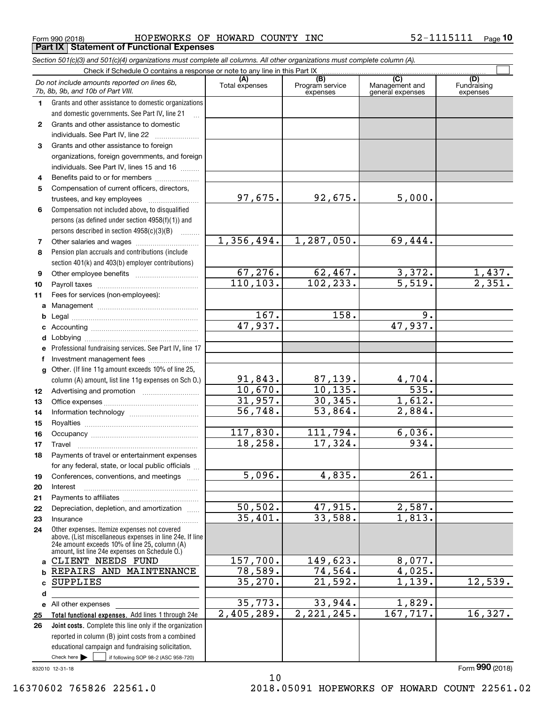Form 990 (2018) HOPEWORKS OF HOWARD COUNTY INC 52-1115111 <sub>Page</sub> **Part IX Statement of Functional Expenses**

|              | Section 501(c)(3) and 501(c)(4) organizations must complete all columns. All other organizations must complete column (A).                                                                                  |                       |                                    |                                           |                                |
|--------------|-------------------------------------------------------------------------------------------------------------------------------------------------------------------------------------------------------------|-----------------------|------------------------------------|-------------------------------------------|--------------------------------|
|              | Check if Schedule O contains a response or note to any line in this Part IX                                                                                                                                 |                       |                                    |                                           |                                |
|              | Do not include amounts reported on lines 6b,<br>7b, 8b, 9b, and 10b of Part VIII.                                                                                                                           | (A)<br>Total expenses | (B)<br>Program service<br>expenses | (C)<br>Management and<br>general expenses | (D)<br>Fundraising<br>expenses |
| 1.           | Grants and other assistance to domestic organizations                                                                                                                                                       |                       |                                    |                                           |                                |
|              | and domestic governments. See Part IV, line 21                                                                                                                                                              |                       |                                    |                                           |                                |
| $\mathbf{2}$ | Grants and other assistance to domestic                                                                                                                                                                     |                       |                                    |                                           |                                |
|              | individuals. See Part IV, line 22                                                                                                                                                                           |                       |                                    |                                           |                                |
| 3            | Grants and other assistance to foreign                                                                                                                                                                      |                       |                                    |                                           |                                |
|              | organizations, foreign governments, and foreign                                                                                                                                                             |                       |                                    |                                           |                                |
|              | individuals. See Part IV, lines 15 and 16                                                                                                                                                                   |                       |                                    |                                           |                                |
| 4            | Benefits paid to or for members                                                                                                                                                                             |                       |                                    |                                           |                                |
| 5            | Compensation of current officers, directors,                                                                                                                                                                |                       |                                    |                                           |                                |
|              | trustees, and key employees                                                                                                                                                                                 | 97,675.               | 92,675.                            | 5,000.                                    |                                |
| 6            | Compensation not included above, to disqualified                                                                                                                                                            |                       |                                    |                                           |                                |
|              | persons (as defined under section 4958(f)(1)) and                                                                                                                                                           |                       |                                    |                                           |                                |
|              | persons described in section 4958(c)(3)(B)                                                                                                                                                                  |                       |                                    |                                           |                                |
| 7            |                                                                                                                                                                                                             | 1,356,494.            | 1,287,050.                         | 69,444.                                   |                                |
| 8            | Pension plan accruals and contributions (include                                                                                                                                                            |                       |                                    |                                           |                                |
|              | section 401(k) and 403(b) employer contributions)                                                                                                                                                           |                       |                                    |                                           |                                |
| 9            |                                                                                                                                                                                                             | 67,276.               | 62,467.                            | 3,372.<br>$\overline{5,519}$ .            | $\frac{1,437}{2,351}$          |
| 10           |                                                                                                                                                                                                             | 110, 103.             | 102, 233.                          |                                           |                                |
| 11           | Fees for services (non-employees):                                                                                                                                                                          |                       |                                    |                                           |                                |
| a            |                                                                                                                                                                                                             | 167.                  | 158.                               | $\overline{9}$ .                          |                                |
| b            |                                                                                                                                                                                                             | 47,937.               |                                    | 47,937.                                   |                                |
| c            |                                                                                                                                                                                                             |                       |                                    |                                           |                                |
| d            |                                                                                                                                                                                                             |                       |                                    |                                           |                                |
| е            | Professional fundraising services. See Part IV, line 17                                                                                                                                                     |                       |                                    |                                           |                                |
| f            | Investment management fees<br>Other. (If line 11g amount exceeds 10% of line 25,                                                                                                                            |                       |                                    |                                           |                                |
| g            | column (A) amount, list line 11g expenses on Sch 0.)                                                                                                                                                        | 91,843.               |                                    |                                           |                                |
| 12           |                                                                                                                                                                                                             | 10,670.               | $\frac{87,139.}{10,135.}$          | $\frac{4,704.}{535.}$                     |                                |
| 13           |                                                                                                                                                                                                             | 31,957.               | 30, 345.                           | 1,612.                                    |                                |
| 14           |                                                                                                                                                                                                             | 56,748.               | 53,864.                            | 2,884.                                    |                                |
| 15           |                                                                                                                                                                                                             |                       |                                    |                                           |                                |
| 16           |                                                                                                                                                                                                             | 117,830.              | 111,794.                           | 6,036.                                    |                                |
| 17           |                                                                                                                                                                                                             | 18, 258.              | 17,324.                            | 934.                                      |                                |
| 18           | Payments of travel or entertainment expenses                                                                                                                                                                |                       |                                    |                                           |                                |
|              | for any federal, state, or local public officials                                                                                                                                                           |                       |                                    |                                           |                                |
| 19           | Conferences, conventions, and meetings                                                                                                                                                                      | $\overline{5,096}$ .  | 4,835.                             | 261.                                      |                                |
| 20           | Interest                                                                                                                                                                                                    |                       |                                    |                                           |                                |
| 21           |                                                                                                                                                                                                             |                       |                                    |                                           |                                |
| 22           | Depreciation, depletion, and amortization                                                                                                                                                                   | 50, 502.              | 47,915.                            | 2,587.                                    |                                |
| 23           | Insurance                                                                                                                                                                                                   | 35,401.               | 33,588.                            | 1,813.                                    |                                |
| 24           | Other expenses. Itemize expenses not covered<br>above. (List miscellaneous expenses in line 24e. If line<br>24e amount exceeds 10% of line 25, column (A)<br>amount, list line 24e expenses on Schedule 0.) |                       |                                    |                                           |                                |
| a            | CLIENT NEEDS FUND                                                                                                                                                                                           | 157,700.              | 149,623.                           | 8,077.                                    |                                |
| b            | REPAIRS AND MAINTENANCE                                                                                                                                                                                     | 78,589.               | 74,564.                            | 4,025.                                    |                                |
| c            | <b>SUPPLIES</b>                                                                                                                                                                                             | 35, 270.              | $\overline{21,592}$ .              | 1,139.                                    | 12,539.                        |
| d            |                                                                                                                                                                                                             |                       |                                    |                                           |                                |
|              | e All other expenses                                                                                                                                                                                        | 35,773.               | 33,944.                            | 1,829.                                    |                                |
| 25           | Total functional expenses. Add lines 1 through 24e                                                                                                                                                          | 2,405,289.            | 2, 221, 245.                       | 167, 717.                                 | 16,327.                        |
| 26           | Joint costs. Complete this line only if the organization                                                                                                                                                    |                       |                                    |                                           |                                |
|              | reported in column (B) joint costs from a combined                                                                                                                                                          |                       |                                    |                                           |                                |
|              | educational campaign and fundraising solicitation.                                                                                                                                                          |                       |                                    |                                           |                                |
|              | Check here $\blacktriangleright$<br>if following SOP 98-2 (ASC 958-720)                                                                                                                                     |                       |                                    |                                           |                                |

10

832010 12-31-18

16370602 765826 22561.0 2018.05091 HOPEWORKS OF HOWARD COUNT 22561.02

Form (2018) **990**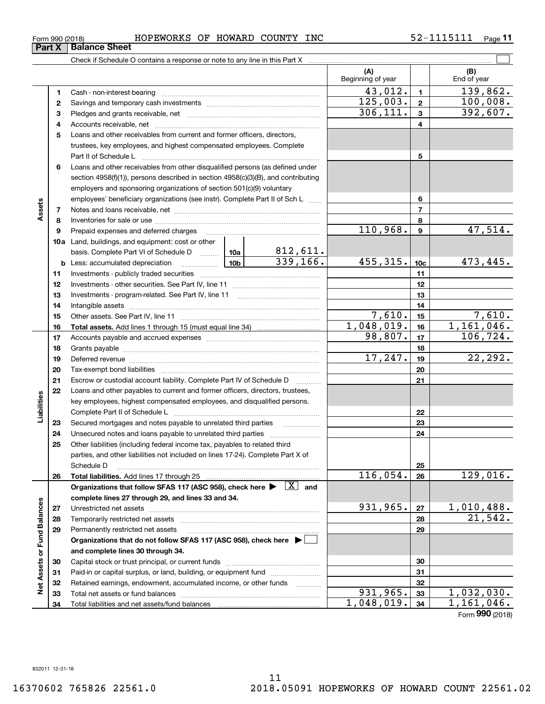| Form 990 (2018) | HOPEWORKS            | OF | HOWARD<br>COUNTY | . ـ<br>INC<br>$\prime$ $-$<br>----- | Page |
|-----------------|----------------------|----|------------------|-------------------------------------|------|
| <b>Part X</b>   | <b>Balance Sheet</b> |    |                  |                                     |      |

Check if Schedule O contains a response or note to any line in this Part X

|                             |    |                                                                                                                           |               |                     | (A)<br>Beginning of year |                 | (B)<br>End of year       |
|-----------------------------|----|---------------------------------------------------------------------------------------------------------------------------|---------------|---------------------|--------------------------|-----------------|--------------------------|
|                             | 1  |                                                                                                                           |               |                     | 43,012.                  | $\mathbf{1}$    | 139,862.                 |
|                             | 2  |                                                                                                                           |               |                     | 125,003.                 | $\overline{2}$  | 100,008.                 |
|                             | З  |                                                                                                                           |               |                     | 306, 111.                | $\mathbf{3}$    | 392,607.                 |
|                             | 4  |                                                                                                                           |               |                     |                          | 4               |                          |
|                             | 5  | Loans and other receivables from current and former officers, directors,                                                  |               |                     |                          |                 |                          |
|                             |    | trustees, key employees, and highest compensated employees. Complete                                                      |               |                     |                          |                 |                          |
|                             |    |                                                                                                                           |               |                     |                          | 5               |                          |
|                             | 6  | Loans and other receivables from other disqualified persons (as defined under                                             |               |                     |                          |                 |                          |
|                             |    | section 4958(f)(1)), persons described in section 4958(c)(3)(B), and contributing                                         |               |                     |                          |                 |                          |
|                             |    | employers and sponsoring organizations of section 501(c)(9) voluntary                                                     |               |                     |                          |                 |                          |
|                             |    | employees' beneficiary organizations (see instr). Complete Part II of Sch L                                               |               |                     |                          | 6               |                          |
| Assets                      | 7  |                                                                                                                           |               |                     |                          | $\overline{7}$  |                          |
|                             | 8  |                                                                                                                           |               |                     |                          | 8               |                          |
|                             | 9  | Prepaid expenses and deferred charges                                                                                     |               |                     | 110,968.                 | $\mathbf{9}$    | 47,514.                  |
|                             |    | <b>10a</b> Land, buildings, and equipment: cost or other                                                                  |               |                     |                          |                 |                          |
|                             |    | basis. Complete Part VI of Schedule D  10a                                                                                |               | 812,611.            |                          |                 |                          |
|                             |    | <u>  1</u> 0b<br><b>b</b> Less: accumulated depreciation                                                                  |               | 339,166.            | 455,315.                 | 10 <sub>c</sub> | 473,445.                 |
|                             | 11 |                                                                                                                           |               |                     |                          | 11              |                          |
|                             | 12 |                                                                                                                           |               |                     |                          | 12              |                          |
|                             | 13 |                                                                                                                           |               |                     |                          | 13              |                          |
|                             | 14 |                                                                                                                           |               | 14                  |                          |                 |                          |
|                             | 15 |                                                                                                                           |               |                     | 7,610.                   | 15              | 7,610.                   |
|                             | 16 |                                                                                                                           |               |                     | 1,048,019.               | 16              | 1,161,046.               |
|                             | 17 |                                                                                                                           |               |                     | 98,807.                  | 17              | 106, 724.                |
|                             | 18 |                                                                                                                           |               | 18                  |                          |                 |                          |
|                             | 19 | Deferred revenue manual contracts and contracts are all the manual contracts and contracts are contracted and c           | 17, 247.      | 19                  | 22,292.                  |                 |                          |
|                             | 20 |                                                                                                                           |               | 20                  |                          |                 |                          |
|                             | 21 | Escrow or custodial account liability. Complete Part IV of Schedule D                                                     | a a bhailtean |                     | 21                       |                 |                          |
|                             | 22 | Loans and other payables to current and former officers, directors, trustees,                                             |               |                     |                          |                 |                          |
|                             |    | key employees, highest compensated employees, and disqualified persons.                                                   |               |                     |                          |                 |                          |
| Liabilities                 |    | Complete Part II of Schedule L                                                                                            |               |                     |                          | 22              |                          |
|                             | 23 | Secured mortgages and notes payable to unrelated third parties                                                            |               |                     |                          | 23              |                          |
|                             | 24 | Unsecured notes and loans payable to unrelated third parties                                                              |               |                     |                          | 24              |                          |
|                             | 25 | Other liabilities (including federal income tax, payables to related third                                                |               |                     |                          |                 |                          |
|                             |    | parties, and other liabilities not included on lines 17-24). Complete Part X of                                           |               |                     |                          |                 |                          |
|                             |    | Schedule D                                                                                                                |               |                     |                          | 25              |                          |
|                             | 26 |                                                                                                                           |               |                     | 116,054.                 | 26              | 129,016.                 |
|                             |    | Organizations that follow SFAS 117 (ASC 958), check here $\blacktriangleright \begin{array}{c} \boxed{X} \end{array}$ and |               |                     |                          |                 |                          |
|                             |    | complete lines 27 through 29, and lines 33 and 34.                                                                        |               |                     |                          |                 |                          |
|                             | 27 |                                                                                                                           |               |                     | 931,965.                 | 27              | 1,010,488.               |
|                             | 28 | Temporarily restricted net assets                                                                                         |               |                     |                          | 28              | 21,542.                  |
|                             | 29 | Permanently restricted net assets                                                                                         |               |                     |                          | 29              |                          |
| Net Assets or Fund Balances |    | Organizations that do not follow SFAS 117 (ASC 958), check here ▶ □                                                       |               |                     |                          |                 |                          |
|                             |    | and complete lines 30 through 34.                                                                                         |               |                     |                          |                 |                          |
|                             | 30 |                                                                                                                           |               |                     |                          | 30              |                          |
|                             | 31 | Paid-in or capital surplus, or land, building, or equipment fund                                                          |               |                     |                          | 31              |                          |
|                             | 32 | Retained earnings, endowment, accumulated income, or other funds                                                          |               | 1.1.1.1.1.1.1.1.1.1 | 931,965.                 | 32              |                          |
|                             | 33 | Total net assets or fund balances                                                                                         |               |                     | 1,048,019.               | 33              | 1,032,030.<br>1,161,046. |
|                             | 34 |                                                                                                                           |               |                     |                          | 34              |                          |

Form (2018) **990**

 $\mathcal{L}^{\text{max}}$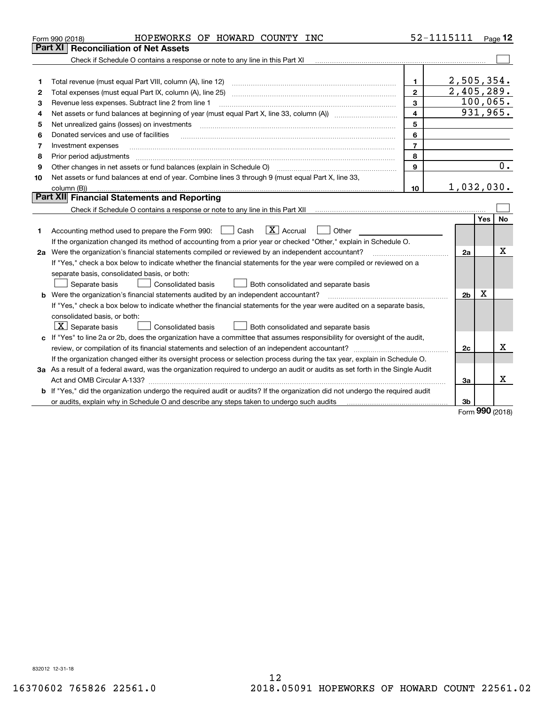|    | HOPEWORKS OF HOWARD COUNTY INC<br>Form 990 (2018)                                                                                                                                                                                                                                                                                                                                                                                                                                                   |                         | 52-1115111     |      | Page $12$        |
|----|-----------------------------------------------------------------------------------------------------------------------------------------------------------------------------------------------------------------------------------------------------------------------------------------------------------------------------------------------------------------------------------------------------------------------------------------------------------------------------------------------------|-------------------------|----------------|------|------------------|
|    | Part XI<br><b>Reconciliation of Net Assets</b>                                                                                                                                                                                                                                                                                                                                                                                                                                                      |                         |                |      |                  |
|    | Check if Schedule O contains a response or note to any line in this Part XI                                                                                                                                                                                                                                                                                                                                                                                                                         |                         |                |      |                  |
|    |                                                                                                                                                                                                                                                                                                                                                                                                                                                                                                     |                         |                |      |                  |
| 1  |                                                                                                                                                                                                                                                                                                                                                                                                                                                                                                     | 1.                      | 2,505,354.     |      |                  |
| 2  | Total expenses (must equal Part IX, column (A), line 25)                                                                                                                                                                                                                                                                                                                                                                                                                                            | $\overline{2}$          | 2,405,289.     |      |                  |
| з  | Revenue less expenses. Subtract line 2 from line 1                                                                                                                                                                                                                                                                                                                                                                                                                                                  | 3                       |                |      | 100,065.         |
| 4  | Net assets or fund balances at beginning of year (must equal Part X, line 33, column (A)) manured manu-                                                                                                                                                                                                                                                                                                                                                                                             | $\overline{\mathbf{4}}$ |                |      | 931,965.         |
| 5  | Net unrealized gains (losses) on investments                                                                                                                                                                                                                                                                                                                                                                                                                                                        | 5                       |                |      |                  |
| 6  | Donated services and use of facilities<br>$\mathcal{L} = \{ \mathcal{L}^{\mathcal{L}}_{\mathcal{L}} \mathcal{L}^{\mathcal{L}}_{\mathcal{L}} \mathcal{L}^{\mathcal{L}}_{\mathcal{L}} \mathcal{L}^{\mathcal{L}}_{\mathcal{L}} \mathcal{L}^{\mathcal{L}}_{\mathcal{L}} \mathcal{L}^{\mathcal{L}}_{\mathcal{L}} \mathcal{L}^{\mathcal{L}}_{\mathcal{L}} \mathcal{L}^{\mathcal{L}}_{\mathcal{L}} \mathcal{L}^{\mathcal{L}}_{\mathcal{L}} \mathcal{L}^{\mathcal{L}}_{\mathcal{L}} \mathcal{L}^{\mathcal{$ | 6                       |                |      |                  |
| 7  | Investment expenses                                                                                                                                                                                                                                                                                                                                                                                                                                                                                 | $\overline{7}$          |                |      |                  |
| 8  | Prior period adjustments                                                                                                                                                                                                                                                                                                                                                                                                                                                                            | 8                       |                |      |                  |
| 9  | Other changes in net assets or fund balances (explain in Schedule O)                                                                                                                                                                                                                                                                                                                                                                                                                                | 9                       |                |      | $\overline{0}$ . |
| 10 | Net assets or fund balances at end of year. Combine lines 3 through 9 (must equal Part X, line 33,                                                                                                                                                                                                                                                                                                                                                                                                  |                         |                |      |                  |
|    | column (B))                                                                                                                                                                                                                                                                                                                                                                                                                                                                                         | 10                      | 1,032,030.     |      |                  |
|    | Part XII Financial Statements and Reporting                                                                                                                                                                                                                                                                                                                                                                                                                                                         |                         |                |      |                  |
|    | Check if Schedule O contains a response or note to any line in this Part XII [11] [11] [11] [11] [11] [11] Check if Schedule O contains a response or note to any line in this Part XII                                                                                                                                                                                                                                                                                                             |                         |                |      |                  |
|    |                                                                                                                                                                                                                                                                                                                                                                                                                                                                                                     |                         |                | Yes  | No               |
| 1  | $\boxed{\mathbf{X}}$ Accrual<br>Accounting method used to prepare the Form 990: <u>I</u> Cash<br>Other                                                                                                                                                                                                                                                                                                                                                                                              |                         |                |      |                  |
|    | If the organization changed its method of accounting from a prior year or checked "Other," explain in Schedule O.                                                                                                                                                                                                                                                                                                                                                                                   |                         |                |      |                  |
|    | 2a Were the organization's financial statements compiled or reviewed by an independent accountant?                                                                                                                                                                                                                                                                                                                                                                                                  |                         | 2a             |      | X                |
|    | If "Yes," check a box below to indicate whether the financial statements for the year were compiled or reviewed on a                                                                                                                                                                                                                                                                                                                                                                                |                         |                |      |                  |
|    | separate basis, consolidated basis, or both:                                                                                                                                                                                                                                                                                                                                                                                                                                                        |                         |                |      |                  |
|    | Separate basis<br>Both consolidated and separate basis<br>Consolidated basis                                                                                                                                                                                                                                                                                                                                                                                                                        |                         |                |      |                  |
|    | <b>b</b> Were the organization's financial statements audited by an independent accountant?                                                                                                                                                                                                                                                                                                                                                                                                         |                         | 2 <sub>b</sub> | х    |                  |
|    | If "Yes," check a box below to indicate whether the financial statements for the year were audited on a separate basis,                                                                                                                                                                                                                                                                                                                                                                             |                         |                |      |                  |
|    | consolidated basis, or both:                                                                                                                                                                                                                                                                                                                                                                                                                                                                        |                         |                |      |                  |
|    | $\boxed{\textbf{X}}$ Separate basis<br>Consolidated basis<br>Both consolidated and separate basis                                                                                                                                                                                                                                                                                                                                                                                                   |                         |                |      |                  |
|    | c If "Yes" to line 2a or 2b, does the organization have a committee that assumes responsibility for oversight of the audit,                                                                                                                                                                                                                                                                                                                                                                         |                         |                |      |                  |
|    |                                                                                                                                                                                                                                                                                                                                                                                                                                                                                                     |                         | 2c             |      | x                |
|    | If the organization changed either its oversight process or selection process during the tax year, explain in Schedule O.                                                                                                                                                                                                                                                                                                                                                                           |                         |                |      |                  |
|    | 3a As a result of a federal award, was the organization required to undergo an audit or audits as set forth in the Single Audit                                                                                                                                                                                                                                                                                                                                                                     |                         |                |      |                  |
|    | Act and OMB Circular A-133?                                                                                                                                                                                                                                                                                                                                                                                                                                                                         |                         | За             |      | x                |
|    | b If "Yes," did the organization undergo the required audit or audits? If the organization did not undergo the required audit                                                                                                                                                                                                                                                                                                                                                                       |                         |                |      |                  |
|    | or audits, explain why in Schedule O and describe any steps taken to undergo such audits                                                                                                                                                                                                                                                                                                                                                                                                            |                         | 3b             |      |                  |
|    |                                                                                                                                                                                                                                                                                                                                                                                                                                                                                                     |                         |                | nnn. |                  |

Form (2018) **990**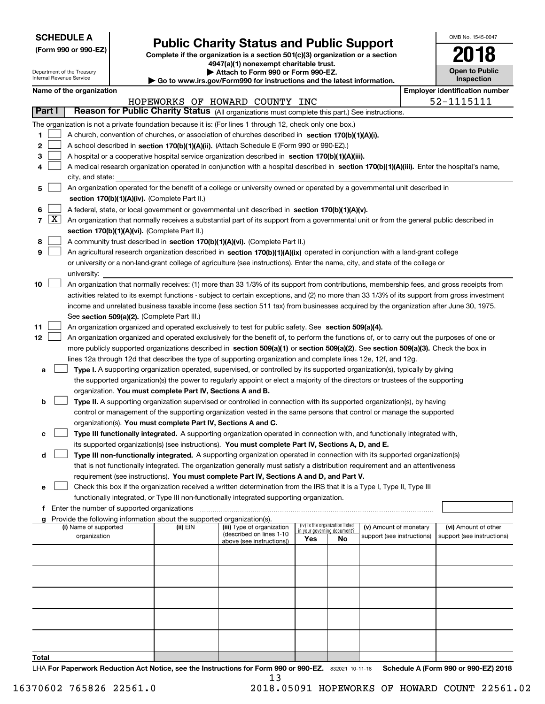| <b>SCHEDULE A</b> |
|-------------------|
|-------------------|

**(Form 990 or 990-EZ)**

# **Public Charity Status and Public Support**

**Complete if the organization is a section 501(c)(3) organization or a section 4947(a)(1) nonexempt charitable trust. | Attach to Form 990 or Form 990-EZ.** 

| OMB No. 1545-0047                   |
|-------------------------------------|
| 2018                                |
| <b>Open to Public</b><br>Inenaction |

| Department of the Treasury<br>Internal Revenue Service |                                                                                                           |                                                                                                                                                                                                 |                                                      |                                                                        | Attach to Form 990 or Form 990-EZ.<br>Go to www.irs.gov/Form990 for instructions and the latest information.                                  |     |                                                                |                            |  | <b>Open to Public</b><br>Inspection   |  |  |
|--------------------------------------------------------|-----------------------------------------------------------------------------------------------------------|-------------------------------------------------------------------------------------------------------------------------------------------------------------------------------------------------|------------------------------------------------------|------------------------------------------------------------------------|-----------------------------------------------------------------------------------------------------------------------------------------------|-----|----------------------------------------------------------------|----------------------------|--|---------------------------------------|--|--|
|                                                        |                                                                                                           | Name of the organization                                                                                                                                                                        |                                                      |                                                                        |                                                                                                                                               |     |                                                                |                            |  | <b>Employer identification number</b> |  |  |
|                                                        | HOPEWORKS OF HOWARD COUNTY INC                                                                            |                                                                                                                                                                                                 |                                                      |                                                                        |                                                                                                                                               |     |                                                                | 52-1115111                 |  |                                       |  |  |
|                                                        | Part I<br>Reason for Public Charity Status (All organizations must complete this part.) See instructions. |                                                                                                                                                                                                 |                                                      |                                                                        |                                                                                                                                               |     |                                                                |                            |  |                                       |  |  |
|                                                        |                                                                                                           |                                                                                                                                                                                                 |                                                      |                                                                        | The organization is not a private foundation because it is: (For lines 1 through 12, check only one box.)                                     |     |                                                                |                            |  |                                       |  |  |
| 1                                                      |                                                                                                           |                                                                                                                                                                                                 |                                                      |                                                                        |                                                                                                                                               |     |                                                                |                            |  |                                       |  |  |
| 2                                                      |                                                                                                           | A church, convention of churches, or association of churches described in section 170(b)(1)(A)(i).<br>A school described in section 170(b)(1)(A)(ii). (Attach Schedule E (Form 990 or 990-EZ).) |                                                      |                                                                        |                                                                                                                                               |     |                                                                |                            |  |                                       |  |  |
| 3                                                      |                                                                                                           | A hospital or a cooperative hospital service organization described in section 170(b)(1)(A)(iii).                                                                                               |                                                      |                                                                        |                                                                                                                                               |     |                                                                |                            |  |                                       |  |  |
| 4                                                      |                                                                                                           | A medical research organization operated in conjunction with a hospital described in section 170(b)(1)(A)(iii). Enter the hospital's name,                                                      |                                                      |                                                                        |                                                                                                                                               |     |                                                                |                            |  |                                       |  |  |
|                                                        |                                                                                                           | city, and state:                                                                                                                                                                                |                                                      |                                                                        |                                                                                                                                               |     |                                                                |                            |  |                                       |  |  |
| 5                                                      |                                                                                                           | An organization operated for the benefit of a college or university owned or operated by a governmental unit described in                                                                       |                                                      |                                                                        |                                                                                                                                               |     |                                                                |                            |  |                                       |  |  |
|                                                        |                                                                                                           | section 170(b)(1)(A)(iv). (Complete Part II.)                                                                                                                                                   |                                                      |                                                                        |                                                                                                                                               |     |                                                                |                            |  |                                       |  |  |
| 6                                                      |                                                                                                           | A federal, state, or local government or governmental unit described in section 170(b)(1)(A)(v).                                                                                                |                                                      |                                                                        |                                                                                                                                               |     |                                                                |                            |  |                                       |  |  |
|                                                        | $7 \times$                                                                                                |                                                                                                                                                                                                 |                                                      |                                                                        | An organization that normally receives a substantial part of its support from a governmental unit or from the general public described in     |     |                                                                |                            |  |                                       |  |  |
|                                                        |                                                                                                           |                                                                                                                                                                                                 |                                                      | section 170(b)(1)(A)(vi). (Complete Part II.)                          |                                                                                                                                               |     |                                                                |                            |  |                                       |  |  |
| 8                                                      |                                                                                                           |                                                                                                                                                                                                 |                                                      |                                                                        | A community trust described in section 170(b)(1)(A)(vi). (Complete Part II.)                                                                  |     |                                                                |                            |  |                                       |  |  |
| 9                                                      |                                                                                                           |                                                                                                                                                                                                 |                                                      |                                                                        | An agricultural research organization described in section 170(b)(1)(A)(ix) operated in conjunction with a land-grant college                 |     |                                                                |                            |  |                                       |  |  |
|                                                        |                                                                                                           |                                                                                                                                                                                                 |                                                      |                                                                        | or university or a non-land-grant college of agriculture (see instructions). Enter the name, city, and state of the college or                |     |                                                                |                            |  |                                       |  |  |
|                                                        |                                                                                                           | university:                                                                                                                                                                                     |                                                      |                                                                        |                                                                                                                                               |     |                                                                |                            |  |                                       |  |  |
| 10                                                     |                                                                                                           |                                                                                                                                                                                                 |                                                      |                                                                        | An organization that normally receives: (1) more than 33 1/3% of its support from contributions, membership fees, and gross receipts from     |     |                                                                |                            |  |                                       |  |  |
|                                                        |                                                                                                           |                                                                                                                                                                                                 |                                                      |                                                                        | activities related to its exempt functions - subject to certain exceptions, and (2) no more than 33 1/3% of its support from gross investment |     |                                                                |                            |  |                                       |  |  |
|                                                        |                                                                                                           |                                                                                                                                                                                                 |                                                      |                                                                        | income and unrelated business taxable income (less section 511 tax) from businesses acquired by the organization after June 30, 1975.         |     |                                                                |                            |  |                                       |  |  |
|                                                        |                                                                                                           |                                                                                                                                                                                                 |                                                      | See section 509(a)(2). (Complete Part III.)                            |                                                                                                                                               |     |                                                                |                            |  |                                       |  |  |
| 11                                                     |                                                                                                           |                                                                                                                                                                                                 |                                                      |                                                                        | An organization organized and operated exclusively to test for public safety. See section 509(a)(4).                                          |     |                                                                |                            |  |                                       |  |  |
| 12                                                     |                                                                                                           |                                                                                                                                                                                                 |                                                      |                                                                        | An organization organized and operated exclusively for the benefit of, to perform the functions of, or to carry out the purposes of one or    |     |                                                                |                            |  |                                       |  |  |
|                                                        |                                                                                                           |                                                                                                                                                                                                 |                                                      |                                                                        | more publicly supported organizations described in section 509(a)(1) or section 509(a)(2). See section 509(a)(3). Check the box in            |     |                                                                |                            |  |                                       |  |  |
|                                                        |                                                                                                           |                                                                                                                                                                                                 |                                                      |                                                                        | lines 12a through 12d that describes the type of supporting organization and complete lines 12e, 12f, and 12g.                                |     |                                                                |                            |  |                                       |  |  |
| а                                                      |                                                                                                           |                                                                                                                                                                                                 |                                                      |                                                                        | Type I. A supporting organization operated, supervised, or controlled by its supported organization(s), typically by giving                   |     |                                                                |                            |  |                                       |  |  |
|                                                        |                                                                                                           |                                                                                                                                                                                                 |                                                      |                                                                        | the supported organization(s) the power to regularly appoint or elect a majority of the directors or trustees of the supporting               |     |                                                                |                            |  |                                       |  |  |
|                                                        |                                                                                                           |                                                                                                                                                                                                 |                                                      | organization. You must complete Part IV, Sections A and B.             |                                                                                                                                               |     |                                                                |                            |  |                                       |  |  |
| b                                                      |                                                                                                           |                                                                                                                                                                                                 |                                                      |                                                                        | Type II. A supporting organization supervised or controlled in connection with its supported organization(s), by having                       |     |                                                                |                            |  |                                       |  |  |
|                                                        |                                                                                                           |                                                                                                                                                                                                 |                                                      |                                                                        | control or management of the supporting organization vested in the same persons that control or manage the supported                          |     |                                                                |                            |  |                                       |  |  |
|                                                        |                                                                                                           |                                                                                                                                                                                                 |                                                      | organization(s). You must complete Part IV, Sections A and C.          |                                                                                                                                               |     |                                                                |                            |  |                                       |  |  |
| с                                                      |                                                                                                           |                                                                                                                                                                                                 |                                                      |                                                                        | Type III functionally integrated. A supporting organization operated in connection with, and functionally integrated with,                    |     |                                                                |                            |  |                                       |  |  |
|                                                        |                                                                                                           |                                                                                                                                                                                                 |                                                      |                                                                        | its supported organization(s) (see instructions). You must complete Part IV, Sections A, D, and E.                                            |     |                                                                |                            |  |                                       |  |  |
| d                                                      |                                                                                                           |                                                                                                                                                                                                 |                                                      |                                                                        | Type III non-functionally integrated. A supporting organization operated in connection with its supported organization(s)                     |     |                                                                |                            |  |                                       |  |  |
|                                                        |                                                                                                           |                                                                                                                                                                                                 |                                                      |                                                                        | that is not functionally integrated. The organization generally must satisfy a distribution requirement and an attentiveness                  |     |                                                                |                            |  |                                       |  |  |
|                                                        |                                                                                                           |                                                                                                                                                                                                 |                                                      |                                                                        | requirement (see instructions). You must complete Part IV, Sections A and D, and Part V.                                                      |     |                                                                |                            |  |                                       |  |  |
| е                                                      |                                                                                                           |                                                                                                                                                                                                 |                                                      |                                                                        | Check this box if the organization received a written determination from the IRS that it is a Type I, Type II, Type III                       |     |                                                                |                            |  |                                       |  |  |
|                                                        |                                                                                                           |                                                                                                                                                                                                 |                                                      |                                                                        | functionally integrated, or Type III non-functionally integrated supporting organization.                                                     |     |                                                                |                            |  |                                       |  |  |
|                                                        |                                                                                                           |                                                                                                                                                                                                 | <b>f</b> Enter the number of supported organizations |                                                                        |                                                                                                                                               |     |                                                                |                            |  |                                       |  |  |
| a                                                      |                                                                                                           |                                                                                                                                                                                                 |                                                      | Provide the following information about the supported organization(s). |                                                                                                                                               |     |                                                                |                            |  |                                       |  |  |
|                                                        |                                                                                                           | (i) Name of supported                                                                                                                                                                           |                                                      | (ii) EIN                                                               | (iii) Type of organization<br>(described on lines 1-10                                                                                        |     | (iv) Is the organization listed<br>in your governing document? | (v) Amount of monetary     |  | (vi) Amount of other                  |  |  |
|                                                        |                                                                                                           | organization                                                                                                                                                                                    |                                                      |                                                                        | above (see instructions))                                                                                                                     | Yes | No                                                             | support (see instructions) |  | support (see instructions)            |  |  |
|                                                        |                                                                                                           |                                                                                                                                                                                                 |                                                      |                                                                        |                                                                                                                                               |     |                                                                |                            |  |                                       |  |  |
|                                                        |                                                                                                           |                                                                                                                                                                                                 |                                                      |                                                                        |                                                                                                                                               |     |                                                                |                            |  |                                       |  |  |
|                                                        |                                                                                                           |                                                                                                                                                                                                 |                                                      |                                                                        |                                                                                                                                               |     |                                                                |                            |  |                                       |  |  |
|                                                        |                                                                                                           |                                                                                                                                                                                                 |                                                      |                                                                        |                                                                                                                                               |     |                                                                |                            |  |                                       |  |  |
|                                                        |                                                                                                           |                                                                                                                                                                                                 |                                                      |                                                                        |                                                                                                                                               |     |                                                                |                            |  |                                       |  |  |
|                                                        |                                                                                                           |                                                                                                                                                                                                 |                                                      |                                                                        |                                                                                                                                               |     |                                                                |                            |  |                                       |  |  |
|                                                        |                                                                                                           |                                                                                                                                                                                                 |                                                      |                                                                        |                                                                                                                                               |     |                                                                |                            |  |                                       |  |  |
|                                                        |                                                                                                           |                                                                                                                                                                                                 |                                                      |                                                                        |                                                                                                                                               |     |                                                                |                            |  |                                       |  |  |
|                                                        |                                                                                                           |                                                                                                                                                                                                 |                                                      |                                                                        |                                                                                                                                               |     |                                                                |                            |  |                                       |  |  |
|                                                        |                                                                                                           |                                                                                                                                                                                                 |                                                      |                                                                        |                                                                                                                                               |     |                                                                |                            |  |                                       |  |  |

**Total**

LHA For Paperwork Reduction Act Notice, see the Instructions for Form 990 or 990-EZ. 832021 10-11-18 Schedule A (Form 990 or 990-EZ) 2018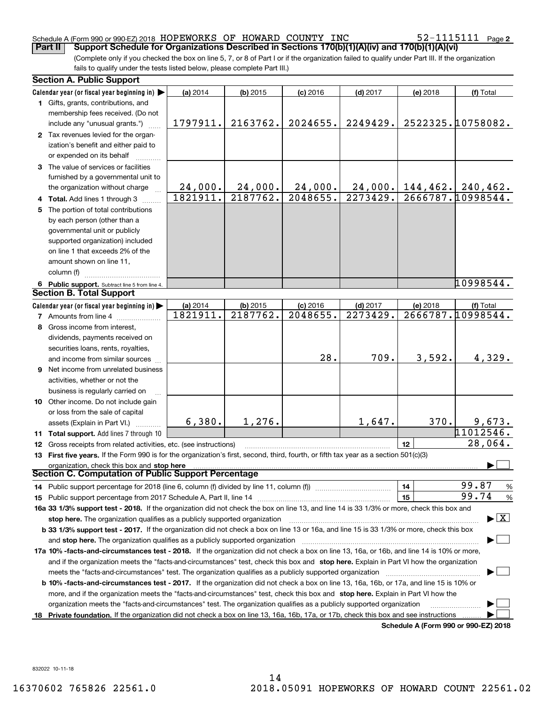### Schedule A (Form 990 or 990-EZ) 2018 Page HOPEWORKS OF HOWARD COUNTY INC 52-1115111

(Complete only if you checked the box on line 5, 7, or 8 of Part I or if the organization failed to qualify under Part III. If the organization fails to qualify under the tests listed below, please complete Part III.) **Part II** | Support Schedule for Organizations Described in Sections 170(b)(1)(A)(iv) and 170(b)(1)(A)(vi)

| Calendar year (or fiscal year beginning in) $\blacktriangleright$<br>(a) 2014<br>$(b)$ 2015<br>$(c)$ 2016<br>$(d)$ 2017<br>(e) 2018<br>(f) Total<br>1 Gifts, grants, contributions, and<br>membership fees received. (Do not<br>2522325.10758082.<br>1797911.<br>2163762.<br>2024655.<br>2249429.<br>include any "unusual grants.")<br>2 Tax revenues levied for the organ-<br>ization's benefit and either paid to<br>or expended on its behalf<br>3 The value of services or facilities<br>furnished by a governmental unit to<br>24,000.<br>24,000.<br>24,000.<br>$144, 462.$ 240, 462.<br>24,000.<br>the organization without charge<br>2666787.10998544.<br>2187762.<br>2048655.<br>2273429.<br>1821911.<br>4 Total. Add lines 1 through 3<br>5 The portion of total contributions<br>by each person (other than a<br>governmental unit or publicly<br>supported organization) included<br>on line 1 that exceeds 2% of the<br>amount shown on line 11,<br>column (f)<br>10998544.<br>6 Public support. Subtract line 5 from line 4.<br><b>Section B. Total Support</b><br>Calendar year (or fiscal year beginning in)<br>(a) 2014<br>$(b)$ 2015<br>$(c)$ 2016<br>$(d)$ 2017<br>(e) 2018<br>(f) Total<br>2666787.10998544.<br>1821911.<br>$\overline{2187762}$ .<br>2048655.<br>2273429.<br><b>7</b> Amounts from line 4<br>8 Gross income from interest,<br>dividends, payments received on<br>securities loans, rents, royalties,<br>28.<br>709.<br>3,592.<br>4,329.<br>and income from similar sources<br><b>9</b> Net income from unrelated business<br>activities, whether or not the<br>business is regularly carried on<br>10 Other income. Do not include gain<br>or loss from the sale of capital<br>1,647.<br>6,380.<br>1,276.<br>370.<br>9,673.<br>assets (Explain in Part VI.)<br>11012546.<br>11 Total support. Add lines 7 through 10 |
|----------------------------------------------------------------------------------------------------------------------------------------------------------------------------------------------------------------------------------------------------------------------------------------------------------------------------------------------------------------------------------------------------------------------------------------------------------------------------------------------------------------------------------------------------------------------------------------------------------------------------------------------------------------------------------------------------------------------------------------------------------------------------------------------------------------------------------------------------------------------------------------------------------------------------------------------------------------------------------------------------------------------------------------------------------------------------------------------------------------------------------------------------------------------------------------------------------------------------------------------------------------------------------------------------------------------------------------------------------------------------------------------------------------------------------------------------------------------------------------------------------------------------------------------------------------------------------------------------------------------------------------------------------------------------------------------------------------------------------------------------------------------------------------------------------------------------------------------------------|
|                                                                                                                                                                                                                                                                                                                                                                                                                                                                                                                                                                                                                                                                                                                                                                                                                                                                                                                                                                                                                                                                                                                                                                                                                                                                                                                                                                                                                                                                                                                                                                                                                                                                                                                                                                                                                                                          |
|                                                                                                                                                                                                                                                                                                                                                                                                                                                                                                                                                                                                                                                                                                                                                                                                                                                                                                                                                                                                                                                                                                                                                                                                                                                                                                                                                                                                                                                                                                                                                                                                                                                                                                                                                                                                                                                          |
|                                                                                                                                                                                                                                                                                                                                                                                                                                                                                                                                                                                                                                                                                                                                                                                                                                                                                                                                                                                                                                                                                                                                                                                                                                                                                                                                                                                                                                                                                                                                                                                                                                                                                                                                                                                                                                                          |
|                                                                                                                                                                                                                                                                                                                                                                                                                                                                                                                                                                                                                                                                                                                                                                                                                                                                                                                                                                                                                                                                                                                                                                                                                                                                                                                                                                                                                                                                                                                                                                                                                                                                                                                                                                                                                                                          |
|                                                                                                                                                                                                                                                                                                                                                                                                                                                                                                                                                                                                                                                                                                                                                                                                                                                                                                                                                                                                                                                                                                                                                                                                                                                                                                                                                                                                                                                                                                                                                                                                                                                                                                                                                                                                                                                          |
|                                                                                                                                                                                                                                                                                                                                                                                                                                                                                                                                                                                                                                                                                                                                                                                                                                                                                                                                                                                                                                                                                                                                                                                                                                                                                                                                                                                                                                                                                                                                                                                                                                                                                                                                                                                                                                                          |
|                                                                                                                                                                                                                                                                                                                                                                                                                                                                                                                                                                                                                                                                                                                                                                                                                                                                                                                                                                                                                                                                                                                                                                                                                                                                                                                                                                                                                                                                                                                                                                                                                                                                                                                                                                                                                                                          |
|                                                                                                                                                                                                                                                                                                                                                                                                                                                                                                                                                                                                                                                                                                                                                                                                                                                                                                                                                                                                                                                                                                                                                                                                                                                                                                                                                                                                                                                                                                                                                                                                                                                                                                                                                                                                                                                          |
|                                                                                                                                                                                                                                                                                                                                                                                                                                                                                                                                                                                                                                                                                                                                                                                                                                                                                                                                                                                                                                                                                                                                                                                                                                                                                                                                                                                                                                                                                                                                                                                                                                                                                                                                                                                                                                                          |
|                                                                                                                                                                                                                                                                                                                                                                                                                                                                                                                                                                                                                                                                                                                                                                                                                                                                                                                                                                                                                                                                                                                                                                                                                                                                                                                                                                                                                                                                                                                                                                                                                                                                                                                                                                                                                                                          |
|                                                                                                                                                                                                                                                                                                                                                                                                                                                                                                                                                                                                                                                                                                                                                                                                                                                                                                                                                                                                                                                                                                                                                                                                                                                                                                                                                                                                                                                                                                                                                                                                                                                                                                                                                                                                                                                          |
|                                                                                                                                                                                                                                                                                                                                                                                                                                                                                                                                                                                                                                                                                                                                                                                                                                                                                                                                                                                                                                                                                                                                                                                                                                                                                                                                                                                                                                                                                                                                                                                                                                                                                                                                                                                                                                                          |
|                                                                                                                                                                                                                                                                                                                                                                                                                                                                                                                                                                                                                                                                                                                                                                                                                                                                                                                                                                                                                                                                                                                                                                                                                                                                                                                                                                                                                                                                                                                                                                                                                                                                                                                                                                                                                                                          |
|                                                                                                                                                                                                                                                                                                                                                                                                                                                                                                                                                                                                                                                                                                                                                                                                                                                                                                                                                                                                                                                                                                                                                                                                                                                                                                                                                                                                                                                                                                                                                                                                                                                                                                                                                                                                                                                          |
|                                                                                                                                                                                                                                                                                                                                                                                                                                                                                                                                                                                                                                                                                                                                                                                                                                                                                                                                                                                                                                                                                                                                                                                                                                                                                                                                                                                                                                                                                                                                                                                                                                                                                                                                                                                                                                                          |
|                                                                                                                                                                                                                                                                                                                                                                                                                                                                                                                                                                                                                                                                                                                                                                                                                                                                                                                                                                                                                                                                                                                                                                                                                                                                                                                                                                                                                                                                                                                                                                                                                                                                                                                                                                                                                                                          |
|                                                                                                                                                                                                                                                                                                                                                                                                                                                                                                                                                                                                                                                                                                                                                                                                                                                                                                                                                                                                                                                                                                                                                                                                                                                                                                                                                                                                                                                                                                                                                                                                                                                                                                                                                                                                                                                          |
|                                                                                                                                                                                                                                                                                                                                                                                                                                                                                                                                                                                                                                                                                                                                                                                                                                                                                                                                                                                                                                                                                                                                                                                                                                                                                                                                                                                                                                                                                                                                                                                                                                                                                                                                                                                                                                                          |
|                                                                                                                                                                                                                                                                                                                                                                                                                                                                                                                                                                                                                                                                                                                                                                                                                                                                                                                                                                                                                                                                                                                                                                                                                                                                                                                                                                                                                                                                                                                                                                                                                                                                                                                                                                                                                                                          |
|                                                                                                                                                                                                                                                                                                                                                                                                                                                                                                                                                                                                                                                                                                                                                                                                                                                                                                                                                                                                                                                                                                                                                                                                                                                                                                                                                                                                                                                                                                                                                                                                                                                                                                                                                                                                                                                          |
|                                                                                                                                                                                                                                                                                                                                                                                                                                                                                                                                                                                                                                                                                                                                                                                                                                                                                                                                                                                                                                                                                                                                                                                                                                                                                                                                                                                                                                                                                                                                                                                                                                                                                                                                                                                                                                                          |
|                                                                                                                                                                                                                                                                                                                                                                                                                                                                                                                                                                                                                                                                                                                                                                                                                                                                                                                                                                                                                                                                                                                                                                                                                                                                                                                                                                                                                                                                                                                                                                                                                                                                                                                                                                                                                                                          |
|                                                                                                                                                                                                                                                                                                                                                                                                                                                                                                                                                                                                                                                                                                                                                                                                                                                                                                                                                                                                                                                                                                                                                                                                                                                                                                                                                                                                                                                                                                                                                                                                                                                                                                                                                                                                                                                          |
|                                                                                                                                                                                                                                                                                                                                                                                                                                                                                                                                                                                                                                                                                                                                                                                                                                                                                                                                                                                                                                                                                                                                                                                                                                                                                                                                                                                                                                                                                                                                                                                                                                                                                                                                                                                                                                                          |
|                                                                                                                                                                                                                                                                                                                                                                                                                                                                                                                                                                                                                                                                                                                                                                                                                                                                                                                                                                                                                                                                                                                                                                                                                                                                                                                                                                                                                                                                                                                                                                                                                                                                                                                                                                                                                                                          |
|                                                                                                                                                                                                                                                                                                                                                                                                                                                                                                                                                                                                                                                                                                                                                                                                                                                                                                                                                                                                                                                                                                                                                                                                                                                                                                                                                                                                                                                                                                                                                                                                                                                                                                                                                                                                                                                          |
|                                                                                                                                                                                                                                                                                                                                                                                                                                                                                                                                                                                                                                                                                                                                                                                                                                                                                                                                                                                                                                                                                                                                                                                                                                                                                                                                                                                                                                                                                                                                                                                                                                                                                                                                                                                                                                                          |
|                                                                                                                                                                                                                                                                                                                                                                                                                                                                                                                                                                                                                                                                                                                                                                                                                                                                                                                                                                                                                                                                                                                                                                                                                                                                                                                                                                                                                                                                                                                                                                                                                                                                                                                                                                                                                                                          |
|                                                                                                                                                                                                                                                                                                                                                                                                                                                                                                                                                                                                                                                                                                                                                                                                                                                                                                                                                                                                                                                                                                                                                                                                                                                                                                                                                                                                                                                                                                                                                                                                                                                                                                                                                                                                                                                          |
|                                                                                                                                                                                                                                                                                                                                                                                                                                                                                                                                                                                                                                                                                                                                                                                                                                                                                                                                                                                                                                                                                                                                                                                                                                                                                                                                                                                                                                                                                                                                                                                                                                                                                                                                                                                                                                                          |
|                                                                                                                                                                                                                                                                                                                                                                                                                                                                                                                                                                                                                                                                                                                                                                                                                                                                                                                                                                                                                                                                                                                                                                                                                                                                                                                                                                                                                                                                                                                                                                                                                                                                                                                                                                                                                                                          |
|                                                                                                                                                                                                                                                                                                                                                                                                                                                                                                                                                                                                                                                                                                                                                                                                                                                                                                                                                                                                                                                                                                                                                                                                                                                                                                                                                                                                                                                                                                                                                                                                                                                                                                                                                                                                                                                          |
|                                                                                                                                                                                                                                                                                                                                                                                                                                                                                                                                                                                                                                                                                                                                                                                                                                                                                                                                                                                                                                                                                                                                                                                                                                                                                                                                                                                                                                                                                                                                                                                                                                                                                                                                                                                                                                                          |
| 28,064.<br>12                                                                                                                                                                                                                                                                                                                                                                                                                                                                                                                                                                                                                                                                                                                                                                                                                                                                                                                                                                                                                                                                                                                                                                                                                                                                                                                                                                                                                                                                                                                                                                                                                                                                                                                                                                                                                                            |
| 12 Gross receipts from related activities, etc. (see instructions)                                                                                                                                                                                                                                                                                                                                                                                                                                                                                                                                                                                                                                                                                                                                                                                                                                                                                                                                                                                                                                                                                                                                                                                                                                                                                                                                                                                                                                                                                                                                                                                                                                                                                                                                                                                       |
| 13 First five years. If the Form 990 is for the organization's first, second, third, fourth, or fifth tax year as a section 501(c)(3)                                                                                                                                                                                                                                                                                                                                                                                                                                                                                                                                                                                                                                                                                                                                                                                                                                                                                                                                                                                                                                                                                                                                                                                                                                                                                                                                                                                                                                                                                                                                                                                                                                                                                                                    |
| organization, check this box and stop here<br>Section C. Computation of Public Support Percentage                                                                                                                                                                                                                                                                                                                                                                                                                                                                                                                                                                                                                                                                                                                                                                                                                                                                                                                                                                                                                                                                                                                                                                                                                                                                                                                                                                                                                                                                                                                                                                                                                                                                                                                                                        |
| 99.87<br>14                                                                                                                                                                                                                                                                                                                                                                                                                                                                                                                                                                                                                                                                                                                                                                                                                                                                                                                                                                                                                                                                                                                                                                                                                                                                                                                                                                                                                                                                                                                                                                                                                                                                                                                                                                                                                                              |
| $\frac{9}{6}$<br>14 Public support percentage for 2018 (line 6, column (f) divided by line 11, column (f) <i>mummumumum</i><br>99.74<br>15                                                                                                                                                                                                                                                                                                                                                                                                                                                                                                                                                                                                                                                                                                                                                                                                                                                                                                                                                                                                                                                                                                                                                                                                                                                                                                                                                                                                                                                                                                                                                                                                                                                                                                               |
| %                                                                                                                                                                                                                                                                                                                                                                                                                                                                                                                                                                                                                                                                                                                                                                                                                                                                                                                                                                                                                                                                                                                                                                                                                                                                                                                                                                                                                                                                                                                                                                                                                                                                                                                                                                                                                                                        |
| 16a 33 1/3% support test - 2018. If the organization did not check the box on line 13, and line 14 is 33 1/3% or more, check this box and<br>$\blacktriangleright$ $\vert$ X                                                                                                                                                                                                                                                                                                                                                                                                                                                                                                                                                                                                                                                                                                                                                                                                                                                                                                                                                                                                                                                                                                                                                                                                                                                                                                                                                                                                                                                                                                                                                                                                                                                                             |
| stop here. The organization qualifies as a publicly supported organization                                                                                                                                                                                                                                                                                                                                                                                                                                                                                                                                                                                                                                                                                                                                                                                                                                                                                                                                                                                                                                                                                                                                                                                                                                                                                                                                                                                                                                                                                                                                                                                                                                                                                                                                                                               |
| b 33 1/3% support test - 2017. If the organization did not check a box on line 13 or 16a, and line 15 is 33 1/3% or more, check this box                                                                                                                                                                                                                                                                                                                                                                                                                                                                                                                                                                                                                                                                                                                                                                                                                                                                                                                                                                                                                                                                                                                                                                                                                                                                                                                                                                                                                                                                                                                                                                                                                                                                                                                 |
| and stop here. The organization qualifies as a publicly supported organization                                                                                                                                                                                                                                                                                                                                                                                                                                                                                                                                                                                                                                                                                                                                                                                                                                                                                                                                                                                                                                                                                                                                                                                                                                                                                                                                                                                                                                                                                                                                                                                                                                                                                                                                                                           |
| 17a 10% -facts-and-circumstances test - 2018. If the organization did not check a box on line 13, 16a, or 16b, and line 14 is 10% or more,                                                                                                                                                                                                                                                                                                                                                                                                                                                                                                                                                                                                                                                                                                                                                                                                                                                                                                                                                                                                                                                                                                                                                                                                                                                                                                                                                                                                                                                                                                                                                                                                                                                                                                               |
| and if the organization meets the "facts-and-circumstances" test, check this box and stop here. Explain in Part VI how the organization                                                                                                                                                                                                                                                                                                                                                                                                                                                                                                                                                                                                                                                                                                                                                                                                                                                                                                                                                                                                                                                                                                                                                                                                                                                                                                                                                                                                                                                                                                                                                                                                                                                                                                                  |
| meets the "facts-and-circumstances" test. The organization qualifies as a publicly supported organization                                                                                                                                                                                                                                                                                                                                                                                                                                                                                                                                                                                                                                                                                                                                                                                                                                                                                                                                                                                                                                                                                                                                                                                                                                                                                                                                                                                                                                                                                                                                                                                                                                                                                                                                                |
| <b>b 10% -facts-and-circumstances test - 2017.</b> If the organization did not check a box on line 13, 16a, 16b, or 17a, and line 15 is 10% or                                                                                                                                                                                                                                                                                                                                                                                                                                                                                                                                                                                                                                                                                                                                                                                                                                                                                                                                                                                                                                                                                                                                                                                                                                                                                                                                                                                                                                                                                                                                                                                                                                                                                                           |
| more, and if the organization meets the "facts-and-circumstances" test, check this box and stop here. Explain in Part VI how the                                                                                                                                                                                                                                                                                                                                                                                                                                                                                                                                                                                                                                                                                                                                                                                                                                                                                                                                                                                                                                                                                                                                                                                                                                                                                                                                                                                                                                                                                                                                                                                                                                                                                                                         |
| organization meets the "facts-and-circumstances" test. The organization qualifies as a publicly supported organization                                                                                                                                                                                                                                                                                                                                                                                                                                                                                                                                                                                                                                                                                                                                                                                                                                                                                                                                                                                                                                                                                                                                                                                                                                                                                                                                                                                                                                                                                                                                                                                                                                                                                                                                   |
| 18 Private foundation. If the organization did not check a box on line 13, 16a, 16b, 17a, or 17b, check this box and see instructions<br>Schedule A (Form 990 or 990-F7) 2018                                                                                                                                                                                                                                                                                                                                                                                                                                                                                                                                                                                                                                                                                                                                                                                                                                                                                                                                                                                                                                                                                                                                                                                                                                                                                                                                                                                                                                                                                                                                                                                                                                                                            |

**Schedule A (Form 990 or 990-EZ) 2018**

832022 10-11-18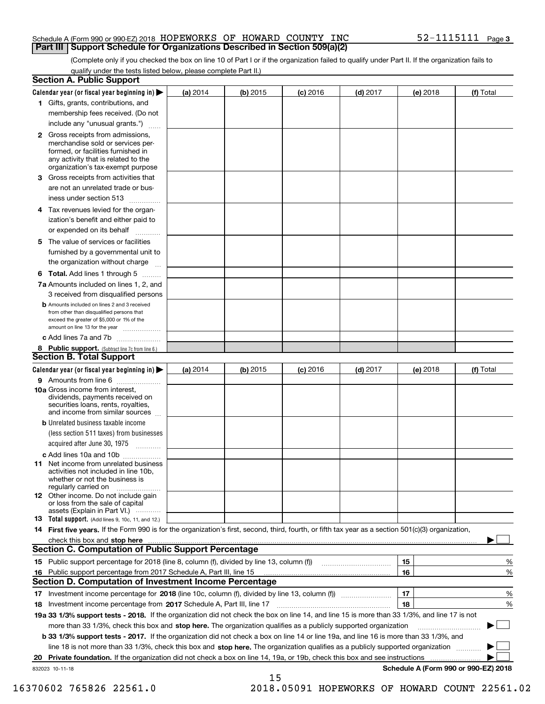#### Schedule A (Form 990 or 990-EZ) 2018 Page HOPEWORKS OF HOWARD COUNTY INC 52-1115111 **Part III Support Schedule for Organizations Described in Section 509(a)(2)**

(Complete only if you checked the box on line 10 of Part I or if the organization failed to qualify under Part II. If the organization fails to qualify under the tests listed below, please complete Part II.)

|    | <b>Section A. Public Support</b>                                                                                                                                                                                                                                   |          |            |            |            |          |                                           |
|----|--------------------------------------------------------------------------------------------------------------------------------------------------------------------------------------------------------------------------------------------------------------------|----------|------------|------------|------------|----------|-------------------------------------------|
|    | Calendar year (or fiscal year beginning in) $\blacktriangleright$                                                                                                                                                                                                  | (a) 2014 | (b) 2015   | $(c)$ 2016 | $(d)$ 2017 | (e) 2018 | (f) Total                                 |
|    | 1 Gifts, grants, contributions, and                                                                                                                                                                                                                                |          |            |            |            |          |                                           |
|    | membership fees received. (Do not                                                                                                                                                                                                                                  |          |            |            |            |          |                                           |
|    | include any "unusual grants.")                                                                                                                                                                                                                                     |          |            |            |            |          |                                           |
|    | <b>2</b> Gross receipts from admissions,<br>merchandise sold or services per-<br>formed, or facilities furnished in<br>any activity that is related to the<br>organization's tax-exempt purpose                                                                    |          |            |            |            |          |                                           |
|    | 3 Gross receipts from activities that<br>are not an unrelated trade or bus-                                                                                                                                                                                        |          |            |            |            |          |                                           |
|    | iness under section 513                                                                                                                                                                                                                                            |          |            |            |            |          |                                           |
|    | 4 Tax revenues levied for the organ-<br>ization's benefit and either paid to                                                                                                                                                                                       |          |            |            |            |          |                                           |
|    | or expended on its behalf                                                                                                                                                                                                                                          |          |            |            |            |          |                                           |
|    | 5 The value of services or facilities<br>furnished by a governmental unit to                                                                                                                                                                                       |          |            |            |            |          |                                           |
|    | the organization without charge                                                                                                                                                                                                                                    |          |            |            |            |          |                                           |
|    | <b>6 Total.</b> Add lines 1 through 5                                                                                                                                                                                                                              |          |            |            |            |          |                                           |
|    | 7a Amounts included on lines 1, 2, and<br>3 received from disqualified persons                                                                                                                                                                                     |          |            |            |            |          |                                           |
|    | <b>b</b> Amounts included on lines 2 and 3 received<br>from other than disqualified persons that<br>exceed the greater of \$5,000 or 1% of the<br>amount on line 13 for the year                                                                                   |          |            |            |            |          |                                           |
|    | c Add lines 7a and 7b                                                                                                                                                                                                                                              |          |            |            |            |          |                                           |
|    | 8 Public support. (Subtract line 7c from line 6.)<br><b>Section B. Total Support</b>                                                                                                                                                                               |          |            |            |            |          |                                           |
|    | Calendar year (or fiscal year beginning in)                                                                                                                                                                                                                        | (a) 2014 | $(b)$ 2015 | $(c)$ 2016 | $(d)$ 2017 | (e) 2018 | (f) Total                                 |
|    | 9 Amounts from line 6                                                                                                                                                                                                                                              |          |            |            |            |          |                                           |
|    | <b>10a</b> Gross income from interest,<br>dividends, payments received on<br>securities loans, rents, royalties,<br>and income from similar sources                                                                                                                |          |            |            |            |          |                                           |
|    | <b>b</b> Unrelated business taxable income<br>(less section 511 taxes) from businesses                                                                                                                                                                             |          |            |            |            |          |                                           |
|    | acquired after June 30, 1975                                                                                                                                                                                                                                       |          |            |            |            |          |                                           |
|    | c Add lines 10a and 10b                                                                                                                                                                                                                                            |          |            |            |            |          |                                           |
|    | 11 Net income from unrelated business<br>activities not included in line 10b,<br>whether or not the business is<br>regularly carried on                                                                                                                            |          |            |            |            |          |                                           |
|    | <b>12</b> Other income. Do not include gain<br>or loss from the sale of capital<br>assets (Explain in Part VI.)                                                                                                                                                    |          |            |            |            |          |                                           |
|    | 13 Total support. (Add lines 9, 10c, 11, and 12.)                                                                                                                                                                                                                  |          |            |            |            |          |                                           |
|    | 14 First five years. If the Form 990 is for the organization's first, second, third, fourth, or fifth tax year as a section 501(c)(3) organization,                                                                                                                |          |            |            |            |          |                                           |
|    | check this box and stop here measurements and contact the contract of the contract of the contract of the contract of the contract of the contract of the contract of the contract of the contract of the contract of the cont                                     |          |            |            |            |          |                                           |
|    | <b>Section C. Computation of Public Support Percentage</b>                                                                                                                                                                                                         |          |            |            |            |          |                                           |
|    |                                                                                                                                                                                                                                                                    |          |            |            |            | 15       | %                                         |
| 16 | Public support percentage from 2017 Schedule A, Part III, line 15                                                                                                                                                                                                  |          |            |            |            | 16       | %                                         |
|    | <b>Section D. Computation of Investment Income Percentage</b>                                                                                                                                                                                                      |          |            |            |            |          |                                           |
|    | 17 Investment income percentage for 2018 (line 10c, column (f), divided by line 13, column (f))                                                                                                                                                                    |          |            |            |            | 17<br>18 | %                                         |
|    | 18 Investment income percentage from 2017 Schedule A, Part III, line 17<br>19a 33 1/3% support tests - 2018. If the organization did not check the box on line 14, and line 15 is more than 33 1/3%, and line 17 is not                                            |          |            |            |            |          | %                                         |
|    |                                                                                                                                                                                                                                                                    |          |            |            |            |          |                                           |
|    | more than 33 1/3%, check this box and stop here. The organization qualifies as a publicly supported organization                                                                                                                                                   |          |            |            |            |          |                                           |
|    | <b>b 33 1/3% support tests - 2017.</b> If the organization did not check a box on line 14 or line 19a, and line 16 is more than 33 1/3%, and                                                                                                                       |          |            |            |            |          |                                           |
|    | line 18 is not more than 33 1/3%, check this box and stop here. The organization qualifies as a publicly supported organization<br><b>Private foundation.</b> If the organization did not check a box on line 14, 19a, or 19b, check this box and see instructions |          |            |            |            |          |                                           |
| 20 | 832023 10-11-18                                                                                                                                                                                                                                                    |          |            |            |            |          | .<br>Schedule A (Form 990 or 990-EZ) 2018 |
|    |                                                                                                                                                                                                                                                                    |          | 15         |            |            |          |                                           |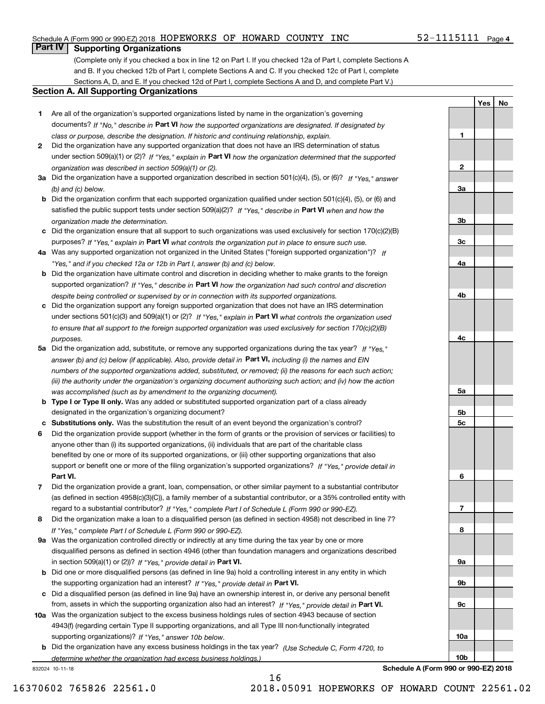### Schedule A (Form 990 or 990-EZ) 2018 Page HOPEWORKS OF HOWARD COUNTY INC 52-1115111

# **Part IV Supporting Organizations**

(Complete only if you checked a box in line 12 on Part I. If you checked 12a of Part I, complete Sections A and B. If you checked 12b of Part I, complete Sections A and C. If you checked 12c of Part I, complete Sections A, D, and E. If you checked 12d of Part I, complete Sections A and D, and complete Part V.)

#### **Section A. All Supporting Organizations**

- **1** Are all of the organization's supported organizations listed by name in the organization's governing documents? If "No," describe in **Part VI** how the supported organizations are designated. If designated by *class or purpose, describe the designation. If historic and continuing relationship, explain.*
- **2** Did the organization have any supported organization that does not have an IRS determination of status under section 509(a)(1) or (2)? If "Yes," explain in Part VI how the organization determined that the supported *organization was described in section 509(a)(1) or (2).*
- **3a** Did the organization have a supported organization described in section 501(c)(4), (5), or (6)? If "Yes," answer *(b) and (c) below.*
- **b** Did the organization confirm that each supported organization qualified under section 501(c)(4), (5), or (6) and satisfied the public support tests under section 509(a)(2)? If "Yes," describe in **Part VI** when and how the *organization made the determination.*
- **c**Did the organization ensure that all support to such organizations was used exclusively for section 170(c)(2)(B) purposes? If "Yes," explain in **Part VI** what controls the organization put in place to ensure such use.
- **4a***If* Was any supported organization not organized in the United States ("foreign supported organization")? *"Yes," and if you checked 12a or 12b in Part I, answer (b) and (c) below.*
- **b** Did the organization have ultimate control and discretion in deciding whether to make grants to the foreign supported organization? If "Yes," describe in **Part VI** how the organization had such control and discretion *despite being controlled or supervised by or in connection with its supported organizations.*
- **c** Did the organization support any foreign supported organization that does not have an IRS determination under sections 501(c)(3) and 509(a)(1) or (2)? If "Yes," explain in **Part VI** what controls the organization used *to ensure that all support to the foreign supported organization was used exclusively for section 170(c)(2)(B) purposes.*
- **5a** Did the organization add, substitute, or remove any supported organizations during the tax year? If "Yes," answer (b) and (c) below (if applicable). Also, provide detail in **Part VI,** including (i) the names and EIN *numbers of the supported organizations added, substituted, or removed; (ii) the reasons for each such action; (iii) the authority under the organization's organizing document authorizing such action; and (iv) how the action was accomplished (such as by amendment to the organizing document).*
- **b** Type I or Type II only. Was any added or substituted supported organization part of a class already designated in the organization's organizing document?
- **cSubstitutions only.**  Was the substitution the result of an event beyond the organization's control?
- **6** Did the organization provide support (whether in the form of grants or the provision of services or facilities) to **Part VI.** *If "Yes," provide detail in* support or benefit one or more of the filing organization's supported organizations? anyone other than (i) its supported organizations, (ii) individuals that are part of the charitable class benefited by one or more of its supported organizations, or (iii) other supporting organizations that also
- **7**Did the organization provide a grant, loan, compensation, or other similar payment to a substantial contributor *If "Yes," complete Part I of Schedule L (Form 990 or 990-EZ).* regard to a substantial contributor? (as defined in section 4958(c)(3)(C)), a family member of a substantial contributor, or a 35% controlled entity with
- **8** Did the organization make a loan to a disqualified person (as defined in section 4958) not described in line 7? *If "Yes," complete Part I of Schedule L (Form 990 or 990-EZ).*
- **9a** Was the organization controlled directly or indirectly at any time during the tax year by one or more in section 509(a)(1) or (2))? If "Yes," *provide detail in* <code>Part VI.</code> disqualified persons as defined in section 4946 (other than foundation managers and organizations described
- **b** Did one or more disqualified persons (as defined in line 9a) hold a controlling interest in any entity in which the supporting organization had an interest? If "Yes," provide detail in P**art VI**.
- **c**Did a disqualified person (as defined in line 9a) have an ownership interest in, or derive any personal benefit from, assets in which the supporting organization also had an interest? If "Yes," provide detail in P**art VI.**
- **10a** Was the organization subject to the excess business holdings rules of section 4943 because of section supporting organizations)? If "Yes," answer 10b below. 4943(f) (regarding certain Type II supporting organizations, and all Type III non-functionally integrated
- **b** Did the organization have any excess business holdings in the tax year? (Use Schedule C, Form 4720, to *determine whether the organization had excess business holdings.)*

16

832024 10-11-18

**10a**

**10b**

**YesNo**

**1**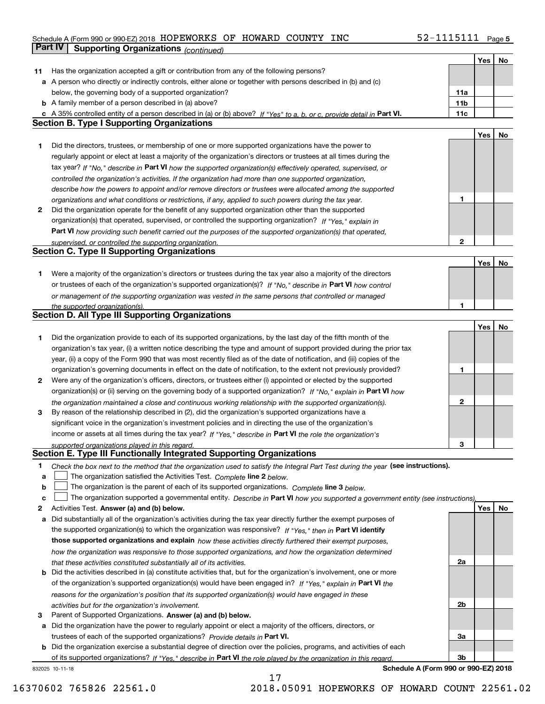#### Schedule A (Form 990 or 990-EZ) 2018 HOPEWORKS OF HOWARD COUNTY INC 52-III5III Page HOPEWORKS OF HOWARD COUNTY INC 52-1115111

|    | Part IV<br><b>Supporting Organizations (continued)</b>                                                                            |              |     |    |
|----|-----------------------------------------------------------------------------------------------------------------------------------|--------------|-----|----|
|    |                                                                                                                                   |              | Yes | No |
| 11 | Has the organization accepted a gift or contribution from any of the following persons?                                           |              |     |    |
|    | a A person who directly or indirectly controls, either alone or together with persons described in (b) and (c)                    |              |     |    |
|    | below, the governing body of a supported organization?                                                                            | 11a          |     |    |
|    | <b>b</b> A family member of a person described in (a) above?                                                                      | 11b          |     |    |
|    | c A 35% controlled entity of a person described in (a) or (b) above? If "Yes" to a, b, or c, provide detail in Part VI.           | 11c          |     |    |
|    | <b>Section B. Type I Supporting Organizations</b>                                                                                 |              |     |    |
|    |                                                                                                                                   |              | Yes | No |
| 1  | Did the directors, trustees, or membership of one or more supported organizations have the power to                               |              |     |    |
|    | regularly appoint or elect at least a majority of the organization's directors or trustees at all times during the                |              |     |    |
|    | tax year? If "No," describe in Part VI how the supported organization(s) effectively operated, supervised, or                     |              |     |    |
|    | controlled the organization's activities. If the organization had more than one supported organization,                           |              |     |    |
|    | describe how the powers to appoint and/or remove directors or trustees were allocated among the supported                         |              |     |    |
|    | organizations and what conditions or restrictions, if any, applied to such powers during the tax year.                            | 1            |     |    |
| 2  | Did the organization operate for the benefit of any supported organization other than the supported                               |              |     |    |
|    | organization(s) that operated, supervised, or controlled the supporting organization? If "Yes," explain in                        |              |     |    |
|    | Part VI how providing such benefit carried out the purposes of the supported organization(s) that operated,                       |              |     |    |
|    | supervised, or controlled the supporting organization.                                                                            | 2            |     |    |
|    | <b>Section C. Type II Supporting Organizations</b>                                                                                |              |     |    |
|    |                                                                                                                                   |              | Yes | No |
| 1  | Were a majority of the organization's directors or trustees during the tax year also a majority of the directors                  |              |     |    |
|    | or trustees of each of the organization's supported organization(s)? If "No," describe in Part VI how control                     |              |     |    |
|    | or management of the supporting organization was vested in the same persons that controlled or managed                            |              |     |    |
|    | the supported organization(s).                                                                                                    | 1            |     |    |
|    | <b>Section D. All Type III Supporting Organizations</b>                                                                           |              |     |    |
|    |                                                                                                                                   |              | Yes | No |
| 1  | Did the organization provide to each of its supported organizations, by the last day of the fifth month of the                    |              |     |    |
|    | organization's tax year, (i) a written notice describing the type and amount of support provided during the prior tax             |              |     |    |
|    | year, (ii) a copy of the Form 990 that was most recently filed as of the date of notification, and (iii) copies of the            |              |     |    |
|    | organization's governing documents in effect on the date of notification, to the extent not previously provided?                  | 1            |     |    |
| 2  | Were any of the organization's officers, directors, or trustees either (i) appointed or elected by the supported                  |              |     |    |
|    | organization(s) or (ii) serving on the governing body of a supported organization? If "No," explain in Part VI how                |              |     |    |
|    | the organization maintained a close and continuous working relationship with the supported organization(s).                       | $\mathbf{2}$ |     |    |
| 3  | By reason of the relationship described in (2), did the organization's supported organizations have a                             |              |     |    |
|    | significant voice in the organization's investment policies and in directing the use of the organization's                        |              |     |    |
|    | income or assets at all times during the tax year? If "Yes," describe in Part VI the role the organization's                      |              |     |    |
|    | supported organizations played in this regard.                                                                                    | 3            |     |    |
|    | Section E. Type III Functionally Integrated Supporting Organizations                                                              |              |     |    |
| 1  | Check the box next to the method that the organization used to satisfy the Integral Part Test during the year (see instructions). |              |     |    |
| a  | The organization satisfied the Activities Test. Complete line 2 below.                                                            |              |     |    |
| b  | The organization is the parent of each of its supported organizations. Complete line 3 below.                                     |              |     |    |
| C  | The organization supported a governmental entity. Describe in Part VI how you supported a government entity (see instructions),   |              |     |    |
| 2  | Activities Test. Answer (a) and (b) below.                                                                                        |              | Yes | No |
| a  | Did substantially all of the organization's activities during the tax year directly further the exempt purposes of                |              |     |    |
|    | the supported organization(s) to which the organization was responsive? If "Yes," then in Part VI identify                        |              |     |    |
|    | those supported organizations and explain how these activities directly furthered their exempt purposes,                          |              |     |    |
|    | how the organization was responsive to those supported organizations, and how the organization determined                         |              |     |    |
|    | that these activities constituted substantially all of its activities.                                                            | 2a           |     |    |
| b  | Did the activities described in (a) constitute activities that, but for the organization's involvement, one or more               |              |     |    |
|    | of the organization's supported organization(s) would have been engaged in? If "Yes," explain in Part VI the                      |              |     |    |
|    | reasons for the organization's position that its supported organization(s) would have engaged in these                            |              |     |    |
|    | activities but for the organization's involvement.                                                                                | 2b           |     |    |
| 3  | Parent of Supported Organizations. Answer (a) and (b) below.                                                                      |              |     |    |
| а  | Did the organization have the power to regularly appoint or elect a majority of the officers, directors, or                       |              |     |    |
|    | trustees of each of the supported organizations? Provide details in Part VI.                                                      | За           |     |    |
|    | <b>b</b> Did the organization exercise a substantial degree of direction over the policies, programs, and activities of each      |              |     |    |
|    | of its supported organizations? If "Yes," describe in Part VI the role played by the organization in this regard                  | Зb           |     |    |
|    | Schedule A (Form 990 or 990-EZ) 2018<br>832025 10-11-18                                                                           |              |     |    |

17

**Schedule A (Form 990 or 990-EZ) 2018**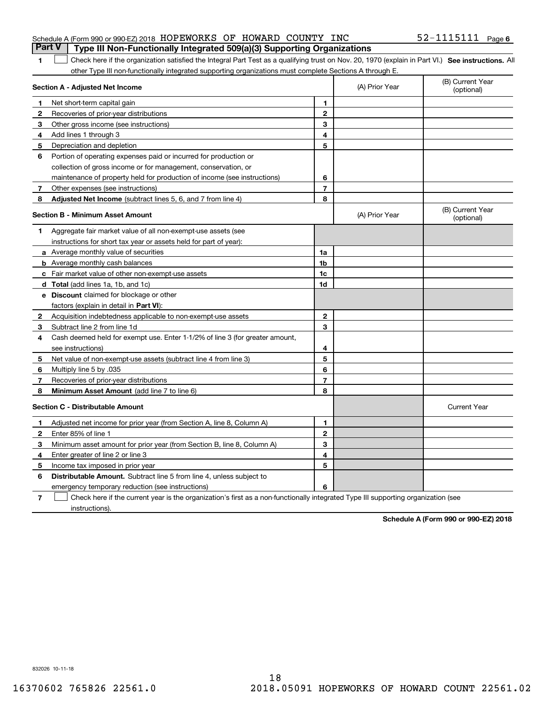| Schedule A (Form 990 or 990-EZ) 2018 HOPEWORKS OF HOWARD COUNTY INC                     |  | $52 - 1115111$ Page 6 |  |
|-----------------------------------------------------------------------------------------|--|-----------------------|--|
| <b>Part V</b>   Type III Non-Functionally Integrated 509(a)(3) Supporting Organizations |  |                       |  |

1 Check here if the organization satisfied the Integral Part Test as a qualifying trust on Nov. 20, 1970 (explain in Part VI.) See instructions. All other Type III non-functionally integrated supporting organizations must complete Sections A through E.

|              | Section A - Adjusted Net Income                                                                                                   |                | (A) Prior Year | (B) Current Year<br>(optional) |
|--------------|-----------------------------------------------------------------------------------------------------------------------------------|----------------|----------------|--------------------------------|
| 1.           | Net short-term capital gain                                                                                                       | $\mathbf{1}$   |                |                                |
| $\mathbf{2}$ | Recoveries of prior-year distributions                                                                                            | $\overline{2}$ |                |                                |
| 3            | Other gross income (see instructions)                                                                                             | 3              |                |                                |
| 4            | Add lines 1 through 3                                                                                                             | 4              |                |                                |
| 5            | Depreciation and depletion                                                                                                        | 5              |                |                                |
| 6            | Portion of operating expenses paid or incurred for production or                                                                  |                |                |                                |
|              | collection of gross income or for management, conservation, or                                                                    |                |                |                                |
|              | maintenance of property held for production of income (see instructions)                                                          | 6              |                |                                |
| 7            | Other expenses (see instructions)                                                                                                 | 7              |                |                                |
| 8            | <b>Adjusted Net Income</b> (subtract lines 5, 6, and 7 from line 4)                                                               | 8              |                |                                |
|              | <b>Section B - Minimum Asset Amount</b>                                                                                           |                | (A) Prior Year | (B) Current Year<br>(optional) |
| 1            | Aggregate fair market value of all non-exempt-use assets (see                                                                     |                |                |                                |
|              | instructions for short tax year or assets held for part of year):                                                                 |                |                |                                |
|              | <b>a</b> Average monthly value of securities                                                                                      | 1a             |                |                                |
|              | <b>b</b> Average monthly cash balances                                                                                            | 1b             |                |                                |
|              | c Fair market value of other non-exempt-use assets                                                                                | 1c             |                |                                |
|              | d Total (add lines 1a, 1b, and 1c)                                                                                                | 1d             |                |                                |
|              | <b>e</b> Discount claimed for blockage or other                                                                                   |                |                |                                |
|              | factors (explain in detail in Part VI):                                                                                           |                |                |                                |
| 2            | Acquisition indebtedness applicable to non-exempt-use assets                                                                      | $\mathbf 2$    |                |                                |
| 3            | Subtract line 2 from line 1d                                                                                                      | 3              |                |                                |
| 4            | Cash deemed held for exempt use. Enter 1-1/2% of line 3 (for greater amount,                                                      |                |                |                                |
|              | see instructions)                                                                                                                 | 4              |                |                                |
| 5            | Net value of non-exempt-use assets (subtract line 4 from line 3)                                                                  | 5              |                |                                |
| 6            | Multiply line 5 by .035                                                                                                           | 6              |                |                                |
| 7            | Recoveries of prior-year distributions                                                                                            | $\overline{7}$ |                |                                |
| 8            | Minimum Asset Amount (add line 7 to line 6)                                                                                       | 8              |                |                                |
|              | <b>Section C - Distributable Amount</b>                                                                                           |                |                | <b>Current Year</b>            |
| 1            | Adjusted net income for prior year (from Section A, line 8, Column A)                                                             | $\mathbf{1}$   |                |                                |
| 2            | Enter 85% of line 1                                                                                                               | $\overline{2}$ |                |                                |
| 3            | Minimum asset amount for prior year (from Section B, line 8, Column A)                                                            | 3              |                |                                |
| 4            | Enter greater of line 2 or line 3                                                                                                 | 4              |                |                                |
| 5            | Income tax imposed in prior year                                                                                                  | 5              |                |                                |
| 6            | <b>Distributable Amount.</b> Subtract line 5 from line 4, unless subject to                                                       |                |                |                                |
|              | emergency temporary reduction (see instructions)                                                                                  | 6              |                |                                |
| 7            | Check here if the current year is the organization's first as a non-functionally integrated Type III supporting organization (see |                |                |                                |

instructions).

**1**

**Schedule A (Form 990 or 990-EZ) 2018**

832026 10-11-18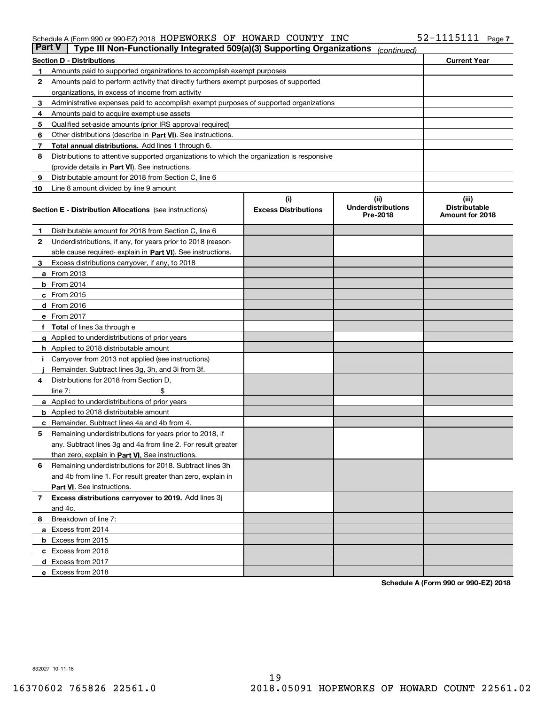#### Schedule A (Form 990 or 990-EZ) 2018 Page HOPEWORKS OF HOWARD COUNTY INC 52-1115111

| <b>Part V</b> | Type III Non-Functionally Integrated 509(a)(3) Supporting Organizations                    |                                    | (continued)                                    |                                                  |
|---------------|--------------------------------------------------------------------------------------------|------------------------------------|------------------------------------------------|--------------------------------------------------|
|               | <b>Section D - Distributions</b>                                                           |                                    |                                                | <b>Current Year</b>                              |
| 1             | Amounts paid to supported organizations to accomplish exempt purposes                      |                                    |                                                |                                                  |
| 2             | Amounts paid to perform activity that directly furthers exempt purposes of supported       |                                    |                                                |                                                  |
|               | organizations, in excess of income from activity                                           |                                    |                                                |                                                  |
| 3             | Administrative expenses paid to accomplish exempt purposes of supported organizations      |                                    |                                                |                                                  |
| 4             | Amounts paid to acquire exempt-use assets                                                  |                                    |                                                |                                                  |
| 5             | Qualified set-aside amounts (prior IRS approval required)                                  |                                    |                                                |                                                  |
| 6             | Other distributions (describe in Part VI). See instructions.                               |                                    |                                                |                                                  |
| 7             | <b>Total annual distributions.</b> Add lines 1 through 6.                                  |                                    |                                                |                                                  |
| 8             | Distributions to attentive supported organizations to which the organization is responsive |                                    |                                                |                                                  |
|               | (provide details in Part VI). See instructions.                                            |                                    |                                                |                                                  |
| 9             | Distributable amount for 2018 from Section C, line 6                                       |                                    |                                                |                                                  |
| 10            | Line 8 amount divided by line 9 amount                                                     |                                    |                                                |                                                  |
|               | <b>Section E - Distribution Allocations</b> (see instructions)                             | (i)<br><b>Excess Distributions</b> | (iii)<br><b>Underdistributions</b><br>Pre-2018 | (iii)<br><b>Distributable</b><br>Amount for 2018 |
| 1             | Distributable amount for 2018 from Section C, line 6                                       |                                    |                                                |                                                  |
| 2             | Underdistributions, if any, for years prior to 2018 (reason-                               |                                    |                                                |                                                  |
|               | able cause required- explain in Part VI). See instructions.                                |                                    |                                                |                                                  |
| З             | Excess distributions carryover, if any, to 2018                                            |                                    |                                                |                                                  |
|               | <b>a</b> From 2013                                                                         |                                    |                                                |                                                  |
|               | $b$ From 2014                                                                              |                                    |                                                |                                                  |
|               | $c$ From 2015                                                                              |                                    |                                                |                                                  |
|               | d From 2016                                                                                |                                    |                                                |                                                  |
|               | e From 2017                                                                                |                                    |                                                |                                                  |
|               | Total of lines 3a through e                                                                |                                    |                                                |                                                  |
| g             | Applied to underdistributions of prior years                                               |                                    |                                                |                                                  |
|               | <b>h</b> Applied to 2018 distributable amount                                              |                                    |                                                |                                                  |
|               | Carryover from 2013 not applied (see instructions)                                         |                                    |                                                |                                                  |
|               | Remainder. Subtract lines 3g, 3h, and 3i from 3f.                                          |                                    |                                                |                                                  |
| 4             | Distributions for 2018 from Section D,                                                     |                                    |                                                |                                                  |
|               | line $7:$                                                                                  |                                    |                                                |                                                  |
|               | <b>a</b> Applied to underdistributions of prior years                                      |                                    |                                                |                                                  |
|               | <b>b</b> Applied to 2018 distributable amount                                              |                                    |                                                |                                                  |
|               | c Remainder. Subtract lines 4a and 4b from 4.                                              |                                    |                                                |                                                  |
| 5             | Remaining underdistributions for years prior to 2018, if                                   |                                    |                                                |                                                  |
|               | any. Subtract lines 3g and 4a from line 2. For result greater                              |                                    |                                                |                                                  |
|               | than zero, explain in Part VI. See instructions.                                           |                                    |                                                |                                                  |
| 6             | Remaining underdistributions for 2018. Subtract lines 3h                                   |                                    |                                                |                                                  |
|               | and 4b from line 1. For result greater than zero, explain in                               |                                    |                                                |                                                  |
|               | Part VI. See instructions.                                                                 |                                    |                                                |                                                  |
| 7             | Excess distributions carryover to 2019. Add lines 3j                                       |                                    |                                                |                                                  |
|               | and 4c.                                                                                    |                                    |                                                |                                                  |
| 8             | Breakdown of line 7:                                                                       |                                    |                                                |                                                  |
|               | a Excess from 2014                                                                         |                                    |                                                |                                                  |
|               | <b>b</b> Excess from 2015                                                                  |                                    |                                                |                                                  |
|               | c Excess from 2016                                                                         |                                    |                                                |                                                  |
|               | d Excess from 2017                                                                         |                                    |                                                |                                                  |
|               | e Excess from 2018                                                                         |                                    |                                                |                                                  |

**Schedule A (Form 990 or 990-EZ) 2018**

832027 10-11-18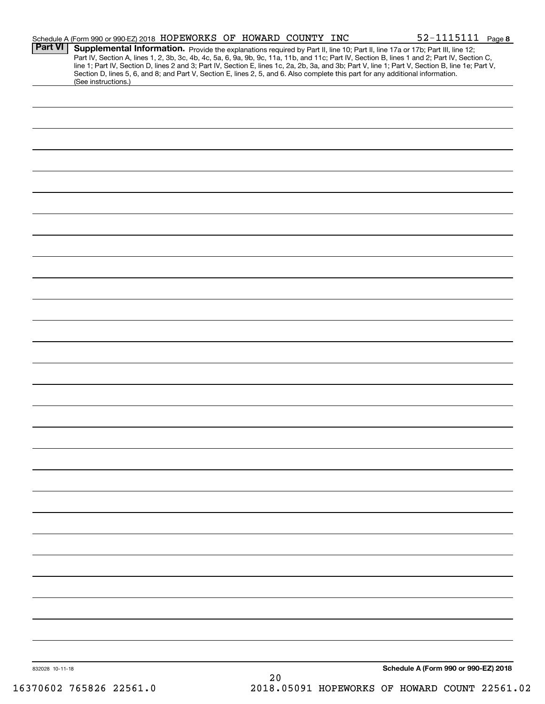|                 | Schedule A (Form 990 or 990-EZ) 2018 HOPEWORKS OF HOWARD COUNTY INC |  |    |  | 52-1115111 Page 8                                                                                                                                                                                                                                                                                                                                                                                                                                                                                                                                                    |  |
|-----------------|---------------------------------------------------------------------|--|----|--|----------------------------------------------------------------------------------------------------------------------------------------------------------------------------------------------------------------------------------------------------------------------------------------------------------------------------------------------------------------------------------------------------------------------------------------------------------------------------------------------------------------------------------------------------------------------|--|
| <b>Part VI</b>  |                                                                     |  |    |  | Supplemental Information. Provide the explanations required by Part II, line 10; Part II, line 17a or 17b; Part III, line 12;<br>Part IV, Section A, lines 1, 2, 3b, 3c, 4b, 4c, 5a, 6, 9a, 9b, 9c, 11a, 11b, and 11c; Part IV, Section B, lines 1 and 2; Part IV, Section C,<br>line 1; Part IV, Section D, lines 2 and 3; Part IV, Section E, lines 1c, 2a, 2b, 3a, and 3b; Part V, line 1; Part V, Section B, line 1e; Part V,<br>Section D, lines 5, 6, and 8; and Part V, Section E, lines 2, 5, and 6. Also complete this part for any additional information. |  |
|                 | (See instructions.)                                                 |  |    |  |                                                                                                                                                                                                                                                                                                                                                                                                                                                                                                                                                                      |  |
|                 |                                                                     |  |    |  |                                                                                                                                                                                                                                                                                                                                                                                                                                                                                                                                                                      |  |
|                 |                                                                     |  |    |  |                                                                                                                                                                                                                                                                                                                                                                                                                                                                                                                                                                      |  |
|                 |                                                                     |  |    |  |                                                                                                                                                                                                                                                                                                                                                                                                                                                                                                                                                                      |  |
|                 |                                                                     |  |    |  |                                                                                                                                                                                                                                                                                                                                                                                                                                                                                                                                                                      |  |
|                 |                                                                     |  |    |  |                                                                                                                                                                                                                                                                                                                                                                                                                                                                                                                                                                      |  |
|                 |                                                                     |  |    |  |                                                                                                                                                                                                                                                                                                                                                                                                                                                                                                                                                                      |  |
|                 |                                                                     |  |    |  |                                                                                                                                                                                                                                                                                                                                                                                                                                                                                                                                                                      |  |
|                 |                                                                     |  |    |  |                                                                                                                                                                                                                                                                                                                                                                                                                                                                                                                                                                      |  |
|                 |                                                                     |  |    |  |                                                                                                                                                                                                                                                                                                                                                                                                                                                                                                                                                                      |  |
|                 |                                                                     |  |    |  |                                                                                                                                                                                                                                                                                                                                                                                                                                                                                                                                                                      |  |
|                 |                                                                     |  |    |  |                                                                                                                                                                                                                                                                                                                                                                                                                                                                                                                                                                      |  |
|                 |                                                                     |  |    |  |                                                                                                                                                                                                                                                                                                                                                                                                                                                                                                                                                                      |  |
|                 |                                                                     |  |    |  |                                                                                                                                                                                                                                                                                                                                                                                                                                                                                                                                                                      |  |
|                 |                                                                     |  |    |  |                                                                                                                                                                                                                                                                                                                                                                                                                                                                                                                                                                      |  |
|                 |                                                                     |  |    |  |                                                                                                                                                                                                                                                                                                                                                                                                                                                                                                                                                                      |  |
|                 |                                                                     |  |    |  |                                                                                                                                                                                                                                                                                                                                                                                                                                                                                                                                                                      |  |
|                 |                                                                     |  |    |  |                                                                                                                                                                                                                                                                                                                                                                                                                                                                                                                                                                      |  |
|                 |                                                                     |  |    |  |                                                                                                                                                                                                                                                                                                                                                                                                                                                                                                                                                                      |  |
|                 |                                                                     |  |    |  |                                                                                                                                                                                                                                                                                                                                                                                                                                                                                                                                                                      |  |
|                 |                                                                     |  |    |  |                                                                                                                                                                                                                                                                                                                                                                                                                                                                                                                                                                      |  |
|                 |                                                                     |  |    |  |                                                                                                                                                                                                                                                                                                                                                                                                                                                                                                                                                                      |  |
|                 |                                                                     |  |    |  |                                                                                                                                                                                                                                                                                                                                                                                                                                                                                                                                                                      |  |
|                 |                                                                     |  |    |  |                                                                                                                                                                                                                                                                                                                                                                                                                                                                                                                                                                      |  |
|                 |                                                                     |  |    |  |                                                                                                                                                                                                                                                                                                                                                                                                                                                                                                                                                                      |  |
|                 |                                                                     |  |    |  |                                                                                                                                                                                                                                                                                                                                                                                                                                                                                                                                                                      |  |
|                 |                                                                     |  |    |  |                                                                                                                                                                                                                                                                                                                                                                                                                                                                                                                                                                      |  |
|                 |                                                                     |  |    |  |                                                                                                                                                                                                                                                                                                                                                                                                                                                                                                                                                                      |  |
|                 |                                                                     |  |    |  |                                                                                                                                                                                                                                                                                                                                                                                                                                                                                                                                                                      |  |
|                 |                                                                     |  |    |  |                                                                                                                                                                                                                                                                                                                                                                                                                                                                                                                                                                      |  |
|                 |                                                                     |  |    |  |                                                                                                                                                                                                                                                                                                                                                                                                                                                                                                                                                                      |  |
|                 |                                                                     |  |    |  |                                                                                                                                                                                                                                                                                                                                                                                                                                                                                                                                                                      |  |
|                 |                                                                     |  |    |  |                                                                                                                                                                                                                                                                                                                                                                                                                                                                                                                                                                      |  |
|                 |                                                                     |  |    |  |                                                                                                                                                                                                                                                                                                                                                                                                                                                                                                                                                                      |  |
|                 |                                                                     |  |    |  |                                                                                                                                                                                                                                                                                                                                                                                                                                                                                                                                                                      |  |
|                 |                                                                     |  |    |  |                                                                                                                                                                                                                                                                                                                                                                                                                                                                                                                                                                      |  |
|                 |                                                                     |  |    |  |                                                                                                                                                                                                                                                                                                                                                                                                                                                                                                                                                                      |  |
| 832028 10-11-18 |                                                                     |  | 20 |  | Schedule A (Form 990 or 990-EZ) 2018                                                                                                                                                                                                                                                                                                                                                                                                                                                                                                                                 |  |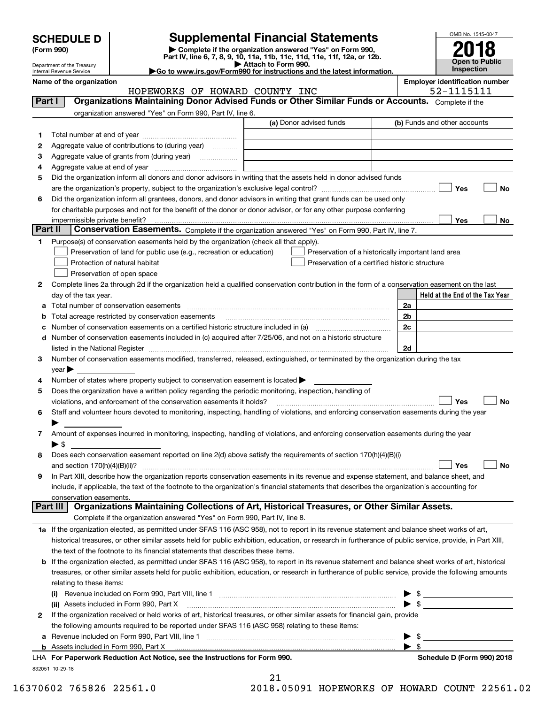| <b>SCHEDULE D</b> |
|-------------------|
|-------------------|

Department of the Treasury Internal Revenue Service

| (Form 990) |  |
|------------|--|
|------------|--|

# **Supplemental Financial Statements**

(Form 990)<br>
Pepartment of the Treasury<br>
Department of the Treasury<br>
Department of the Treasury<br>
Department of the Treasury<br> **Co to www.irs.gov/Form990 for instructions and the latest information.**<br> **Co to www.irs.gov/Form9** 



| Name of the organization |              |
|--------------------------|--------------|
|                          | <b>ਧ∩∩ਸਯ</b> |

HOPEWORKS OF HOWARD COUNTY INC **1998** 102-1115111

**Name of the organization Employer identification number**

| Part I         | <b>Organizations Maintaining Donor Advised Funds or Other Similar Funds or Accounts.</b> Complete if the                                                        |                                                    |                                                        |
|----------------|-----------------------------------------------------------------------------------------------------------------------------------------------------------------|----------------------------------------------------|--------------------------------------------------------|
|                | organization answered "Yes" on Form 990, Part IV, line 6.                                                                                                       |                                                    |                                                        |
|                |                                                                                                                                                                 | (a) Donor advised funds                            | (b) Funds and other accounts                           |
| 1.             |                                                                                                                                                                 |                                                    |                                                        |
| 2              | Aggregate value of contributions to (during year)                                                                                                               |                                                    |                                                        |
| з              |                                                                                                                                                                 |                                                    |                                                        |
| 4              |                                                                                                                                                                 |                                                    |                                                        |
| 5              | Did the organization inform all donors and donor advisors in writing that the assets held in donor advised funds                                                |                                                    |                                                        |
|                |                                                                                                                                                                 |                                                    | Yes<br>No                                              |
| 6              | Did the organization inform all grantees, donors, and donor advisors in writing that grant funds can be used only                                               |                                                    |                                                        |
|                | for charitable purposes and not for the benefit of the donor or donor advisor, or for any other purpose conferring                                              |                                                    |                                                        |
| <b>Part II</b> |                                                                                                                                                                 |                                                    | Yes<br>No                                              |
|                | Conservation Easements. Complete if the organization answered "Yes" on Form 990, Part IV, line 7.                                                               |                                                    |                                                        |
| 1              | Purpose(s) of conservation easements held by the organization (check all that apply).                                                                           |                                                    |                                                        |
|                | Preservation of land for public use (e.g., recreation or education)                                                                                             | Preservation of a historically important land area |                                                        |
|                | Protection of natural habitat                                                                                                                                   | Preservation of a certified historic structure     |                                                        |
|                | Preservation of open space                                                                                                                                      |                                                    |                                                        |
| 2              | Complete lines 2a through 2d if the organization held a qualified conservation contribution in the form of a conservation easement on the last                  |                                                    |                                                        |
|                | day of the tax year.                                                                                                                                            |                                                    | Held at the End of the Tax Year                        |
| a              | Total number of conservation easements                                                                                                                          |                                                    | 2a                                                     |
| b              | Total acreage restricted by conservation easements                                                                                                              |                                                    | 2 <sub>b</sub>                                         |
| c              |                                                                                                                                                                 |                                                    | 2c                                                     |
| d              | Number of conservation easements included in (c) acquired after 7/25/06, and not on a historic structure                                                        |                                                    |                                                        |
|                |                                                                                                                                                                 |                                                    | 2d                                                     |
| 3              | Number of conservation easements modified, transferred, released, extinguished, or terminated by the organization during the tax                                |                                                    |                                                        |
|                | $year \blacktriangleright$                                                                                                                                      |                                                    |                                                        |
| 4              | Number of states where property subject to conservation easement is located >                                                                                   |                                                    |                                                        |
| 5              | Does the organization have a written policy regarding the periodic monitoring, inspection, handling of                                                          |                                                    |                                                        |
|                | violations, and enforcement of the conservation easements it holds?                                                                                             |                                                    | Yes<br><b>No</b>                                       |
| 6              | Staff and volunteer hours devoted to monitoring, inspecting, handling of violations, and enforcing conservation easements during the year                       |                                                    |                                                        |
|                |                                                                                                                                                                 |                                                    |                                                        |
| 7              | Amount of expenses incurred in monitoring, inspecting, handling of violations, and enforcing conservation easements during the year<br>$\blacktriangleright$ \$ |                                                    |                                                        |
| 8              | Does each conservation easement reported on line 2(d) above satisfy the requirements of section 170(h)(4)(B)(i)                                                 |                                                    |                                                        |
|                |                                                                                                                                                                 |                                                    | Yes<br>No                                              |
| 9              | In Part XIII, describe how the organization reports conservation easements in its revenue and expense statement, and balance sheet, and                         |                                                    |                                                        |
|                | include, if applicable, the text of the footnote to the organization's financial statements that describes the organization's accounting for                    |                                                    |                                                        |
|                | conservation easements.                                                                                                                                         |                                                    |                                                        |
|                | Organizations Maintaining Collections of Art, Historical Treasures, or Other Similar Assets.<br>Part III                                                        |                                                    |                                                        |
|                | Complete if the organization answered "Yes" on Form 990, Part IV, line 8.                                                                                       |                                                    |                                                        |
|                | 1a If the organization elected, as permitted under SFAS 116 (ASC 958), not to report in its revenue statement and balance sheet works of art,                   |                                                    |                                                        |
|                | historical treasures, or other similar assets held for public exhibition, education, or research in furtherance of public service, provide, in Part XIII,       |                                                    |                                                        |
|                | the text of the footnote to its financial statements that describes these items.                                                                                |                                                    |                                                        |
| b              | If the organization elected, as permitted under SFAS 116 (ASC 958), to report in its revenue statement and balance sheet works of art, historical               |                                                    |                                                        |
|                | treasures, or other similar assets held for public exhibition, education, or research in furtherance of public service, provide the following amounts           |                                                    |                                                        |
|                | relating to these items:                                                                                                                                        |                                                    |                                                        |
|                |                                                                                                                                                                 |                                                    | $\frac{1}{2}$                                          |
|                | (ii) Assets included in Form 990, Part X                                                                                                                        |                                                    | $\triangleright$ \$                                    |
| $\mathbf{2}$   | If the organization received or held works of art, historical treasures, or other similar assets for financial gain, provide                                    |                                                    |                                                        |
|                | the following amounts required to be reported under SFAS 116 (ASC 958) relating to these items:                                                                 |                                                    |                                                        |
|                | a Revenue included on Form 990, Part VIII, line 1 [2000] [2000] [2000] [2000] [2000] [2000] [2000] [2000] [2000                                                 |                                                    | - \$<br><u>and the state of the state of the state</u> |
|                | <b>b</b> Assets included in Form 990, Part X                                                                                                                    |                                                    | $\blacktriangleright$ s                                |
|                | LHA For Paperwork Reduction Act Notice, see the Instructions for Form 990.                                                                                      |                                                    | Schedule D (Form 990) 2018                             |
|                | 832051 10-29-18                                                                                                                                                 |                                                    |                                                        |

| n | -1 | ⌒ | ⌒ | - | ⌒ |
|---|----|---|---|---|---|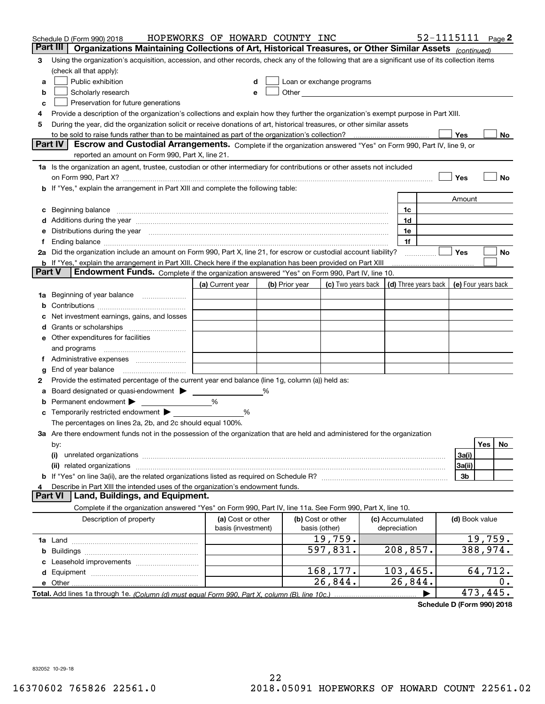|   | Schedule D (Form 990) 2018<br>Part III<br>Organizations Maintaining Collections of Art, Historical Treasures, or Other Similar Assets (continued)                                                                              | HOPEWORKS OF HOWARD COUNTY INC          |   |                |                                    |                 |                      |                | 52-1115111 Page 2   |
|---|--------------------------------------------------------------------------------------------------------------------------------------------------------------------------------------------------------------------------------|-----------------------------------------|---|----------------|------------------------------------|-----------------|----------------------|----------------|---------------------|
| 3 | Using the organization's acquisition, accession, and other records, check any of the following that are a significant use of its collection items                                                                              |                                         |   |                |                                    |                 |                      |                |                     |
|   | (check all that apply):                                                                                                                                                                                                        |                                         |   |                |                                    |                 |                      |                |                     |
| а | Public exhibition                                                                                                                                                                                                              | d                                       |   |                | Loan or exchange programs          |                 |                      |                |                     |
| b | Scholarly research                                                                                                                                                                                                             |                                         | e |                |                                    |                 |                      |                |                     |
| с | Preservation for future generations                                                                                                                                                                                            |                                         |   |                |                                    |                 |                      |                |                     |
| 4 | Provide a description of the organization's collections and explain how they further the organization's exempt purpose in Part XIII.                                                                                           |                                         |   |                |                                    |                 |                      |                |                     |
| 5 | During the year, did the organization solicit or receive donations of art, historical treasures, or other similar assets                                                                                                       |                                         |   |                |                                    |                 |                      |                |                     |
|   | to be sold to raise funds rather than to be maintained as part of the organization's collection?                                                                                                                               |                                         |   |                |                                    |                 |                      | Yes            | No                  |
|   | Escrow and Custodial Arrangements. Complete if the organization answered "Yes" on Form 990, Part IV, line 9, or<br><b>Part IV</b>                                                                                              |                                         |   |                |                                    |                 |                      |                |                     |
|   | reported an amount on Form 990, Part X, line 21.                                                                                                                                                                               |                                         |   |                |                                    |                 |                      |                |                     |
|   | 1a Is the organization an agent, trustee, custodian or other intermediary for contributions or other assets not included                                                                                                       |                                         |   |                |                                    |                 |                      |                |                     |
|   |                                                                                                                                                                                                                                |                                         |   |                |                                    |                 |                      | Yes            | No                  |
|   | b If "Yes," explain the arrangement in Part XIII and complete the following table:                                                                                                                                             |                                         |   |                |                                    |                 |                      |                |                     |
|   |                                                                                                                                                                                                                                |                                         |   |                |                                    |                 |                      | Amount         |                     |
| c | Beginning balance <b>contract to the contract of the contract of the contract of the contract of the contract of t</b>                                                                                                         |                                         |   |                |                                    | 1c              |                      |                |                     |
|   | d Additions during the year measurements are all an according to the year.                                                                                                                                                     |                                         |   |                |                                    | 1d              |                      |                |                     |
|   | e Distributions during the year manufactured and an according to the distributions during the year manufactured and the state of the state of the state of the state of the state of the state of the state of the state of th |                                         |   |                |                                    | 1e              |                      |                |                     |
|   |                                                                                                                                                                                                                                |                                         |   |                |                                    | 1f              |                      |                |                     |
|   | 2a Did the organization include an amount on Form 990, Part X, line 21, for escrow or custodial account liability?                                                                                                             |                                         |   |                |                                    |                 |                      | Yes            | No                  |
|   | <b>b</b> If "Yes," explain the arrangement in Part XIII. Check here if the explanation has been provided on Part XIII<br>Part V<br>Endowment Funds. Complete if the organization answered "Yes" on Form 990, Part IV, line 10. |                                         |   |                |                                    |                 |                      |                |                     |
|   |                                                                                                                                                                                                                                |                                         |   |                | (c) Two years back                 |                 | (d) Three years back |                | (e) Four years back |
|   | 1a Beginning of year balance                                                                                                                                                                                                   | (a) Current year                        |   | (b) Prior year |                                    |                 |                      |                |                     |
| b |                                                                                                                                                                                                                                |                                         |   |                |                                    |                 |                      |                |                     |
| c | Net investment earnings, gains, and losses                                                                                                                                                                                     |                                         |   |                |                                    |                 |                      |                |                     |
|   |                                                                                                                                                                                                                                |                                         |   |                |                                    |                 |                      |                |                     |
|   | e Other expenditures for facilities                                                                                                                                                                                            |                                         |   |                |                                    |                 |                      |                |                     |
|   | and programs                                                                                                                                                                                                                   |                                         |   |                |                                    |                 |                      |                |                     |
|   |                                                                                                                                                                                                                                |                                         |   |                |                                    |                 |                      |                |                     |
| g |                                                                                                                                                                                                                                |                                         |   |                |                                    |                 |                      |                |                     |
| 2 | Provide the estimated percentage of the current year end balance (line 1g, column (a)) held as:                                                                                                                                |                                         |   |                |                                    |                 |                      |                |                     |
| а | Board designated or quasi-endowment > _____                                                                                                                                                                                    |                                         | % |                |                                    |                 |                      |                |                     |
| b | Permanent endowment >                                                                                                                                                                                                          | %                                       |   |                |                                    |                 |                      |                |                     |
| c | Temporarily restricted endowment $\blacktriangleright$                                                                                                                                                                         | %                                       |   |                |                                    |                 |                      |                |                     |
|   | The percentages on lines 2a, 2b, and 2c should equal 100%.                                                                                                                                                                     |                                         |   |                |                                    |                 |                      |                |                     |
|   | 3a Are there endowment funds not in the possession of the organization that are held and administered for the organization                                                                                                     |                                         |   |                |                                    |                 |                      |                |                     |
|   | by:                                                                                                                                                                                                                            |                                         |   |                |                                    |                 |                      |                | Yes<br>No           |
|   | (i)                                                                                                                                                                                                                            |                                         |   |                |                                    |                 |                      | 3a(i)          |                     |
|   |                                                                                                                                                                                                                                |                                         |   |                |                                    |                 |                      | 3a(ii)         |                     |
|   |                                                                                                                                                                                                                                |                                         |   |                |                                    |                 |                      | 3b             |                     |
| 4 | Describe in Part XIII the intended uses of the organization's endowment funds.<br>Land, Buildings, and Equipment.<br><b>Part VI</b>                                                                                            |                                         |   |                |                                    |                 |                      |                |                     |
|   | Complete if the organization answered "Yes" on Form 990, Part IV, line 11a. See Form 990, Part X, line 10.                                                                                                                     |                                         |   |                |                                    |                 |                      |                |                     |
|   |                                                                                                                                                                                                                                |                                         |   |                |                                    | (c) Accumulated |                      | (d) Book value |                     |
|   | Description of property                                                                                                                                                                                                        | (a) Cost or other<br>basis (investment) |   |                | (b) Cost or other<br>basis (other) | depreciation    |                      |                |                     |
|   |                                                                                                                                                                                                                                |                                         |   |                | 19,759.                            |                 |                      |                | 19,759.             |
|   |                                                                                                                                                                                                                                |                                         |   |                | 597,831.                           | 208,857.        |                      |                | 388,974.            |
| c |                                                                                                                                                                                                                                |                                         |   |                |                                    |                 |                      |                |                     |
|   |                                                                                                                                                                                                                                |                                         |   |                | 168,177.                           | 103,465.        |                      |                | 64,712.             |
|   |                                                                                                                                                                                                                                |                                         |   |                | 26,844.                            | 26,844.         |                      |                | 0.                  |
|   |                                                                                                                                                                                                                                |                                         |   |                |                                    |                 |                      |                | 473,445.            |

**Schedule D (Form 990) 2018**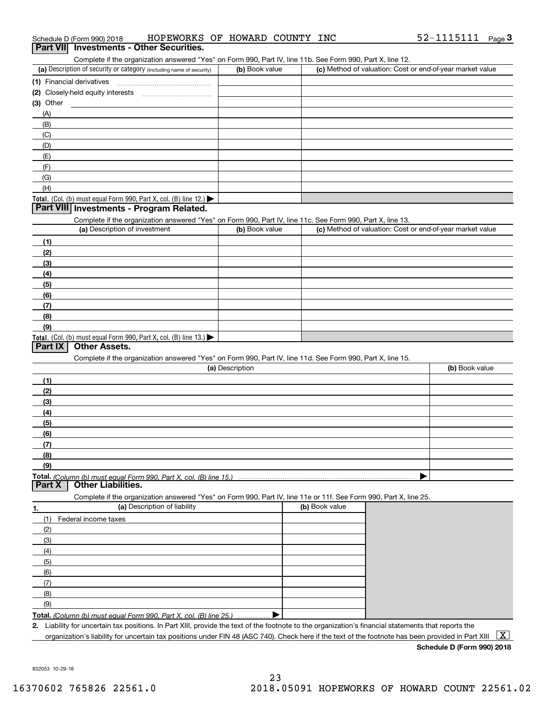| Part VII Investments - Other Securities.                                                                          | HOPEWORKS OF HOWARD COUNTY INC |                                                           | 52-1115111 Page 3 |
|-------------------------------------------------------------------------------------------------------------------|--------------------------------|-----------------------------------------------------------|-------------------|
| Complete if the organization answered "Yes" on Form 990, Part IV, line 11b. See Form 990, Part X, line 12.        |                                |                                                           |                   |
| (a) Description of security or category (including name of security)                                              | (b) Book value                 | (c) Method of valuation: Cost or end-of-year market value |                   |
|                                                                                                                   |                                |                                                           |                   |
|                                                                                                                   |                                |                                                           |                   |
| $(3)$ Other                                                                                                       |                                |                                                           |                   |
| (A)                                                                                                               |                                |                                                           |                   |
| (B)                                                                                                               |                                |                                                           |                   |
| (C)                                                                                                               |                                |                                                           |                   |
| (D)                                                                                                               |                                |                                                           |                   |
| (E)                                                                                                               |                                |                                                           |                   |
| (F)                                                                                                               |                                |                                                           |                   |
| (G)                                                                                                               |                                |                                                           |                   |
| (H)                                                                                                               |                                |                                                           |                   |
| Total. (Col. (b) must equal Form 990, Part X, col. (B) line 12.) $\blacktriangleright$                            |                                |                                                           |                   |
| Part VIII Investments - Program Related.                                                                          |                                |                                                           |                   |
| Complete if the organization answered "Yes" on Form 990, Part IV, line 11c. See Form 990, Part X, line 13.        |                                |                                                           |                   |
| (a) Description of investment                                                                                     | (b) Book value                 | (c) Method of valuation: Cost or end-of-year market value |                   |
| (1)                                                                                                               |                                |                                                           |                   |
|                                                                                                                   |                                |                                                           |                   |
| (2)                                                                                                               |                                |                                                           |                   |
| (3)                                                                                                               |                                |                                                           |                   |
| (4)                                                                                                               |                                |                                                           |                   |
| (5)                                                                                                               |                                |                                                           |                   |
| (6)                                                                                                               |                                |                                                           |                   |
| (7)                                                                                                               |                                |                                                           |                   |
| (8)                                                                                                               |                                |                                                           |                   |
| (9)                                                                                                               |                                |                                                           |                   |
| Total. (Col. (b) must equal Form 990, Part X, col. (B) line 13.)                                                  |                                |                                                           |                   |
| <b>Other Assets.</b><br>Part IX                                                                                   |                                |                                                           |                   |
| Complete if the organization answered "Yes" on Form 990, Part IV, line 11d. See Form 990, Part X, line 15.        |                                |                                                           |                   |
|                                                                                                                   | (a) Description                |                                                           | (b) Book value    |
| (1)                                                                                                               |                                |                                                           |                   |
|                                                                                                                   |                                |                                                           |                   |
| (2)                                                                                                               |                                |                                                           |                   |
| (3)                                                                                                               |                                |                                                           |                   |
|                                                                                                                   |                                |                                                           |                   |
| (4)<br>(5)                                                                                                        |                                |                                                           |                   |
|                                                                                                                   |                                |                                                           |                   |
| (6)                                                                                                               |                                |                                                           |                   |
| (7)                                                                                                               |                                |                                                           |                   |
| (8)                                                                                                               |                                |                                                           |                   |
| (9)                                                                                                               |                                |                                                           |                   |
|                                                                                                                   |                                |                                                           |                   |
| <b>Other Liabilities.</b>                                                                                         |                                |                                                           |                   |
| Complete if the organization answered "Yes" on Form 990, Part IV, line 11e or 11f. See Form 990, Part X, line 25. |                                |                                                           |                   |
| (a) Description of liability                                                                                      |                                | (b) Book value                                            |                   |
| (1)<br>Federal income taxes                                                                                       |                                |                                                           |                   |
| (2)                                                                                                               |                                |                                                           |                   |
| Part X<br>1.<br>(3)                                                                                               |                                |                                                           |                   |

**Total.**  *(Column (b) must equal Form 990, Part X, col. (B) line 25.)* . . . . . . . . . . . . . . .  $\blacktriangleright$ 

**2.**Liability for uncertain tax positions. In Part XIII, provide the text of the footnote to the organization's financial statements that reports the organization's liability for uncertain tax positions under FIN 48 (ASC 740). Check here if the text of the footnote has been provided in Part XIII  $~\boxed{\rm X}$ 

**Schedule D (Form 990) 2018**

832053 10-29-18

(6) (7) (8) (9)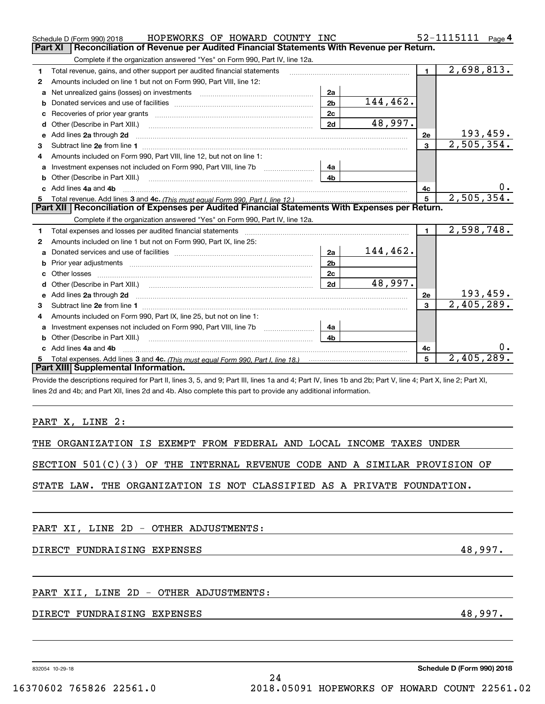|                       |                                                                                                                 |                                                                             | Reconciliation of Revenue per Audited Financial Statements With Revenue per Return. |                |                         |
|-----------------------|-----------------------------------------------------------------------------------------------------------------|-----------------------------------------------------------------------------|-------------------------------------------------------------------------------------|----------------|-------------------------|
|                       | Complete if the organization answered "Yes" on Form 990, Part IV, line 12a.                                     |                                                                             |                                                                                     |                |                         |
| 1                     | Total revenue, gains, and other support per audited financial statements                                        |                                                                             |                                                                                     | $\mathbf{1}$   | $\overline{2,698,813.}$ |
| 2                     | Amounts included on line 1 but not on Form 990, Part VIII, line 12:                                             |                                                                             |                                                                                     |                |                         |
| a                     | Net unrealized gains (losses) on investments                                                                    | 2a                                                                          |                                                                                     |                |                         |
| b                     |                                                                                                                 | 2 <sub>b</sub>                                                              | 144,462.                                                                            |                |                         |
| c                     |                                                                                                                 | 2c                                                                          |                                                                                     |                |                         |
| d                     | Other (Describe in Part XIII.) (2000) (2000) (2000) (2010) (2010) (2010) (2010) (2010) (2010) (2010) (2010) (20 | 2d                                                                          | 48,997.                                                                             |                |                         |
| е                     | Add lines 2a through 2d                                                                                         |                                                                             |                                                                                     | 2e             | <u> 193,459.</u>        |
| 3                     |                                                                                                                 |                                                                             |                                                                                     | $\mathbf{3}$   | 2,505,354.              |
| 4                     | Amounts included on Form 990, Part VIII, line 12, but not on line 1:                                            |                                                                             |                                                                                     |                |                         |
| a                     |                                                                                                                 | 4a                                                                          |                                                                                     |                |                         |
| b                     | Other (Describe in Part XIII.) <b>COLOGIST:</b> (2010)                                                          | 4b                                                                          |                                                                                     |                |                         |
| c                     | Add lines 4a and 4b                                                                                             |                                                                             |                                                                                     | 4c             |                         |
|                       | Part XII   Reconciliation of Expenses per Audited Financial Statements With Expenses per Return.                |                                                                             |                                                                                     | 5              | 2,505,354.              |
|                       |                                                                                                                 | Complete if the organization answered "Yes" on Form 990, Part IV, line 12a. |                                                                                     |                |                         |
|                       |                                                                                                                 |                                                                             |                                                                                     | $\blacksquare$ |                         |
|                       | Amounts included on line 1 but not on Form 990, Part IX, line 25:                                               |                                                                             |                                                                                     |                | 2,598,748.              |
| a                     |                                                                                                                 | 2a                                                                          | 144,462.                                                                            |                |                         |
| b                     |                                                                                                                 | 2 <sub>b</sub>                                                              |                                                                                     |                |                         |
| c                     |                                                                                                                 | 2c                                                                          |                                                                                     |                |                         |
| d                     |                                                                                                                 | 2d                                                                          | 48,997.                                                                             |                |                         |
| е                     |                                                                                                                 |                                                                             |                                                                                     | 2e             | <u> 193,459.</u>        |
|                       |                                                                                                                 |                                                                             |                                                                                     | 3              | 2,405,289.              |
|                       | Amounts included on Form 990, Part IX, line 25, but not on line 1:                                              |                                                                             |                                                                                     |                |                         |
| 1<br>2<br>3<br>4<br>a |                                                                                                                 | 4a                                                                          |                                                                                     |                |                         |
| b                     | Other (Describe in Part XIII.) [100] [100] [100] [100] [100] [100] [100] [100] [100] [100] [100] [100] [100] [  | 4h                                                                          |                                                                                     |                |                         |
| c.                    | Add lines 4a and 4b                                                                                             |                                                                             |                                                                                     | 4c             |                         |
| 5                     | Part XIII Supplemental Information.                                                                             |                                                                             |                                                                                     | 5              | 2,405,289.              |

PART X, LINE 2:

|  | THE ORGANIZATION IS EXEMPT FROM FEDERAL AND LOCAL INCOME TAXES UNDER |  |  |  |  |  |  |  |  |  |
|--|----------------------------------------------------------------------|--|--|--|--|--|--|--|--|--|
|--|----------------------------------------------------------------------|--|--|--|--|--|--|--|--|--|

SECTION 501(C)(3) OF THE INTERNAL REVENUE CODE AND A SIMILAR PROVISION OF

STATE LAW. THE ORGANIZATION IS NOT CLASSIFIED AS A PRIVATE FOUNDATION.

PART XI, LINE 2D - OTHER ADJUSTMENTS:

DIRECT FUNDRAISING EXPENSES **All the Second Assembly 18,997.** All the second and the second and the second and the second and the second and the second and the second and the second and the second and the second and the se

### PART XII, LINE 2D - OTHER ADJUSTMENTS:

#### DIRECT FUNDRAISING EXPENSES 48,997.

832054 10-29-18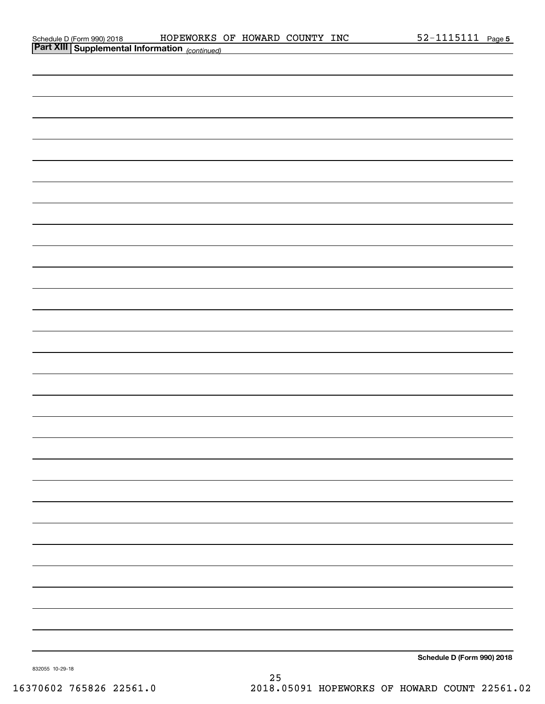| Schedule D (Form 990) 2018 |  |
|----------------------------|--|
| _ _ _ _ _ _ _ _            |  |

| <b>Part XIII Supplemental Information</b> (continued) |  |                            |
|-------------------------------------------------------|--|----------------------------|
|                                                       |  |                            |
|                                                       |  |                            |
|                                                       |  |                            |
|                                                       |  |                            |
|                                                       |  |                            |
|                                                       |  |                            |
|                                                       |  |                            |
|                                                       |  |                            |
|                                                       |  |                            |
|                                                       |  |                            |
|                                                       |  |                            |
|                                                       |  |                            |
|                                                       |  |                            |
|                                                       |  |                            |
|                                                       |  |                            |
|                                                       |  |                            |
|                                                       |  |                            |
|                                                       |  |                            |
|                                                       |  |                            |
|                                                       |  |                            |
|                                                       |  |                            |
|                                                       |  |                            |
|                                                       |  |                            |
|                                                       |  |                            |
|                                                       |  |                            |
|                                                       |  |                            |
|                                                       |  |                            |
|                                                       |  |                            |
|                                                       |  |                            |
|                                                       |  |                            |
|                                                       |  |                            |
|                                                       |  |                            |
|                                                       |  | Schedule D (Form 990) 2018 |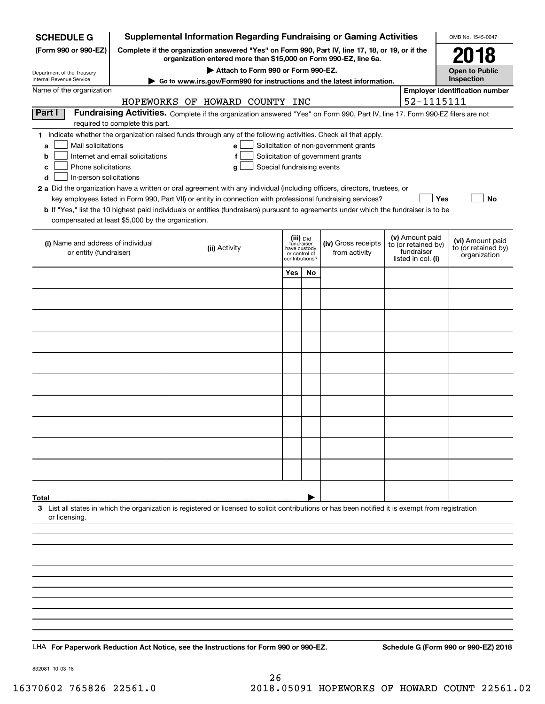| <b>SCHEDULE G</b>                                 |                                                                                                                                                                     | <b>Supplemental Information Regarding Fundraising or Gaming Activities</b>                                                                         |                                         |    |                                                                            |  |                                  | OMB No. 1545-0047                       |
|---------------------------------------------------|---------------------------------------------------------------------------------------------------------------------------------------------------------------------|----------------------------------------------------------------------------------------------------------------------------------------------------|-----------------------------------------|----|----------------------------------------------------------------------------|--|----------------------------------|-----------------------------------------|
| (Form 990 or 990-EZ)                              | Complete if the organization answered "Yes" on Form 990, Part IV, line 17, 18, or 19, or if the<br>organization entered more than \$15,000 on Form 990-EZ, line 6a. |                                                                                                                                                    | 2018                                    |    |                                                                            |  |                                  |                                         |
| Department of the Treasury                        |                                                                                                                                                                     | Attach to Form 990 or Form 990-EZ.                                                                                                                 |                                         |    |                                                                            |  |                                  | <b>Open to Public</b>                   |
| Internal Revenue Service                          |                                                                                                                                                                     | Go to www.irs.gov/Form990 for instructions and the latest information.                                                                             |                                         |    |                                                                            |  |                                  | Inspection                              |
| Name of the organization                          |                                                                                                                                                                     |                                                                                                                                                    |                                         |    |                                                                            |  |                                  | <b>Employer identification number</b>   |
|                                                   |                                                                                                                                                                     | HOPEWORKS OF HOWARD COUNTY INC                                                                                                                     |                                         |    |                                                                            |  | 52-1115111                       |                                         |
| Part I                                            | required to complete this part.                                                                                                                                     | Fundraising Activities. Complete if the organization answered "Yes" on Form 990, Part IV, line 17. Form 990-EZ filers are not                      |                                         |    |                                                                            |  |                                  |                                         |
|                                                   |                                                                                                                                                                     | 1 Indicate whether the organization raised funds through any of the following activities. Check all that apply.                                    |                                         |    |                                                                            |  |                                  |                                         |
| Mail solicitations<br>a                           | Internet and email solicitations                                                                                                                                    | e<br>f                                                                                                                                             |                                         |    | Solicitation of non-government grants<br>Solicitation of government grants |  |                                  |                                         |
| b<br>Phone solicitations<br>c                     |                                                                                                                                                                     | Special fundraising events<br>g                                                                                                                    |                                         |    |                                                                            |  |                                  |                                         |
| In-person solicitations<br>d                      |                                                                                                                                                                     |                                                                                                                                                    |                                         |    |                                                                            |  |                                  |                                         |
|                                                   |                                                                                                                                                                     | 2 a Did the organization have a written or oral agreement with any individual (including officers, directors, trustees, or                         |                                         |    |                                                                            |  |                                  |                                         |
|                                                   |                                                                                                                                                                     | key employees listed in Form 990, Part VII) or entity in connection with professional fundraising services?                                        |                                         |    |                                                                            |  | Yes                              | No                                      |
| compensated at least \$5,000 by the organization. |                                                                                                                                                                     | b If "Yes," list the 10 highest paid individuals or entities (fundraisers) pursuant to agreements under which the fundraiser is to be              |                                         |    |                                                                            |  |                                  |                                         |
|                                                   |                                                                                                                                                                     |                                                                                                                                                    |                                         |    |                                                                            |  | (v) Amount paid                  |                                         |
| (i) Name and address of individual                |                                                                                                                                                                     | (ii) Activity                                                                                                                                      | (iii) Did<br>fundraiser<br>have custody |    | (iv) Gross receipts                                                        |  | to (or retained by)              | (vi) Amount paid<br>to (or retained by) |
| or entity (fundraiser)                            |                                                                                                                                                                     |                                                                                                                                                    | or control of<br>contributions?         |    | from activity                                                              |  | fundraiser<br>listed in col. (i) | organization                            |
|                                                   |                                                                                                                                                                     |                                                                                                                                                    | Yes                                     | No |                                                                            |  |                                  |                                         |
|                                                   |                                                                                                                                                                     |                                                                                                                                                    |                                         |    |                                                                            |  |                                  |                                         |
|                                                   |                                                                                                                                                                     |                                                                                                                                                    |                                         |    |                                                                            |  |                                  |                                         |
|                                                   |                                                                                                                                                                     |                                                                                                                                                    |                                         |    |                                                                            |  |                                  |                                         |
|                                                   |                                                                                                                                                                     |                                                                                                                                                    |                                         |    |                                                                            |  |                                  |                                         |
|                                                   |                                                                                                                                                                     |                                                                                                                                                    |                                         |    |                                                                            |  |                                  |                                         |
|                                                   |                                                                                                                                                                     |                                                                                                                                                    |                                         |    |                                                                            |  |                                  |                                         |
|                                                   |                                                                                                                                                                     |                                                                                                                                                    |                                         |    |                                                                            |  |                                  |                                         |
|                                                   |                                                                                                                                                                     |                                                                                                                                                    |                                         |    |                                                                            |  |                                  |                                         |
|                                                   |                                                                                                                                                                     |                                                                                                                                                    |                                         |    |                                                                            |  |                                  |                                         |
|                                                   |                                                                                                                                                                     |                                                                                                                                                    |                                         |    |                                                                            |  |                                  |                                         |
|                                                   |                                                                                                                                                                     |                                                                                                                                                    |                                         |    |                                                                            |  |                                  |                                         |
|                                                   |                                                                                                                                                                     |                                                                                                                                                    |                                         |    |                                                                            |  |                                  |                                         |
| Total                                             |                                                                                                                                                                     |                                                                                                                                                    |                                         |    |                                                                            |  |                                  |                                         |
| or licensing.                                     |                                                                                                                                                                     | 3 List all states in which the organization is registered or licensed to solicit contributions or has been notified it is exempt from registration |                                         |    |                                                                            |  |                                  |                                         |
|                                                   |                                                                                                                                                                     |                                                                                                                                                    |                                         |    |                                                                            |  |                                  |                                         |
|                                                   |                                                                                                                                                                     |                                                                                                                                                    |                                         |    |                                                                            |  |                                  |                                         |
|                                                   |                                                                                                                                                                     |                                                                                                                                                    |                                         |    |                                                                            |  |                                  |                                         |
|                                                   |                                                                                                                                                                     |                                                                                                                                                    |                                         |    |                                                                            |  |                                  |                                         |
|                                                   |                                                                                                                                                                     |                                                                                                                                                    |                                         |    |                                                                            |  |                                  |                                         |
|                                                   |                                                                                                                                                                     |                                                                                                                                                    |                                         |    |                                                                            |  |                                  |                                         |
|                                                   |                                                                                                                                                                     |                                                                                                                                                    |                                         |    |                                                                            |  |                                  |                                         |
|                                                   |                                                                                                                                                                     |                                                                                                                                                    |                                         |    |                                                                            |  |                                  |                                         |
|                                                   |                                                                                                                                                                     | LHA For Paperwork Reduction Act Notice, see the Instructions for Form 990 or 990-EZ.                                                               |                                         |    |                                                                            |  |                                  | Schedule G (Form 990 or 990-EZ) 2018    |
|                                                   |                                                                                                                                                                     |                                                                                                                                                    |                                         |    |                                                                            |  |                                  |                                         |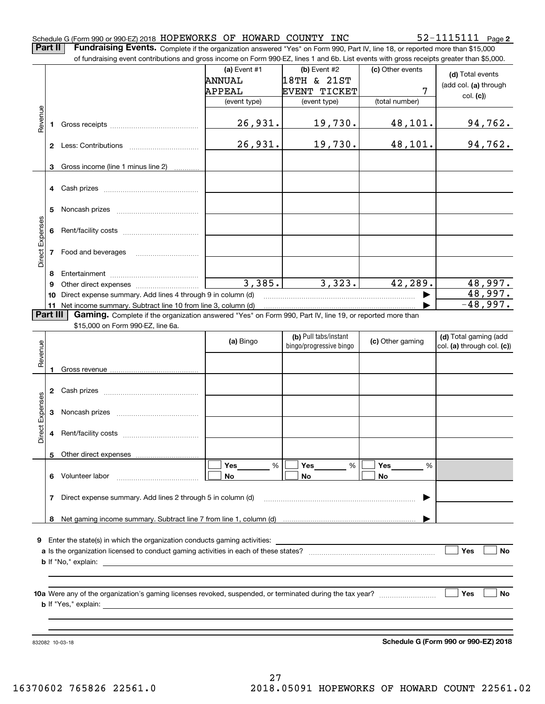#### Schedule G (Form 990 or 990-EZ) 2018  ${\tt HOPEWORKS}$  OF  ${\tt HOWARD}$   ${\tt COUNTY}$   ${\tt INC}$   ${\tt S2-1115111}$   ${\tt Page}$

**2**

**Part II** | Fundraising Events. Complete if the organization answered "Yes" on Form 990, Part IV, line 18, or reported more than \$15,000

|                 |                | of fundraising event contributions and gross income on Form 990-EZ, lines 1 and 6b. List events with gross receipts greater than \$5,000.                                |                |                         |                      |                                      |
|-----------------|----------------|--------------------------------------------------------------------------------------------------------------------------------------------------------------------------|----------------|-------------------------|----------------------|--------------------------------------|
|                 |                |                                                                                                                                                                          | (a) Event $#1$ | (b) Event #2            | (c) Other events     | (d) Total events                     |
|                 |                |                                                                                                                                                                          | <b>ANNUAL</b>  | 18TH & 21ST             |                      | (add col. (a) through                |
|                 |                |                                                                                                                                                                          | APPEAL         | EVENT TICKET            | 7                    | col. (c)                             |
|                 |                |                                                                                                                                                                          | (event type)   | (event type)            | (total number)       |                                      |
|                 |                |                                                                                                                                                                          |                |                         |                      |                                      |
| Revenue         | 1              |                                                                                                                                                                          | <u>26,931.</u> | 19,730.                 | 48, 101.             | <u>94,762.</u>                       |
|                 |                |                                                                                                                                                                          | 26,931.        | 19,730.                 | 48,101.              | 94,762.                              |
|                 |                |                                                                                                                                                                          |                |                         |                      |                                      |
|                 | 3              | Gross income (line 1 minus line 2)<br>.                                                                                                                                  |                |                         |                      |                                      |
|                 |                |                                                                                                                                                                          |                |                         |                      |                                      |
|                 | 4              |                                                                                                                                                                          |                |                         |                      |                                      |
|                 |                |                                                                                                                                                                          |                |                         |                      |                                      |
|                 | 5              |                                                                                                                                                                          |                |                         |                      |                                      |
| Direct Expenses | 6              |                                                                                                                                                                          |                |                         |                      |                                      |
|                 |                |                                                                                                                                                                          |                |                         |                      |                                      |
|                 | 7              | Food and beverages                                                                                                                                                       |                |                         |                      |                                      |
|                 |                |                                                                                                                                                                          |                |                         |                      |                                      |
|                 | 8              |                                                                                                                                                                          | 3,385.         | 3,323.                  | 42,289.              | 48,997.                              |
|                 | 9              |                                                                                                                                                                          |                |                         |                      | 48,997.                              |
|                 | 10             | Direct expense summary. Add lines 4 through 9 in column (d)                                                                                                              |                |                         |                      | $-48,997.$                           |
|                 | 11<br>Part III | Net income summary. Subtract line 10 from line 3, column (d)<br>Gaming. Complete if the organization answered "Yes" on Form 990, Part IV, line 19, or reported more than |                |                         |                      |                                      |
|                 |                | \$15,000 on Form 990-EZ, line 6a.                                                                                                                                        |                |                         |                      |                                      |
|                 |                |                                                                                                                                                                          |                | (b) Pull tabs/instant   |                      | (d) Total gaming (add                |
| Revenue         |                |                                                                                                                                                                          | (a) Bingo      | bingo/progressive bingo | (c) Other gaming     | col. (a) through col. (c))           |
|                 |                |                                                                                                                                                                          |                |                         |                      |                                      |
|                 | 1              |                                                                                                                                                                          |                |                         |                      |                                      |
|                 |                |                                                                                                                                                                          |                |                         |                      |                                      |
|                 | 2              |                                                                                                                                                                          |                |                         |                      |                                      |
|                 |                |                                                                                                                                                                          |                |                         |                      |                                      |
|                 | 3              |                                                                                                                                                                          |                |                         |                      |                                      |
| Direct Expenses |                |                                                                                                                                                                          |                |                         |                      |                                      |
|                 | 4              |                                                                                                                                                                          |                |                         |                      |                                      |
|                 |                |                                                                                                                                                                          |                |                         |                      |                                      |
|                 |                | 5 Other direct expenses                                                                                                                                                  |                |                         |                      |                                      |
|                 |                |                                                                                                                                                                          | %<br>Yes       | %<br>Yes                | Yes<br>$\frac{0}{0}$ |                                      |
|                 |                | 6 Volunteer labor                                                                                                                                                        | No             | No                      | No                   |                                      |
|                 | 7              | Direct expense summary. Add lines 2 through 5 in column (d)                                                                                                              |                |                         |                      |                                      |
|                 |                |                                                                                                                                                                          |                |                         |                      |                                      |
|                 | 8              |                                                                                                                                                                          |                |                         |                      |                                      |
|                 |                |                                                                                                                                                                          |                |                         |                      |                                      |
| 9               |                |                                                                                                                                                                          |                |                         |                      |                                      |
|                 |                |                                                                                                                                                                          |                |                         |                      | Yes<br>No                            |
|                 |                |                                                                                                                                                                          |                |                         |                      |                                      |
|                 |                |                                                                                                                                                                          |                |                         |                      |                                      |
|                 |                |                                                                                                                                                                          |                |                         |                      | Yes<br>No                            |
|                 |                |                                                                                                                                                                          |                |                         |                      |                                      |
|                 |                |                                                                                                                                                                          |                |                         |                      |                                      |
|                 |                |                                                                                                                                                                          |                |                         |                      |                                      |
|                 |                |                                                                                                                                                                          |                |                         |                      |                                      |
|                 |                | 832082 10-03-18                                                                                                                                                          |                |                         |                      | Schedule G (Form 990 or 990-EZ) 2018 |

**Schedule G (Form 990 or 990-EZ) 2018**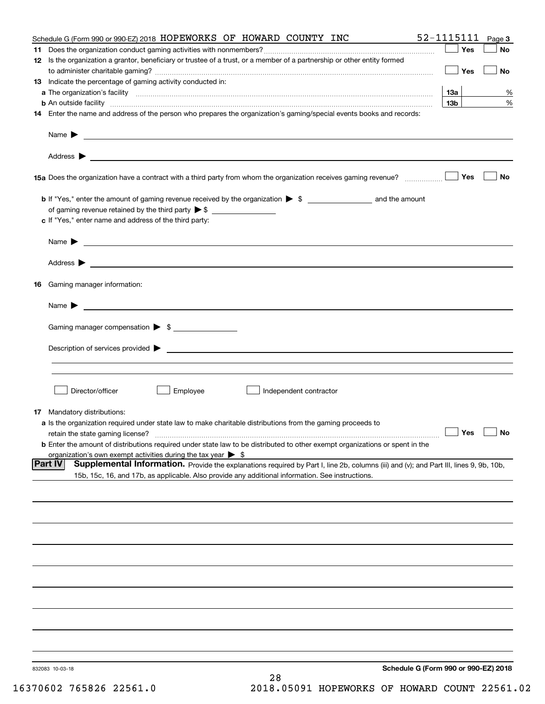| Schedule G (Form 990 or 990-EZ) 2018 HOPEWORKS OF HOWARD COUNTY INC                                                                                                                                                 | 52-1115111      | Page 3    |
|---------------------------------------------------------------------------------------------------------------------------------------------------------------------------------------------------------------------|-----------------|-----------|
|                                                                                                                                                                                                                     | Yes             | No        |
| 12 Is the organization a grantor, beneficiary or trustee of a trust, or a member of a partnership or other entity formed                                                                                            | Yes             | <b>No</b> |
| 13 Indicate the percentage of gaming activity conducted in:                                                                                                                                                         |                 |           |
|                                                                                                                                                                                                                     | <u>13a</u>      | %         |
| <b>b</b> An outside facility <i>www.communicality www.communicality.communicality www.communicality www.communicality.communicality www.communicality.com</i>                                                       | 13 <sub>b</sub> | %         |
| 14 Enter the name and address of the person who prepares the organization's gaming/special events books and records:                                                                                                |                 |           |
|                                                                                                                                                                                                                     |                 |           |
|                                                                                                                                                                                                                     |                 |           |
| 15a Does the organization have a contract with a third party from whom the organization receives gaming revenue?                                                                                                    | Yes             | No        |
| <b>b</b> If "Yes," enter the amount of gaming revenue received by the organization $\triangleright$ \$ ___________________ and the amount                                                                           |                 |           |
|                                                                                                                                                                                                                     |                 |           |
| c If "Yes," enter name and address of the third party:                                                                                                                                                              |                 |           |
| Name $\blacktriangleright$ $\_\_$                                                                                                                                                                                   |                 |           |
|                                                                                                                                                                                                                     |                 |           |
| 16 Gaming manager information:                                                                                                                                                                                      |                 |           |
|                                                                                                                                                                                                                     |                 |           |
| Name $\triangleright$ $\square$                                                                                                                                                                                     |                 |           |
| Gaming manager compensation > \$                                                                                                                                                                                    |                 |           |
|                                                                                                                                                                                                                     |                 |           |
|                                                                                                                                                                                                                     |                 |           |
|                                                                                                                                                                                                                     |                 |           |
| Director/officer<br>Employee<br>Independent contractor                                                                                                                                                              |                 |           |
| 17 Mandatory distributions:                                                                                                                                                                                         |                 |           |
| a Is the organization required under state law to make charitable distributions from the gaming proceeds to                                                                                                         |                 |           |
| $\Box$ Yes $\Box$ No<br>retain the state gaming license?                                                                                                                                                            |                 |           |
| <b>b</b> Enter the amount of distributions required under state law to be distributed to other exempt organizations or spent in the<br>organization's own exempt activities during the tax year $\triangleright$ \$ |                 |           |
| <b>Part IV</b><br>Supplemental Information. Provide the explanations required by Part I, line 2b, columns (iii) and (v); and Part III, lines 9, 9b, 10b,                                                            |                 |           |
| 15b, 15c, 16, and 17b, as applicable. Also provide any additional information. See instructions.                                                                                                                    |                 |           |
|                                                                                                                                                                                                                     |                 |           |
|                                                                                                                                                                                                                     |                 |           |
|                                                                                                                                                                                                                     |                 |           |
|                                                                                                                                                                                                                     |                 |           |
|                                                                                                                                                                                                                     |                 |           |
|                                                                                                                                                                                                                     |                 |           |
|                                                                                                                                                                                                                     |                 |           |
|                                                                                                                                                                                                                     |                 |           |
|                                                                                                                                                                                                                     |                 |           |
|                                                                                                                                                                                                                     |                 |           |
| Schedule G (Form 990 or 990-EZ) 2018<br>832083 10-03-18<br>28                                                                                                                                                       |                 |           |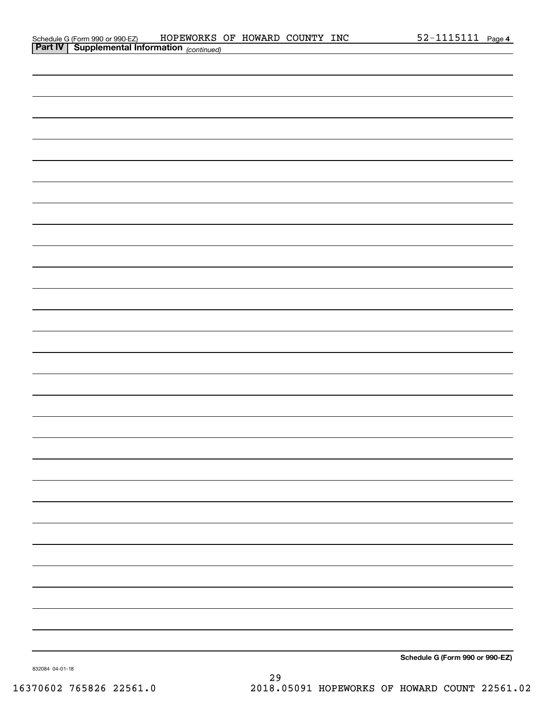|                | Schedule G (Form 990 or 990-EZ)                     | HOPEWORKS | OF | HOWARD | COUNTY | INC | Page 4 |
|----------------|-----------------------------------------------------|-----------|----|--------|--------|-----|--------|
| <b>Part IV</b> | $\degree$ Supplemental Information $_{(continued)}$ |           |    |        |        |     |        |

| <u>communed</u>                 |  |
|---------------------------------|--|
|                                 |  |
|                                 |  |
|                                 |  |
|                                 |  |
|                                 |  |
|                                 |  |
|                                 |  |
|                                 |  |
|                                 |  |
|                                 |  |
|                                 |  |
|                                 |  |
|                                 |  |
|                                 |  |
|                                 |  |
|                                 |  |
|                                 |  |
|                                 |  |
|                                 |  |
|                                 |  |
|                                 |  |
|                                 |  |
|                                 |  |
|                                 |  |
|                                 |  |
|                                 |  |
|                                 |  |
|                                 |  |
|                                 |  |
|                                 |  |
| Schedule G (Form 990 or 990-EZ) |  |
|                                 |  |

832084 04-01-18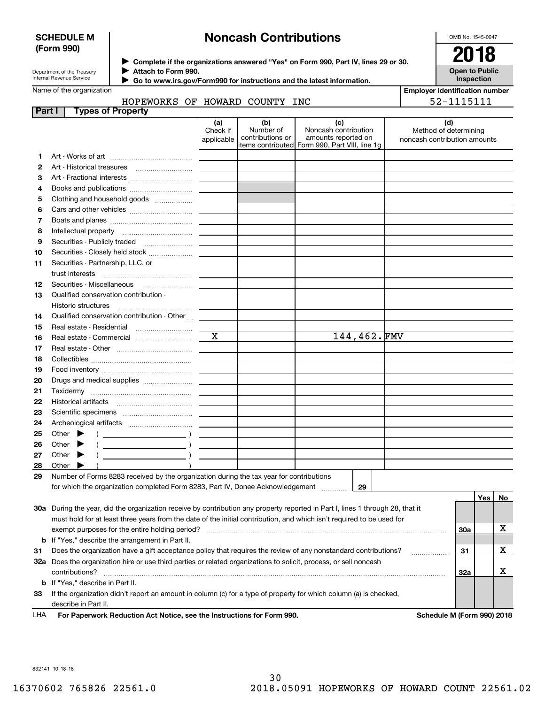#### **SCHEDULE M (Form 990)**

# **Noncash Contributions**

OMB No. 1545-0047

**Open to Public Inspection**

**Employer identification number**

| Department of the Treasury      |  |
|---------------------------------|--|
| <b>Internal Revenue Service</b> |  |

**Complete if the organizations answered "Yes" on Form 990, Part IV, lines 29 or 30.** <sup>J</sup>**2018 Attach to Form 990.** J

 **Go to www.irs.gov/Form990 for instructions and the latest information.** J

# Name of the organization

### HOPEWORKS OF HOWARD COUNTY INC

|               | HOPEWORKS OF HOWARD COUNTY INC                                                                                                 |                               |                                      |                                                                                                       | 52-1115111                                                   |     |    |
|---------------|--------------------------------------------------------------------------------------------------------------------------------|-------------------------------|--------------------------------------|-------------------------------------------------------------------------------------------------------|--------------------------------------------------------------|-----|----|
| <b>Part I</b> | <b>Types of Property</b>                                                                                                       |                               |                                      |                                                                                                       |                                                              |     |    |
|               |                                                                                                                                | (a)<br>Check if<br>applicable | (b)<br>Number of<br>contributions or | (c)<br>Noncash contribution<br>amounts reported on<br>items contributed  Form 990, Part VIII, line 1g | (d)<br>Method of determining<br>noncash contribution amounts |     |    |
| 1             |                                                                                                                                |                               |                                      |                                                                                                       |                                                              |     |    |
| 2             |                                                                                                                                |                               |                                      |                                                                                                       |                                                              |     |    |
| 3             | Art - Fractional interests                                                                                                     |                               |                                      |                                                                                                       |                                                              |     |    |
| 4             | Books and publications                                                                                                         |                               |                                      |                                                                                                       |                                                              |     |    |
| 5             | Clothing and household goods                                                                                                   |                               |                                      |                                                                                                       |                                                              |     |    |
| 6             |                                                                                                                                |                               |                                      |                                                                                                       |                                                              |     |    |
| 7             |                                                                                                                                |                               |                                      |                                                                                                       |                                                              |     |    |
| 8             |                                                                                                                                |                               |                                      |                                                                                                       |                                                              |     |    |
| 9             | Securities - Publicly traded                                                                                                   |                               |                                      |                                                                                                       |                                                              |     |    |
| 10            | Securities - Closely held stock                                                                                                |                               |                                      |                                                                                                       |                                                              |     |    |
| 11            | Securities - Partnership, LLC, or                                                                                              |                               |                                      |                                                                                                       |                                                              |     |    |
|               |                                                                                                                                |                               |                                      |                                                                                                       |                                                              |     |    |
| 12            | Securities - Miscellaneous                                                                                                     |                               |                                      |                                                                                                       |                                                              |     |    |
| 13            | Qualified conservation contribution -                                                                                          |                               |                                      |                                                                                                       |                                                              |     |    |
|               | Historic structures                                                                                                            |                               |                                      |                                                                                                       |                                                              |     |    |
| 14            | Qualified conservation contribution - Other                                                                                    |                               |                                      |                                                                                                       |                                                              |     |    |
| 15            | Real estate - Residential [11] [11] Real estate - Residential                                                                  |                               |                                      |                                                                                                       |                                                              |     |    |
| 16            | Real estate - Commercial                                                                                                       | $\overline{\mathbf{x}}$       |                                      | 144,462.FMV                                                                                           |                                                              |     |    |
| 17            |                                                                                                                                |                               |                                      |                                                                                                       |                                                              |     |    |
| 18            |                                                                                                                                |                               |                                      |                                                                                                       |                                                              |     |    |
| 19            |                                                                                                                                |                               |                                      |                                                                                                       |                                                              |     |    |
| 20            | Drugs and medical supplies                                                                                                     |                               |                                      |                                                                                                       |                                                              |     |    |
| 21            |                                                                                                                                |                               |                                      |                                                                                                       |                                                              |     |    |
| 22<br>23      |                                                                                                                                |                               |                                      |                                                                                                       |                                                              |     |    |
| 24            |                                                                                                                                |                               |                                      |                                                                                                       |                                                              |     |    |
| 25            | Other $\blacktriangleright$                                                                                                    |                               |                                      |                                                                                                       |                                                              |     |    |
| 26            | $\left($ $\right)$<br>$($ $)$<br>Other<br>▶                                                                                    |                               |                                      |                                                                                                       |                                                              |     |    |
| 27            | Other $\blacktriangleright$<br>$\left($                                                                                        |                               |                                      |                                                                                                       |                                                              |     |    |
| 28            | Other $\blacktriangleright$                                                                                                    |                               |                                      |                                                                                                       |                                                              |     |    |
| 29            | Number of Forms 8283 received by the organization during the tax year for contributions                                        |                               |                                      |                                                                                                       |                                                              |     |    |
|               | for which the organization completed Form 8283, Part IV, Donee Acknowledgement                                                 |                               |                                      | 29                                                                                                    |                                                              |     |    |
|               |                                                                                                                                |                               |                                      |                                                                                                       |                                                              | Yes | No |
|               | 30a During the year, did the organization receive by contribution any property reported in Part I, lines 1 through 28, that it |                               |                                      |                                                                                                       |                                                              |     |    |
|               | must hold for at least three years from the date of the initial contribution, and which isn't required to be used for          |                               |                                      |                                                                                                       |                                                              |     |    |
|               | exempt purposes for the entire holding period?                                                                                 |                               |                                      |                                                                                                       | 30a                                                          |     | x  |

**31b** If "Yes," describe the arrangement in Part II.

**32a** Does the organization hire or use third parties or related organizations to solicit, process, or sell noncash **333132a b** If "Yes," describe in Part II. Does the organization have a gift acceptance policy that requires the review of any nonstandard contributions? . . . . . . . . . . . . . . . . . . contributions? ~~~~~~~~~~~~~~~~~~~~~~~~~~~~~~~~~~~~~~~~~~~~~~~~~~~~~~

If the organization didn't report an amount in column (c) for a type of property for which column (a) is checked, describe in Part II.

**For Paperwork Reduction Act Notice, see the Instructions for Form 990. Schedule M (Form 990) 2018** LHA

X

X

832141 10-18-18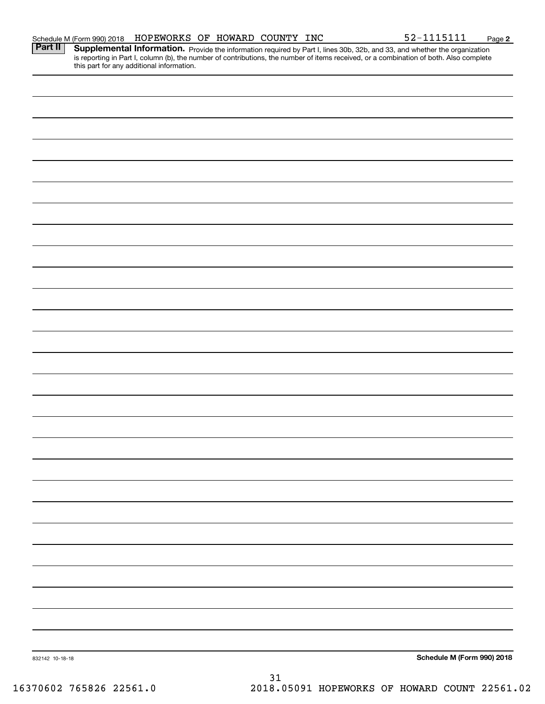|                 | is reporting in Part I, column (b), the number of contributions, the number of items received, or a combination of both. Also complete<br>this part for any additional information. |  |                            |
|-----------------|-------------------------------------------------------------------------------------------------------------------------------------------------------------------------------------|--|----------------------------|
|                 |                                                                                                                                                                                     |  |                            |
|                 |                                                                                                                                                                                     |  |                            |
|                 |                                                                                                                                                                                     |  |                            |
|                 |                                                                                                                                                                                     |  |                            |
|                 |                                                                                                                                                                                     |  |                            |
|                 |                                                                                                                                                                                     |  |                            |
|                 |                                                                                                                                                                                     |  |                            |
|                 |                                                                                                                                                                                     |  |                            |
|                 |                                                                                                                                                                                     |  |                            |
|                 |                                                                                                                                                                                     |  |                            |
|                 |                                                                                                                                                                                     |  |                            |
|                 |                                                                                                                                                                                     |  |                            |
|                 |                                                                                                                                                                                     |  |                            |
|                 |                                                                                                                                                                                     |  |                            |
|                 |                                                                                                                                                                                     |  |                            |
|                 |                                                                                                                                                                                     |  |                            |
|                 |                                                                                                                                                                                     |  |                            |
|                 |                                                                                                                                                                                     |  |                            |
|                 |                                                                                                                                                                                     |  |                            |
|                 |                                                                                                                                                                                     |  |                            |
|                 |                                                                                                                                                                                     |  |                            |
|                 |                                                                                                                                                                                     |  |                            |
|                 |                                                                                                                                                                                     |  |                            |
|                 |                                                                                                                                                                                     |  |                            |
|                 |                                                                                                                                                                                     |  |                            |
|                 |                                                                                                                                                                                     |  |                            |
|                 |                                                                                                                                                                                     |  |                            |
|                 |                                                                                                                                                                                     |  |                            |
|                 |                                                                                                                                                                                     |  |                            |
|                 |                                                                                                                                                                                     |  |                            |
|                 |                                                                                                                                                                                     |  |                            |
|                 |                                                                                                                                                                                     |  |                            |
| 832142 10-18-18 |                                                                                                                                                                                     |  | Schedule M (Form 990) 2018 |

Part II | Supplemental Information. Provide the information required by Part I, lines 30b, 32b, and 33, and whether the organization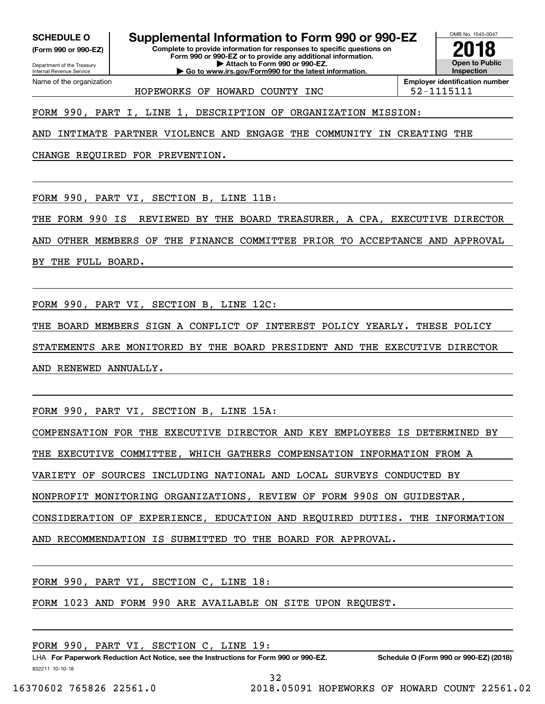Internal Revenue Service

Department of the Treasury **(Form 990 or 990-EZ)**

Name of the organization

**SCHEDULE O Supplemental Information to Form 990 or 990-EZ**

**Complete to provide information for responses to specific questions on Form 990 or 990-EZ or to provide any additional information. | Attach to Form 990 or 990-EZ. | Go to www.irs.gov/Form990 for the latest information.**



HOPEWORKS OF HOWARD COUNTY INC  $\vert$  52-1115111

**Employer identification number**

FORM 990, PART I, LINE 1, DESCRIPTION OF ORGANIZATION MISSION:

AND INTIMATE PARTNER VIOLENCE AND ENGAGE THE COMMUNITY IN CREATING THE

CHANGE REQUIRED FOR PREVENTION.

FORM 990, PART VI, SECTION B, LINE 11B:

THE FORM 990 IS REVIEWED BY THE BOARD TREASURER, A CPA, EXECUTIVE DIRECTOR

AND OTHER MEMBERS OF THE FINANCE COMMITTEE PRIOR TO ACCEPTANCE AND APPROVAL

BY THE FULL BOARD.

FORM 990, PART VI, SECTION B, LINE 12C:

THE BOARD MEMBERS SIGN A CONFLICT OF INTEREST POLICY YEARLY. THESE POLICY STATEMENTS ARE MONITORED BY THE BOARD PRESIDENT AND THE EXECUTIVE DIRECTOR AND RENEWED ANNUALLY.

FORM 990, PART VI, SECTION B, LINE 15A:

COMPENSATION FOR THE EXECUTIVE DIRECTOR AND KEY EMPLOYEES IS DETERMINED BY

THE EXECUTIVE COMMITTEE, WHICH GATHERS COMPENSATION INFORMATION FROM A

VARIETY OF SOURCES INCLUDING NATIONAL AND LOCAL SURVEYS CONDUCTED BY

NONPROFIT MONITORING ORGANIZATIONS, REVIEW OF FORM 990S ON GUIDESTAR,

CONSIDERATION OF EXPERIENCE, EDUCATION AND REQUIRED DUTIES. THE INFORMATION

AND RECOMMENDATION IS SUBMITTED TO THE BOARD FOR APPROVAL.

FORM 990, PART VI, SECTION C, LINE 18:

FORM 1023 AND FORM 990 ARE AVAILABLE ON SITE UPON REQUEST.

FORM 990, PART VI, SECTION C, LINE 19:

832211 10-10-18 LHA For Paperwork Reduction Act Notice, see the Instructions for Form 990 or 990-EZ. Schedule O (Form 990 or 990-EZ) (2018)

32